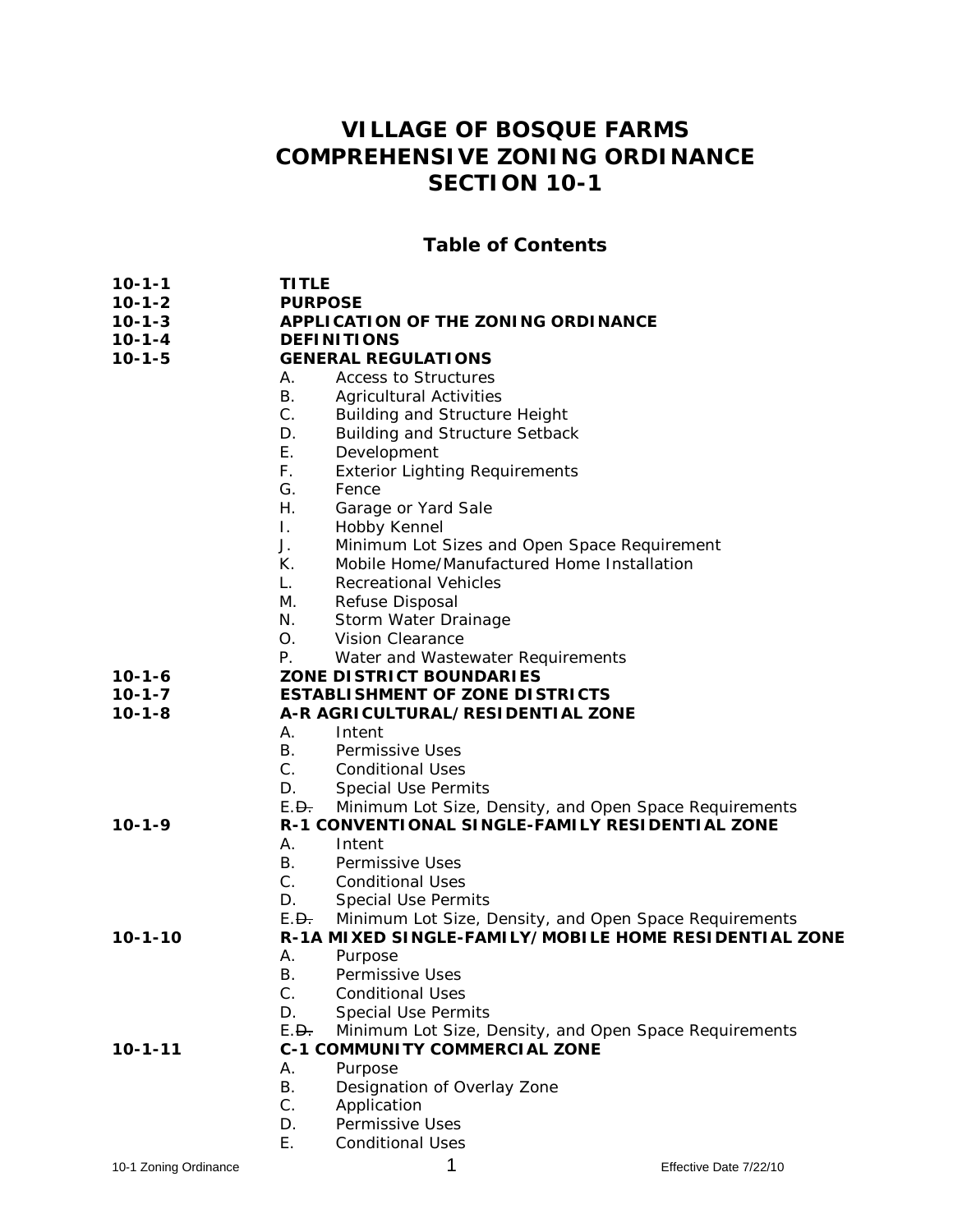# **VILLAGE OF BOSQUE FARMS COMPREHENSIVE ZONING ORDINANCE SECTION 10-1**

### **Table of Contents**

- 
- **10-1-1 TITLE 10-1-2 PURPOSE**
- **10-1-3 APPLICATION OF THE ZONING ORDINANCE**
- **10-1-4 DEFINITIONS**

### **10-1-5 GENERAL REGULATIONS**

### A. Access to Structures

- B. Agricultural Activities
- C. Building and Structure Height
- D. Building and Structure Setback
- 
- E. Development<br>F. Exterior Light **Exterior Lighting Requirements**
- G. Fence
- H. Garage or Yard Sale
- I. Hobby Kennel
- J. Minimum Lot Sizes and Open Space Requirement
- K. Mobile Home/Manufactured Home Installation
- L. Recreational Vehicles
- M. Refuse Disposal
- N. Storm Water Drainage
- O. Vision Clearance
- P. Water and Wastewater Requirements
- **10-1-6 ZONE DISTRICT BOUNDARIES**
- **10-1-7 ESTABLISHMENT OF ZONE DISTRICTS** 
	- **10-1-8 A-R AGRICULTURAL/RESIDENTIAL ZONE** 
		- A. Intent
		- B. Permissive Uses
		- C. Conditional Uses
		- D. Special Use Permits
		- E.<del>D.</del> Minimum Lot Size, Density, and Open Space Requirements

**10-1-9 R-1 CONVENTIONAL SINGLE-FAMILY RESIDENTIAL ZONE** 

- A. Intent
	- B. Permissive Uses<br>C. Conditional Uses
	- Conditional Uses
	- D. Special Use Permits
- E.<del>D.</del> Minimum Lot Size, Density, and Open Space Requirements

**10-1-10 R-1A MIXED SINGLE-FAMILY/MOBILE HOME RESIDENTIAL ZONE** 

- 
- A. Purpose<br>B. Permissi
- B. Permissive Uses<br>C. Conditional Uses Conditional Uses
- D. Special Use Permits
- E.<del>D.</del> Minimum Lot Size, Density, and Open Space Requirements

#### **10-1-11 C-1 COMMUNITY COMMERCIAL ZONE**

- A. Purpose<br>B. Designa
- Designation of Overlay Zone
- C. Application<br>D. Permissive
- Permissive Uses
- E. Conditional Uses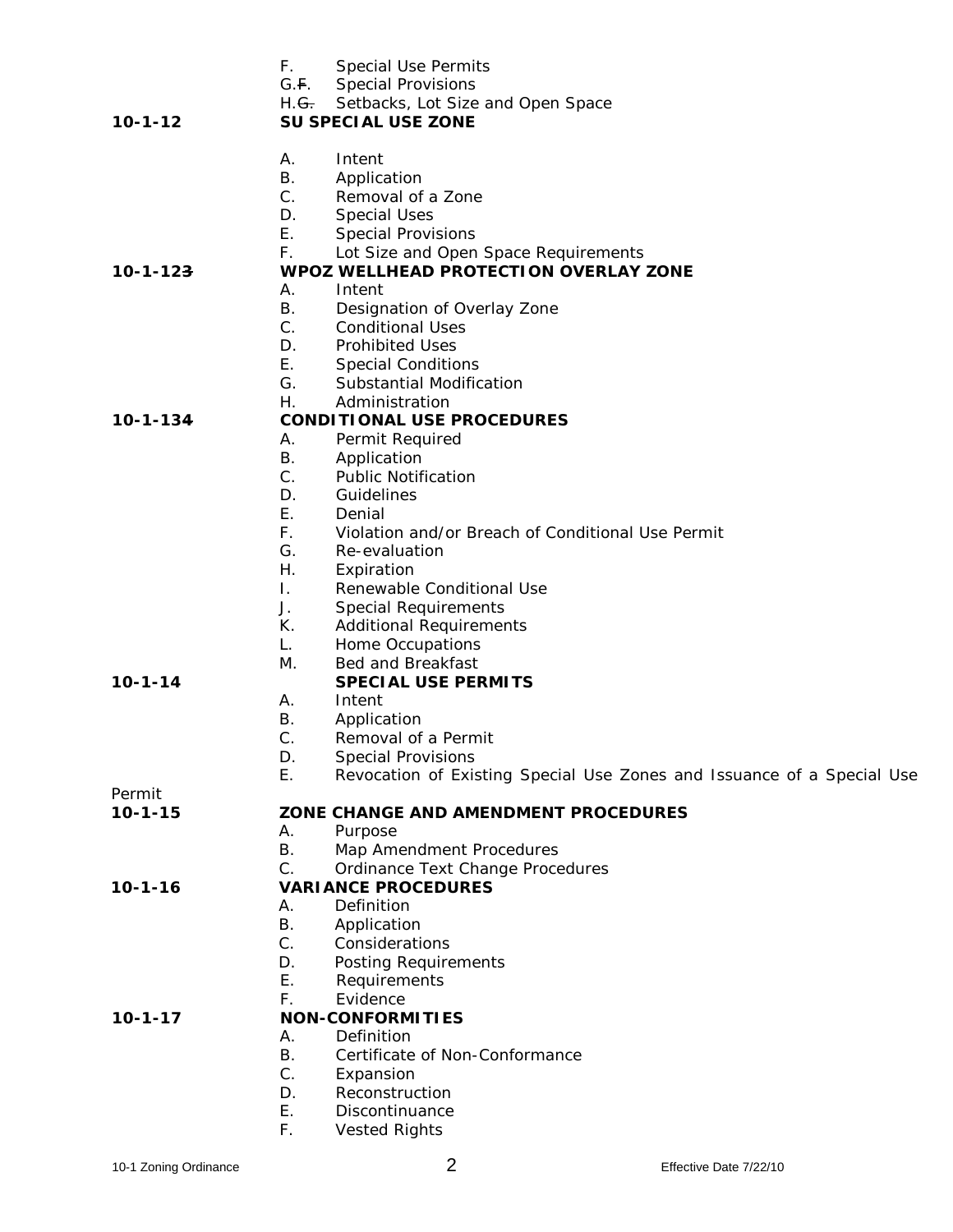|                | F.<br><b>Special Use Permits</b>                                             |
|----------------|------------------------------------------------------------------------------|
|                | G.F.<br><b>Special Provisions</b>                                            |
|                | H.G. Setbacks, Lot Size and Open Space                                       |
| $10 - 1 - 12$  | <b>SU SPECIAL USE ZONE</b>                                                   |
|                |                                                                              |
|                | Α.<br>Intent                                                                 |
|                | Β.<br>Application                                                            |
|                | C.<br>Removal of a Zone                                                      |
|                | D.<br><b>Special Uses</b>                                                    |
|                | Ε.<br><b>Special Provisions</b>                                              |
|                | F.<br>Lot Size and Open Space Requirements                                   |
| $10 - 1 - 123$ | <b>WPOZ WELLHEAD PROTECTION OVERLAY ZONE</b>                                 |
|                | А.<br>Intent                                                                 |
|                | <b>B.</b><br>Designation of Overlay Zone                                     |
|                | $C_{\cdot}$<br><b>Conditional Uses</b>                                       |
|                | D.<br><b>Prohibited Uses</b>                                                 |
|                | Ε.<br><b>Special Conditions</b>                                              |
|                | G.<br>Substantial Modification                                               |
|                |                                                                              |
|                | Η.<br>Administration                                                         |
| $10 - 1 - 134$ | <b>CONDITIONAL USE PROCEDURES</b>                                            |
|                | Permit Required<br>А.                                                        |
|                | <b>B.</b><br>Application                                                     |
|                | C.<br><b>Public Notification</b>                                             |
|                | D.<br>Guidelines                                                             |
|                | Е.<br>Denial                                                                 |
|                | F.<br>Violation and/or Breach of Conditional Use Permit                      |
|                | G.<br>Re-evaluation                                                          |
|                | Η.<br>Expiration                                                             |
|                | Τ.<br>Renewable Conditional Use                                              |
|                | J.<br><b>Special Requirements</b>                                            |
|                | К.<br><b>Additional Requirements</b>                                         |
|                | L.<br>Home Occupations                                                       |
|                | Μ.<br>Bed and Breakfast                                                      |
| $10 - 1 - 14$  | <b>SPECIAL USE PERMITS</b>                                                   |
|                | Α.<br>Intent                                                                 |
|                |                                                                              |
|                | Β.<br>Application                                                            |
|                | C.<br>Removal of a Permit                                                    |
|                | <b>Special Provisions</b><br>D.                                              |
|                | Ε.<br>Revocation of Existing Special Use Zones and Issuance of a Special Use |
| Permit         |                                                                              |
| $10 - 1 - 15$  | ZONE CHANGE AND AMENDMENT PROCEDURES                                         |
|                | А.<br>Purpose                                                                |
|                | Β.<br>Map Amendment Procedures                                               |
|                | C.<br>Ordinance Text Change Procedures                                       |
| $10 - 1 - 16$  | <b>VARIANCE PROCEDURES</b>                                                   |
|                | Α.<br>Definition                                                             |
|                | <b>B.</b><br>Application                                                     |
|                | $C_{-}$<br>Considerations                                                    |
|                | D.<br>Posting Requirements                                                   |
|                | Ε.<br>Requirements                                                           |
|                | F.<br>Evidence                                                               |
| $10 - 1 - 17$  | <b>NON-CONFORMITIES</b>                                                      |
|                | Definition<br>А.                                                             |
|                | Β.<br>Certificate of Non-Conformance                                         |
|                | C.                                                                           |
|                | Expansion                                                                    |
|                | Reconstruction<br>D.                                                         |
|                | Ε.<br>Discontinuance                                                         |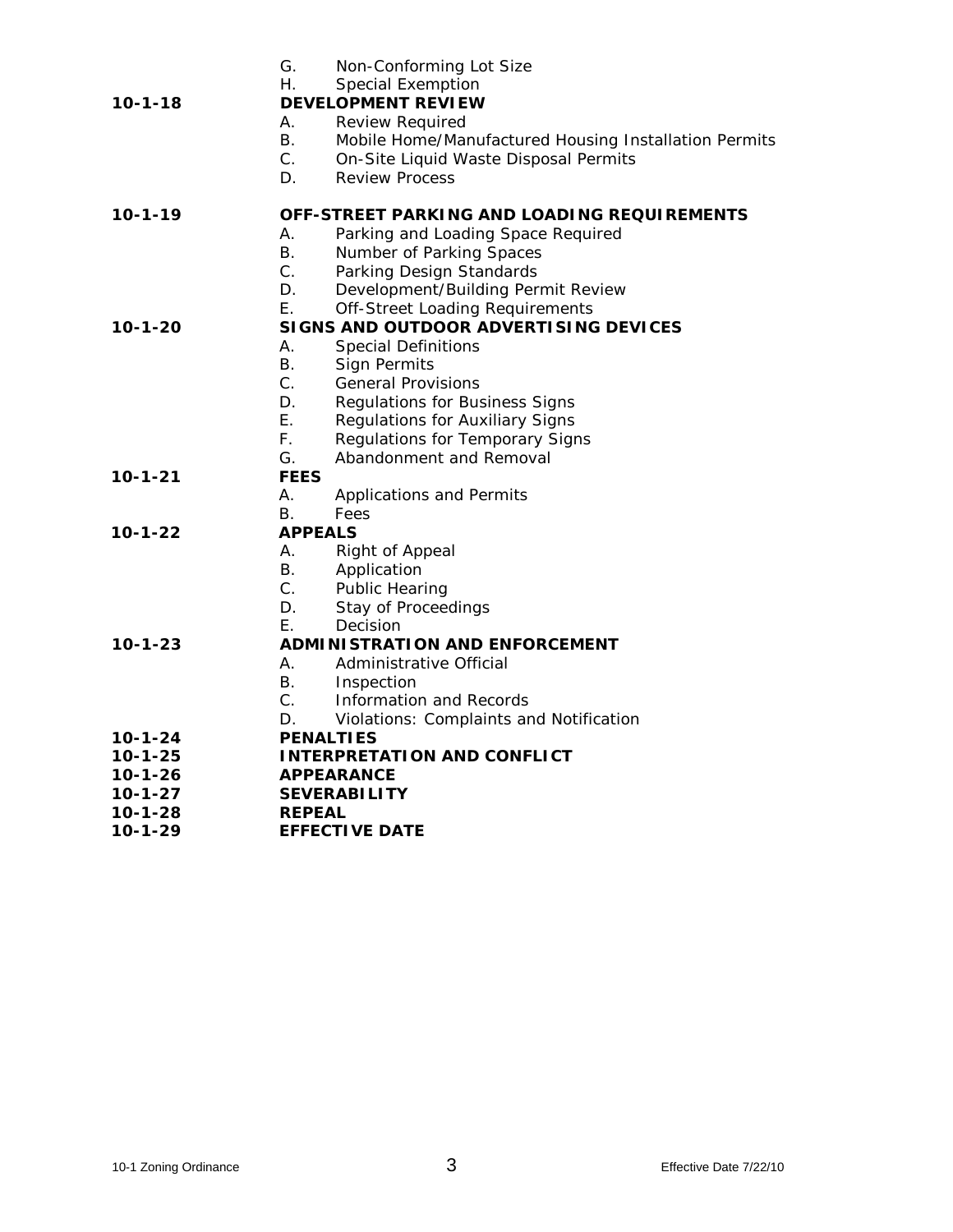|               | G.               | Non-Conforming Lot Size                                            |
|---------------|------------------|--------------------------------------------------------------------|
|               | Η.               | <b>Special Exemption</b>                                           |
| $10 - 1 - 18$ |                  | <b>DEVELOPMENT REVIEW</b>                                          |
|               | А.               | <b>Review Required</b>                                             |
|               | В.               | Mobile Home/Manufactured Housing Installation Permits              |
|               | C.               | On-Site Liquid Waste Disposal Permits                              |
|               | D.               | <b>Review Process</b>                                              |
| $10 - 1 - 19$ |                  | OFF-STREET PARKING AND LOADING REQUIREMENTS                        |
|               | А.               | Parking and Loading Space Required                                 |
|               | В.               | Number of Parking Spaces                                           |
|               | $C_{\cdot}$      | Parking Design Standards                                           |
|               | D.               | Development/Building Permit Review                                 |
|               | Е.               | Off-Street Loading Requirements                                    |
| 10-1-20       |                  | SIGNS AND OUTDOOR ADVERTISING DEVICES                              |
|               | А.               | <b>Special Definitions</b>                                         |
|               | <b>B.</b>        | <b>Sign Permits</b>                                                |
|               | $C_{1}$          | <b>General Provisions</b>                                          |
|               | D.               | Regulations for Business Signs                                     |
|               | Е.               | Regulations for Auxiliary Signs                                    |
|               | F.               | Regulations for Temporary Signs                                    |
|               | G.               | Abandonment and Removal                                            |
| 10-1-21       | <b>FEES</b>      |                                                                    |
|               | А.               | <b>Applications and Permits</b>                                    |
|               | В.               | Fees                                                               |
| 10-1-22       | <b>APPEALS</b>   |                                                                    |
|               | А.               | Right of Appeal                                                    |
|               | В.               | Application                                                        |
|               | $C_{\cdot}$      | <b>Public Hearing</b>                                              |
|               | D.               | Stay of Proceedings                                                |
|               | Е.               | Decision                                                           |
| 10-1-23       |                  | ADMINISTRATION AND ENFORCEMENT<br>Administrative Official          |
|               | А.<br>В.         |                                                                    |
|               | $C_{\cdot}$      | Inspection                                                         |
|               | D.               | Information and Records<br>Violations: Complaints and Notification |
| $10 - 1 - 24$ | <b>PENALTIES</b> |                                                                    |
| $10 - 1 - 25$ |                  | <b>INTERPRETATION AND CONFLICT</b>                                 |
| $10 - 1 - 26$ |                  | <b>APPEARANCE</b>                                                  |
| $10 - 1 - 27$ |                  | <b>SEVERABILITY</b>                                                |
| 10-1-28       | <b>REPEAL</b>    |                                                                    |
| $10 - 1 - 29$ |                  | <b>EFFECTIVE DATE</b>                                              |
|               |                  |                                                                    |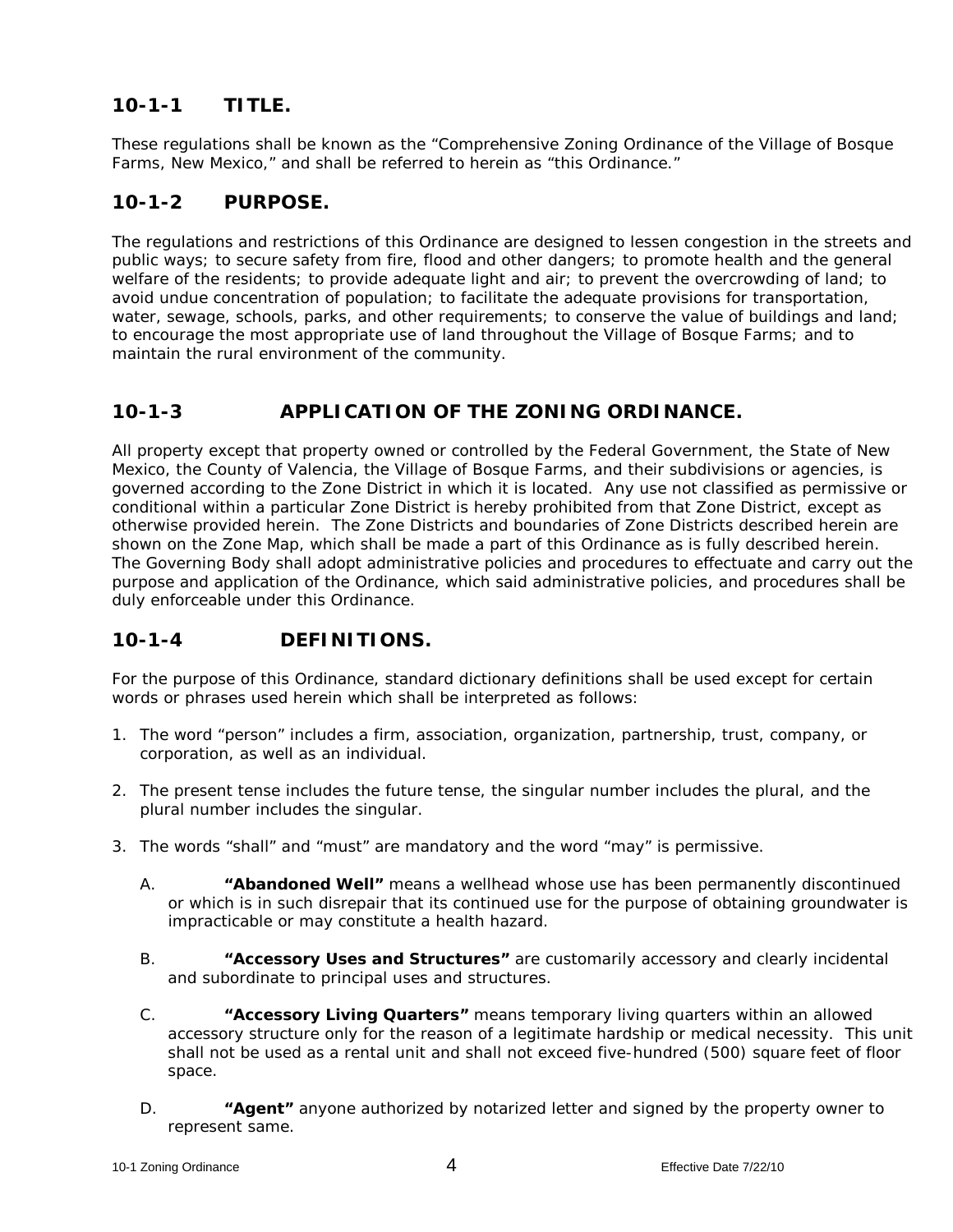# **10-1-1 TITLE.**

These regulations shall be known as the "Comprehensive Zoning Ordinance of the Village of Bosque Farms, New Mexico," and shall be referred to herein as "this Ordinance."

# **10-1-2 PURPOSE.**

The regulations and restrictions of this Ordinance are designed to lessen congestion in the streets and public ways; to secure safety from fire, flood and other dangers; to promote health and the general welfare of the residents; to provide adequate light and air; to prevent the overcrowding of land; to avoid undue concentration of population; to facilitate the adequate provisions for transportation, water, sewage, schools, parks, and other requirements; to conserve the value of buildings and land; to encourage the most appropriate use of land throughout the Village of Bosque Farms; and to maintain the rural environment of the community.

# **10-1-3 APPLICATION OF THE ZONING ORDINANCE.**

All property except that property owned or controlled by the Federal Government, the State of New Mexico, the County of Valencia, the Village of Bosque Farms, and their subdivisions or agencies, is governed according to the Zone District in which it is located. Any use not classified as permissive or conditional within a particular Zone District is hereby prohibited from that Zone District, except as otherwise provided herein. The Zone Districts and boundaries of Zone Districts described herein are shown on the Zone Map, which shall be made a part of this Ordinance as is fully described herein. The Governing Body shall adopt administrative policies and procedures to effectuate and carry out the purpose and application of the Ordinance, which said administrative policies, and procedures shall be duly enforceable under this Ordinance.

## **10-1-4 DEFINITIONS.**

For the purpose of this Ordinance, standard dictionary definitions shall be used except for certain words or phrases used herein which shall be interpreted as follows:

- 1. The word "person" includes a firm, association, organization, partnership, trust, company, or corporation, as well as an individual.
- 2. The present tense includes the future tense, the singular number includes the plural, and the plural number includes the singular.
- 3. The words "shall" and "must" are mandatory and the word "may" is permissive.
	- A. **"Abandoned Well"** means a wellhead whose use has been permanently discontinued or which is in such disrepair that its continued use for the purpose of obtaining groundwater is impracticable or may constitute a health hazard.
	- B. **"Accessory Uses and Structures"** are customarily accessory and clearly incidental and subordinate to principal uses and structures.
	- C. **"Accessory Living Quarters"** means temporary living quarters within an allowed accessory structure only for the reason of a legitimate hardship or medical necessity. This unit shall not be used as a rental unit and shall not exceed five-hundred (500) square feet of floor space.
	- D. **"Agent"** anyone authorized by notarized letter and signed by the property owner to represent same.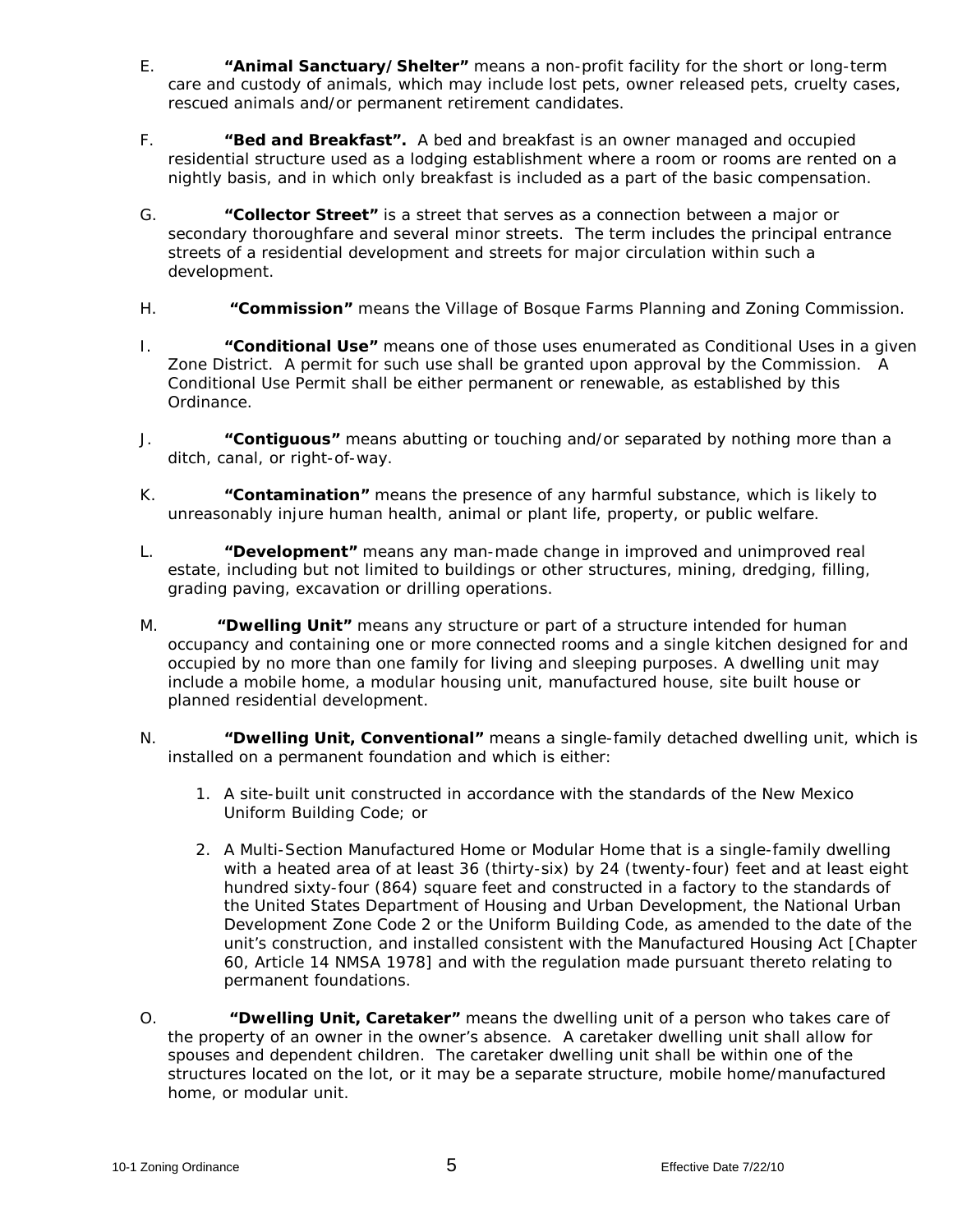- E. **"Animal Sanctuary/Shelter"** means a non-profit facility for the short or long-term care and custody of animals, which may include lost pets, owner released pets, cruelty cases, rescued animals and/or permanent retirement candidates.
- F. **"Bed and Breakfast".** A bed and breakfast is an owner managed and occupied residential structure used as a lodging establishment where a room or rooms are rented on a nightly basis, and in which only breakfast is included as a part of the basic compensation.
- G. **"Collector Street"** is a street that serves as a connection between a major or secondary thoroughfare and several minor streets. The term includes the principal entrance streets of a residential development and streets for major circulation within such a development.
- H. **"Commission"** means the Village of Bosque Farms Planning and Zoning Commission.
- I. **"Conditional Use"** means one of those uses enumerated as Conditional Uses in a given Zone District. A permit for such use shall be granted upon approval by the Commission. A Conditional Use Permit shall be either permanent or renewable, as established by this Ordinance.
- J. **"Contiguous"** means abutting or touching and/or separated by nothing more than a ditch, canal, or right-of-way.
- K. **"Contamination"** means the presence of any harmful substance, which is likely to unreasonably injure human health, animal or plant life, property, or public welfare.
- L. **"Development"** means any man-made change in improved and unimproved real estate, including but not limited to buildings or other structures, mining, dredging, filling, grading paving, excavation or drilling operations.
- M. **"Dwelling Unit"** means any structure or part of a structure intended for human occupancy and containing one or more connected rooms and a single kitchen designed for and occupied by no more than one family for living and sleeping purposes. A dwelling unit may include a mobile home, a modular housing unit, manufactured house, site built house or planned residential development.
- N. **"Dwelling Unit, Conventional"** means a single-family detached dwelling unit, which is installed on a permanent foundation and which is either:
	- 1. A site-built unit constructed in accordance with the standards of the New Mexico Uniform Building Code; or
	- 2. A Multi-Section Manufactured Home or Modular Home that is a single-family dwelling with a heated area of at least 36 (thirty-six) by 24 (twenty-four) feet and at least eight hundred sixty-four (864) square feet and constructed in a factory to the standards of the United States Department of Housing and Urban Development, the National Urban Development Zone Code 2 or the Uniform Building Code, as amended to the date of the unit's construction, and installed consistent with the Manufactured Housing Act [Chapter 60, Article 14 NMSA 1978] and with the regulation made pursuant thereto relating to permanent foundations.
- O. **"Dwelling Unit, Caretaker"** means the dwelling unit of a person who takes care of the property of an owner in the owner's absence. A caretaker dwelling unit shall allow for spouses and dependent children. The caretaker dwelling unit shall be within one of the structures located on the lot, or it may be a separate structure, mobile home/manufactured home, or modular unit.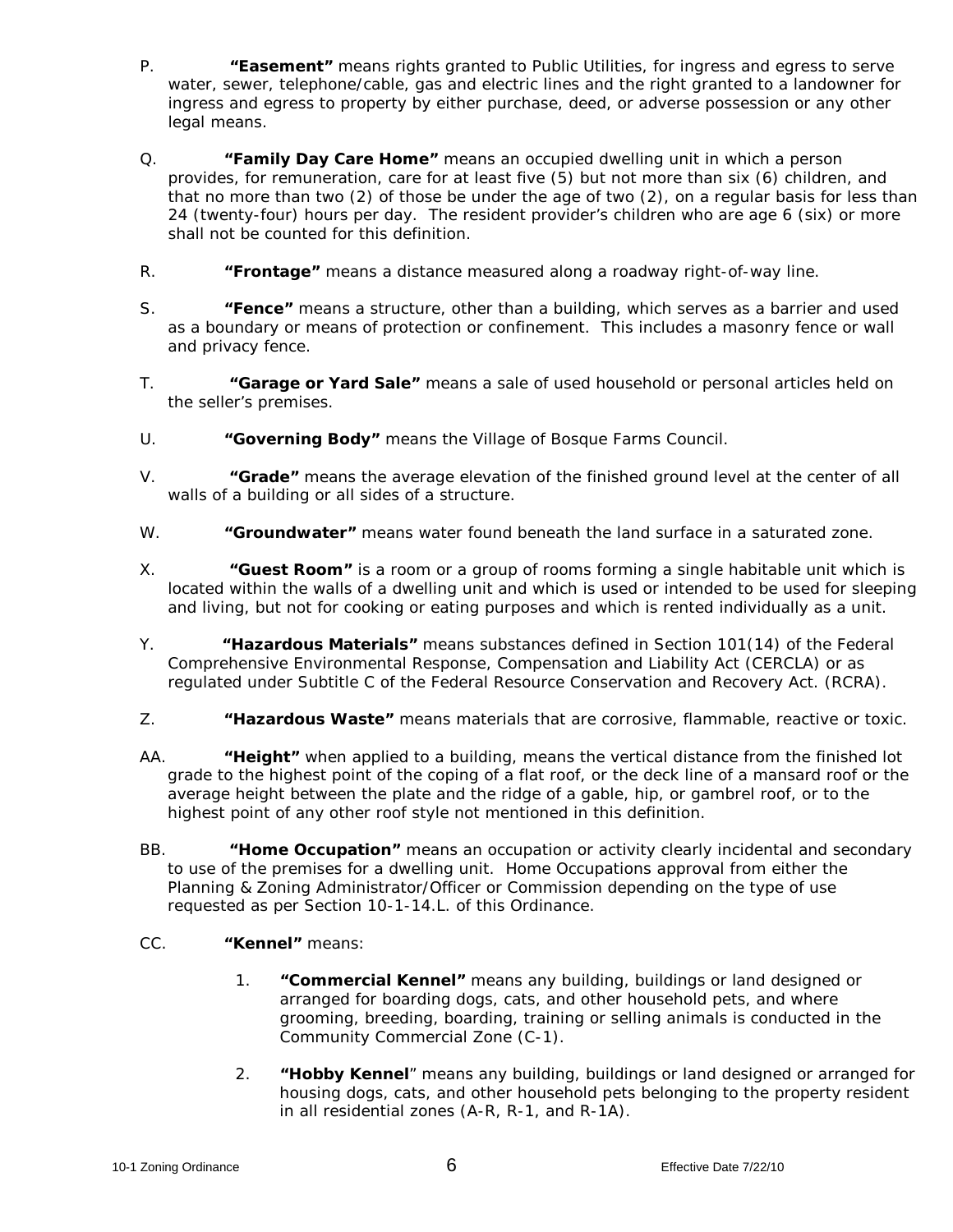- P. **"Easement"** means rights granted to Public Utilities, for ingress and egress to serve water, sewer, telephone/cable, gas and electric lines and the right granted to a landowner for ingress and egress to property by either purchase, deed, or adverse possession or any other legal means.
- Q. **"Family Day Care Home"** means an occupied dwelling unit in which a person provides, for remuneration, care for at least five (5) but not more than six (6) children, and that no more than two (2) of those be under the age of two (2), on a regular basis for less than 24 (twenty-four) hours per day. The resident provider's children who are age 6 (six) or more shall not be counted for this definition.
- R. **"Frontage"** means a distance measured along a roadway right-of-way line.
- S. **"Fence"** means a structure, other than a building, which serves as a barrier and used as a boundary or means of protection or confinement. This includes a masonry fence or wall and privacy fence.
- T. **"Garage or Yard Sale"** means a sale of used household or personal articles held on the seller's premises.
- U. **"Governing Body"** means the Village of Bosque Farms Council.
- V. **"Grade"** means the average elevation of the finished ground level at the center of all walls of a building or all sides of a structure.
- W. **"Groundwater"** means water found beneath the land surface in a saturated zone.
- X. **"Guest Room"** is a room or a group of rooms forming a single habitable unit which is located within the walls of a dwelling unit and which is used or intended to be used for sleeping and living, but not for cooking or eating purposes and which is rented individually as a unit.
- Y. **"Hazardous Materials"** means substances defined in Section 101(14) of the Federal Comprehensive Environmental Response, Compensation and Liability Act (CERCLA) or as regulated under Subtitle C of the Federal Resource Conservation and Recovery Act. (RCRA).
- Z. **"Hazardous Waste"** means materials that are corrosive, flammable, reactive or toxic.
- AA. **"Height"** when applied to a building, means the vertical distance from the finished lot grade to the highest point of the coping of a flat roof, or the deck line of a mansard roof or the average height between the plate and the ridge of a gable, hip, or gambrel roof, or to the highest point of any other roof style not mentioned in this definition.
- BB. **"Home Occupation"** means an occupation or activity clearly incidental and secondary to use of the premises for a dwelling unit. Home Occupations approval from either the Planning & Zoning Administrator/Officer or Commission depending on the type of use requested as per Section 10-1-14.L. of this Ordinance.
- CC. **"Kennel"** means:
	- 1. **"Commercial Kennel"** means any building, buildings or land designed or arranged for boarding dogs, cats, and other household pets, and where grooming, breeding, boarding, training or selling animals is conducted in the Community Commercial Zone (C-1).
	- 2. **"Hobby Kennel***"* means any building, buildings or land designed or arranged for housing dogs, cats, and other household pets belonging to the property resident in all residential zones (A-R, R-1, and R-1A).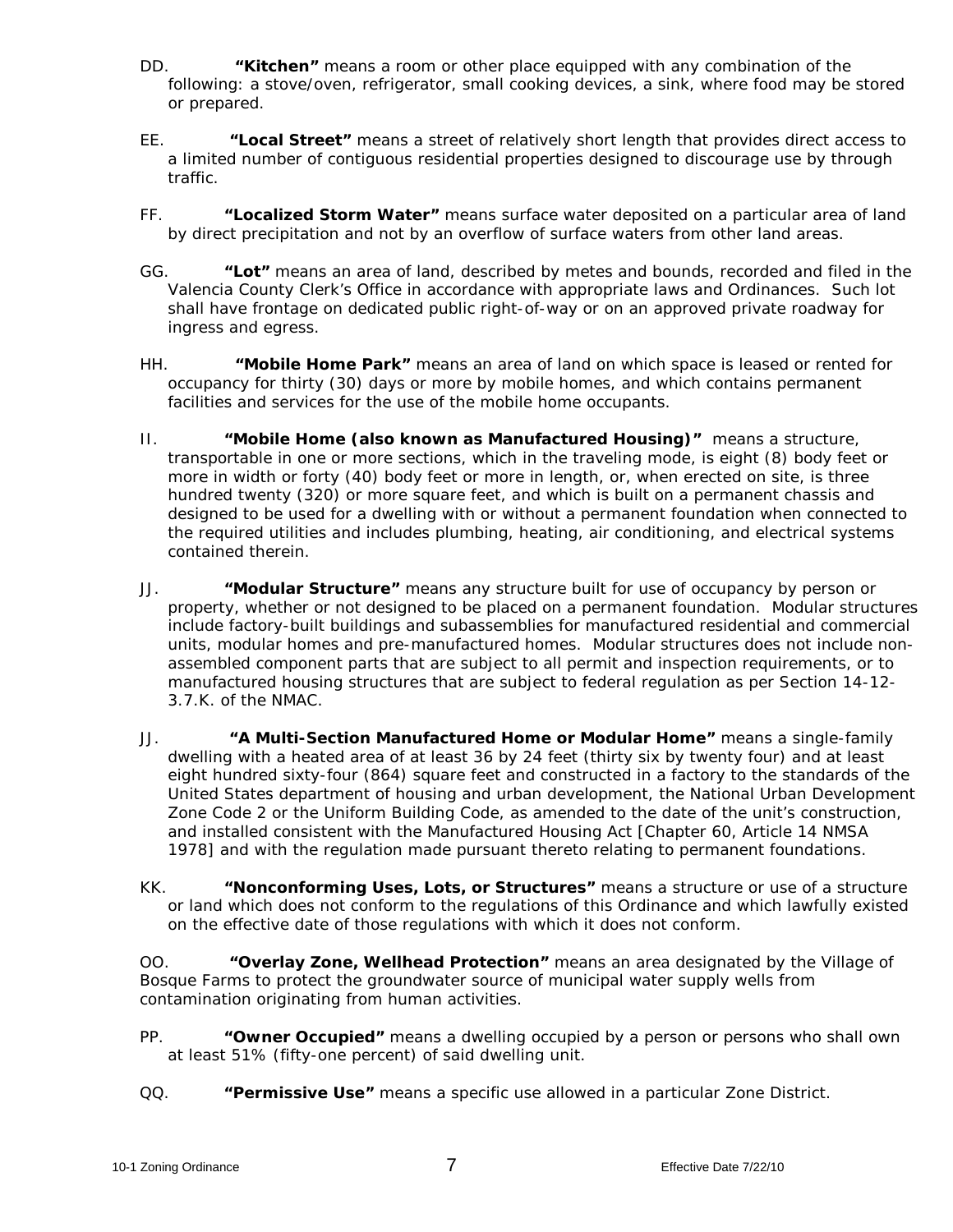- DD. **"Kitchen"** means a room or other place equipped with any combination of the following: a stove/oven, refrigerator, small cooking devices, a sink, where food may be stored or prepared.
- EE. **"Local Street"** means a street of relatively short length that provides direct access to a limited number of contiguous residential properties designed to discourage use by through traffic.
- FF. **"Localized Storm Water"** means surface water deposited on a particular area of land by direct precipitation and not by an overflow of surface waters from other land areas.
- GG. **"Lot"** means an area of land, described by metes and bounds, recorded and filed in the Valencia County Clerk's Office in accordance with appropriate laws and Ordinances. Such lot shall have frontage on dedicated public right-of-way or on an approved private roadway for ingress and egress.
- HH. **"Mobile Home Park"** means an area of land on which space is leased or rented for occupancy for thirty (30) days or more by mobile homes, and which contains permanent facilities and services for the use of the mobile home occupants.
- II. **"Mobile Home (also known as Manufactured Housing)"** means a structure, transportable in one or more sections, which in the traveling mode, is eight (8) body feet or more in width or forty (40) body feet or more in length, or, when erected on site, is three hundred twenty (320) or more square feet, and which is built on a permanent chassis and designed to be used for a dwelling with or without a permanent foundation when connected to the required utilities and includes plumbing, heating, air conditioning, and electrical systems contained therein.
- JJ. **"Modular Structure"** means any structure built for use of occupancy by person or property, whether or not designed to be placed on a permanent foundation. Modular structures include factory-built buildings and subassemblies for manufactured residential and commercial units, modular homes and pre-manufactured homes. Modular structures does not include nonassembled component parts that are subject to all permit and inspection requirements, or to manufactured housing structures that are subject to federal regulation as per Section 14-12- 3.7.K. of the NMAC.
- JJ. **"A Multi-Section Manufactured Home or Modular Home"** means a single-family dwelling with a heated area of at least 36 by 24 feet (thirty six by twenty four) and at least eight hundred sixty-four (864) square feet and constructed in a factory to the standards of the United States department of housing and urban development, the National Urban Development Zone Code 2 or the Uniform Building Code, as amended to the date of the unit's construction, and installed consistent with the Manufactured Housing Act [Chapter 60, Article 14 NMSA 1978] and with the regulation made pursuant thereto relating to permanent foundations.
- KK. **"Nonconforming Uses, Lots, or Structures"** means a structure or use of a structure or land which does not conform to the regulations of this Ordinance and which lawfully existed on the effective date of those regulations with which it does not conform.

OO. **"Overlay Zone, Wellhead Protection"** means an area designated by the Village of Bosque Farms to protect the groundwater source of municipal water supply wells from contamination originating from human activities.

- PP. **"Owner Occupied"** means a dwelling occupied by a person or persons who shall own at least 51% (fifty-one percent) of said dwelling unit.
- QQ. **"Permissive Use"** means a specific use allowed in a particular Zone District.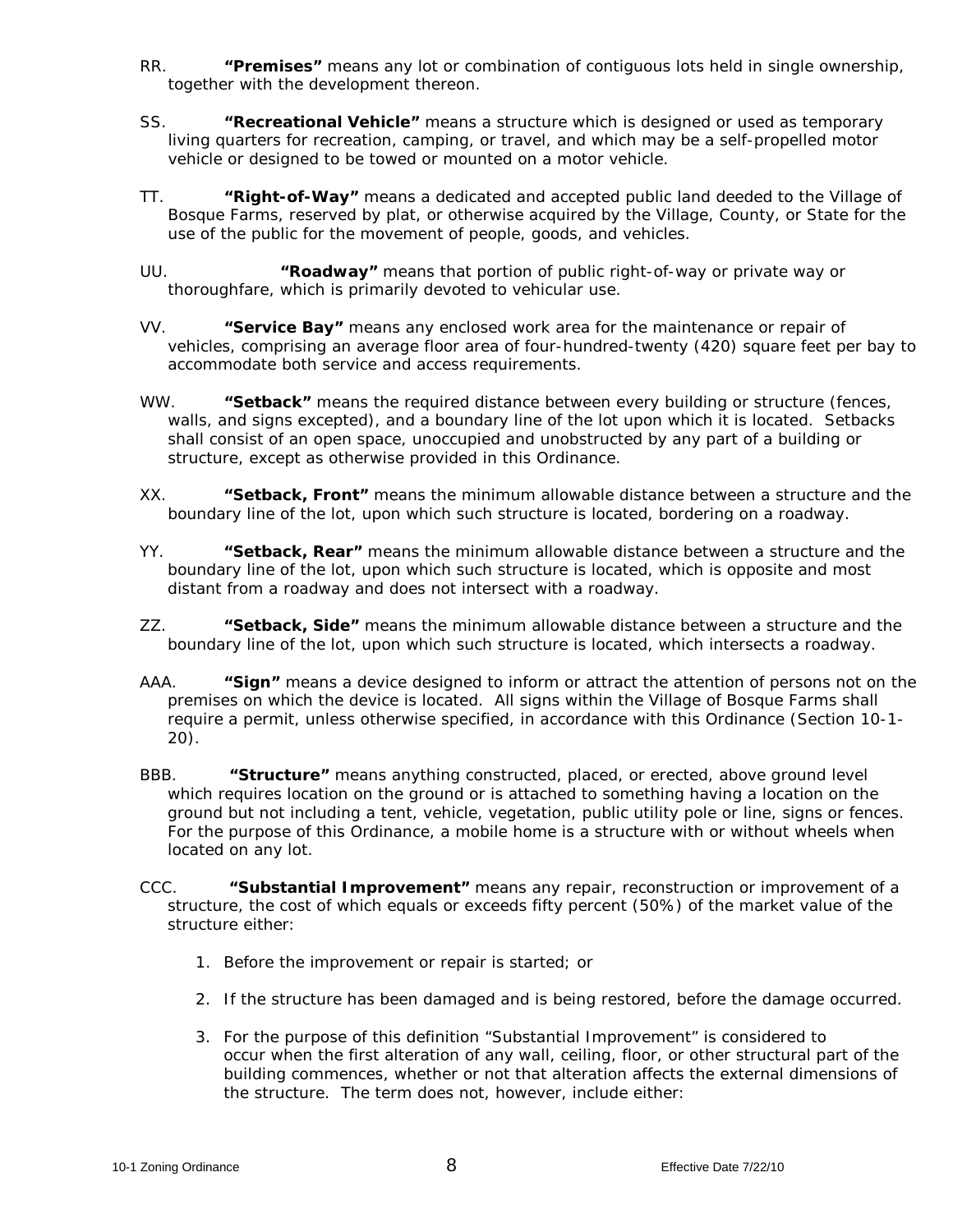- RR. **"Premises"** means any lot or combination of contiguous lots held in single ownership, together with the development thereon.
- SS. **"Recreational Vehicle"** means a structure which is designed or used as temporary living quarters for recreation, camping, or travel, and which may be a self-propelled motor vehicle or designed to be towed or mounted on a motor vehicle.
- TT. **"Right-of-Way"** means a dedicated and accepted public land deeded to the Village of Bosque Farms, reserved by plat, or otherwise acquired by the Village, County, or State for the use of the public for the movement of people, goods, and vehicles.
- UU. **"Roadway"** means that portion of public right-of-way or private way or thoroughfare, which is primarily devoted to vehicular use.
- VV. **"Service Bay"** means any enclosed work area for the maintenance or repair of vehicles, comprising an average floor area of four-hundred-twenty (420) square feet per bay to accommodate both service and access requirements.
- WW. **"Setback"** means the required distance between every building or structure (fences, walls, and signs excepted), and a boundary line of the lot upon which it is located. Setbacks shall consist of an open space, unoccupied and unobstructed by any part of a building or structure, except as otherwise provided in this Ordinance.
- XX. **"Setback, Front"** means the minimum allowable distance between a structure and the boundary line of the lot, upon which such structure is located, bordering on a roadway.
- YY. **"Setback, Rear"** means the minimum allowable distance between a structure and the boundary line of the lot, upon which such structure is located, which is opposite and most distant from a roadway and does not intersect with a roadway.
- ZZ. **"Setback, Side"** means the minimum allowable distance between a structure and the boundary line of the lot, upon which such structure is located, which intersects a roadway.
- AAA. **"Sign"** means a device designed to inform or attract the attention of persons not on the premises on which the device is located. All signs within the Village of Bosque Farms shall require a permit, unless otherwise specified, in accordance with this Ordinance (Section 10-1- 20).
- BBB. **"Structure"** means anything constructed, placed, or erected, above ground level which requires location on the ground or is attached to something having a location on the ground but not including a tent, vehicle, vegetation, public utility pole or line, signs or fences. For the purpose of this Ordinance, a mobile home is a structure with or without wheels when located on any lot.
- CCC. **"Substantial Improvement"** means any repair, reconstruction or improvement of a structure, the cost of which equals or exceeds fifty percent (50%) of the market value of the structure either:
	- 1. Before the improvement or repair is started; or
	- 2. If the structure has been damaged and is being restored, before the damage occurred.
	- 3. For the purpose of this definition "Substantial Improvement" is considered to occur when the first alteration of any wall, ceiling, floor, or other structural part of the building commences, whether or not that alteration affects the external dimensions of the structure. The term does not, however, include either: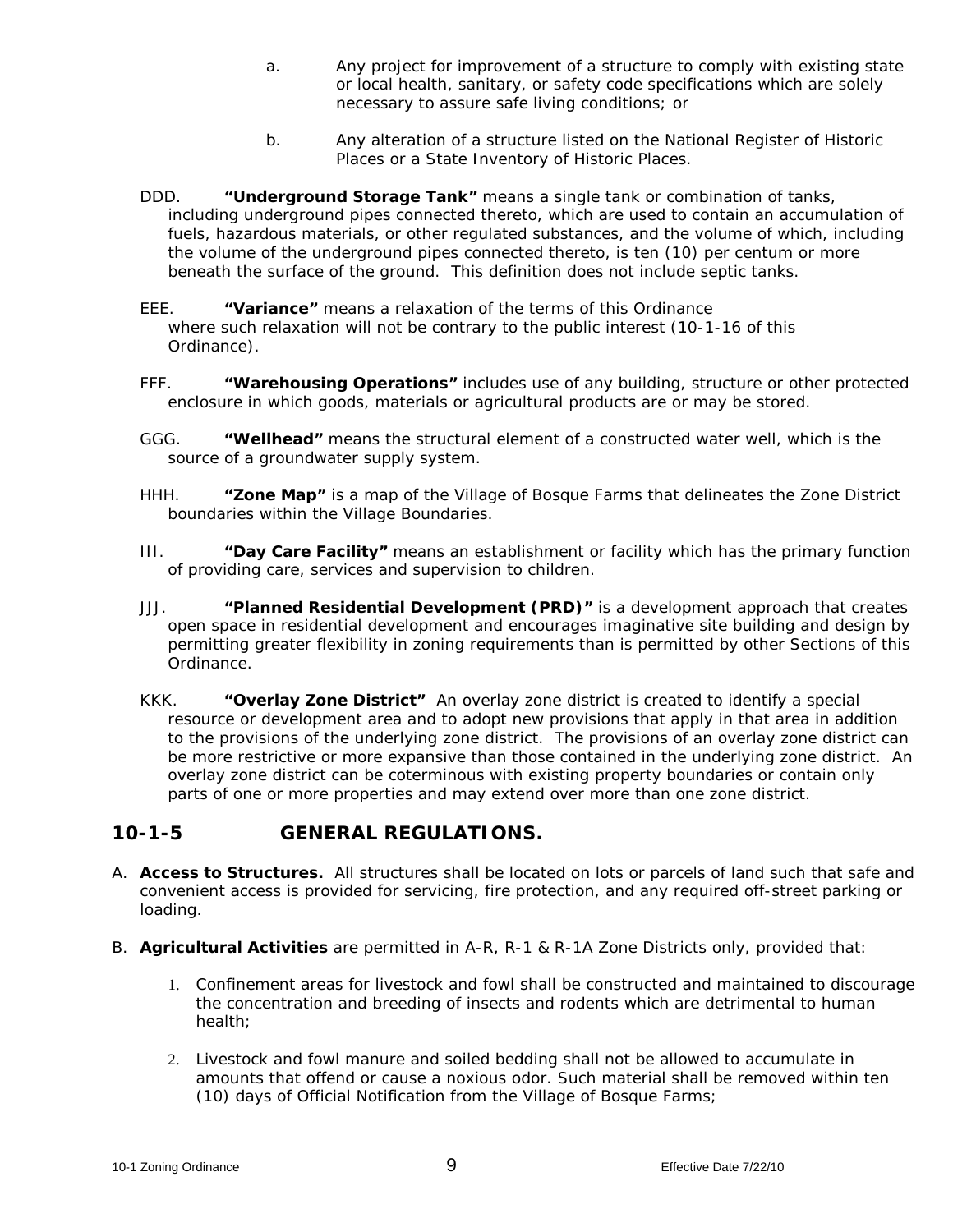- a. Any project for improvement of a structure to comply with existing state or local health, sanitary, or safety code specifications which are solely necessary to assure safe living conditions; or
- b. Any alteration of a structure listed on the National Register of Historic Places or a State Inventory of Historic Places.
- DDD. **"Underground Storage Tank"** means a single tank or combination of tanks, including underground pipes connected thereto, which are used to contain an accumulation of fuels, hazardous materials, or other regulated substances, and the volume of which, including the volume of the underground pipes connected thereto, is ten (10) per centum or more beneath the surface of the ground. This definition does not include septic tanks.
- EEE. **"Variance"** means a relaxation of the terms of this Ordinance where such relaxation will not be contrary to the public interest (10-1-16 of this Ordinance).
- FFF. **"Warehousing Operations"** includes use of any building, structure or other protected enclosure in which goods, materials or agricultural products are or may be stored.
- GGG. **"Wellhead"** means the structural element of a constructed water well, which is the source of a groundwater supply system.
- HHH. **"Zone Map"** is a map of the Village of Bosque Farms that delineates the Zone District boundaries within the Village Boundaries.
- III. **"Day Care Facility"** means an establishment or facility which has the primary function of providing care, services and supervision to children.
- JJJ. **"Planned Residential Development (PRD)"** is a development approach that creates open space in residential development and encourages imaginative site building and design by permitting greater flexibility in zoning requirements than is permitted by other Sections of this Ordinance.
- KKK. **"Overlay Zone District"** An overlay zone district is created to identify a special resource or development area and to adopt new provisions that apply in that area in addition to the provisions of the underlying zone district. The provisions of an overlay zone district can be more restrictive or more expansive than those contained in the underlying zone district. An overlay zone district can be coterminous with existing property boundaries or contain only parts of one or more properties and may extend over more than one zone district.

### **10-1-5 GENERAL REGULATIONS.**

- A. **Access to Structures.** All structures shall be located on lots or parcels of land such that safe and convenient access is provided for servicing, fire protection, and any required off-street parking or loading.
- B. **Agricultural Activities** are permitted in A-R, R-1 & R-1A Zone Districts only, provided that:
	- 1. Confinement areas for livestock and fowl shall be constructed and maintained to discourage the concentration and breeding of insects and rodents which are detrimental to human health;
	- 2. Livestock and fowl manure and soiled bedding shall not be allowed to accumulate in amounts that offend or cause a noxious odor. Such material shall be removed within ten (10) days of Official Notification from the Village of Bosque Farms;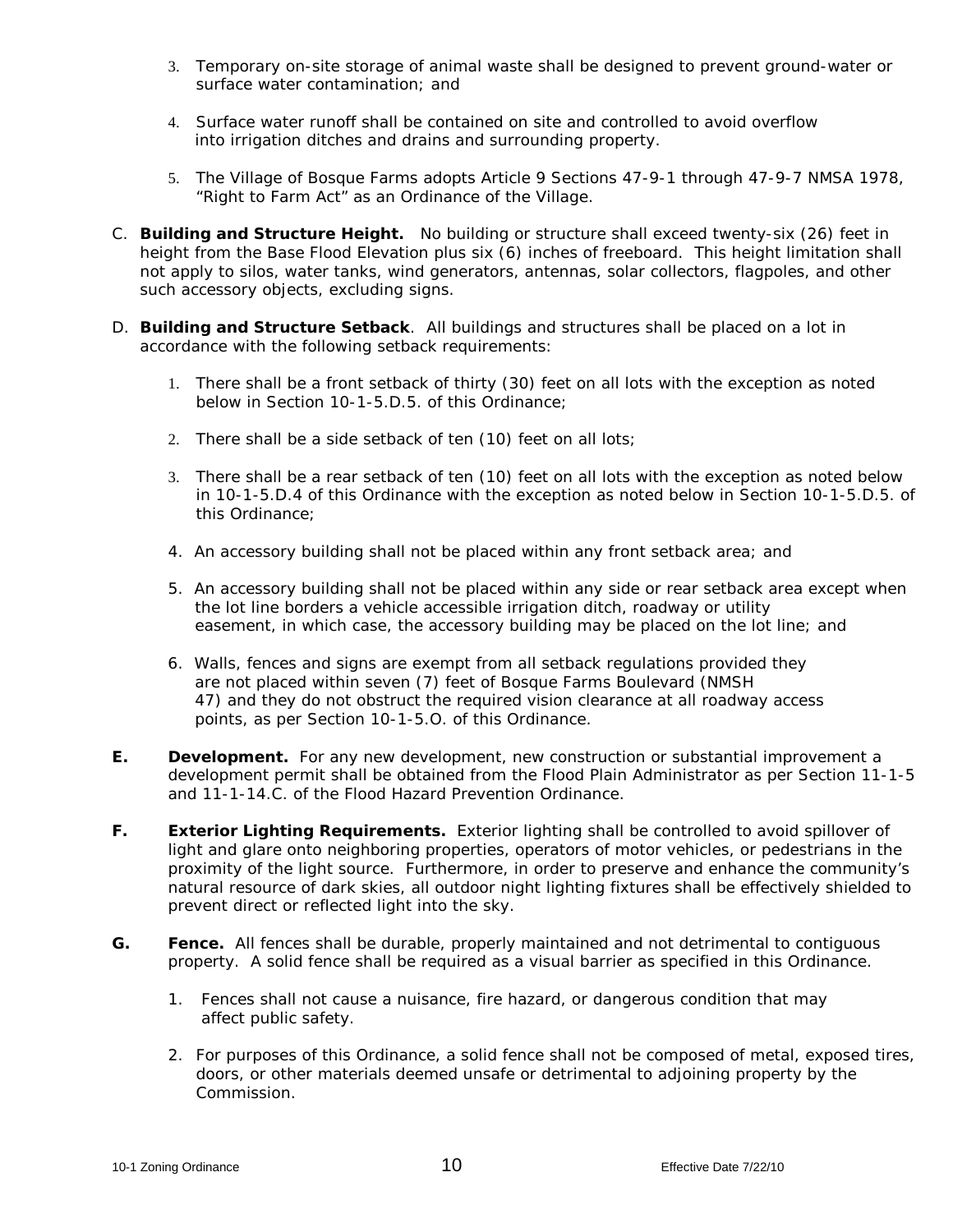- 3. Temporary on-site storage of animal waste shall be designed to prevent ground-water or surface water contamination; and
- 4. Surface water runoff shall be contained on site and controlled to avoid overflow into irrigation ditches and drains and surrounding property.
- 5. The Village of Bosque Farms adopts Article 9 Sections 47-9-1 through 47-9-7 NMSA 1978, "Right to Farm Act" as an Ordinance of the Village.
- C. **Building and Structure Height.** No building or structure shall exceed twenty-six (26) feet in height from the Base Flood Elevation plus six (6) inches of freeboard. This height limitation shall not apply to silos, water tanks, wind generators, antennas, solar collectors, flagpoles, and other such accessory objects, excluding signs.
- D. **Building and Structure Setback**. All buildings and structures shall be placed on a lot in accordance with the following setback requirements:
	- 1. There shall be a front setback of thirty (30) feet on all lots with the exception as noted below in Section 10-1-5.D.5. of this Ordinance;
	- 2. There shall be a side setback of ten (10) feet on all lots;
	- 3. There shall be a rear setback of ten (10) feet on all lots with the exception as noted below in 10-1-5.D.4 of this Ordinance with the exception as noted below in Section 10-1-5.D.5. of this Ordinance;
	- 4. An accessory building shall not be placed within any front setback area; and
	- 5. An accessory building shall not be placed within any side or rear setback area except when the lot line borders a vehicle accessible irrigation ditch, roadway or utility easement, in which case, the accessory building may be placed on the lot line; and
	- 6. Walls, fences and signs are exempt from all setback regulations provided they are not placed within seven (7) feet of Bosque Farms Boulevard (NMSH 47) and they do not obstruct the required vision clearance at all roadway access points, as per Section 10-1-5.O. of this Ordinance.
- **E. Development.** For any new development, new construction or substantial improvement a development permit shall be obtained from the Flood Plain Administrator as per Section 11-1-5 and 11-1-14.C. of the Flood Hazard Prevention Ordinance.
- **F. Exterior Lighting Requirements.** Exterior lighting shall be controlled to avoid spillover of light and glare onto neighboring properties, operators of motor vehicles, or pedestrians in the proximity of the light source. Furthermore, in order to preserve and enhance the community's natural resource of dark skies, all outdoor night lighting fixtures shall be effectively shielded to prevent direct or reflected light into the sky.
- **G. Fence.** All fences shall be durable, properly maintained and not detrimental to contiguous property. A solid fence shall be required as a visual barrier as specified in this Ordinance.
	- 1. Fences shall not cause a nuisance, fire hazard, or dangerous condition that may affect public safety.
	- *2.* For purposes of this Ordinance, a solid fence shall not be composed of metal, exposed tires, doors, or other materials deemed unsafe or detrimental to adjoining property by the Commission.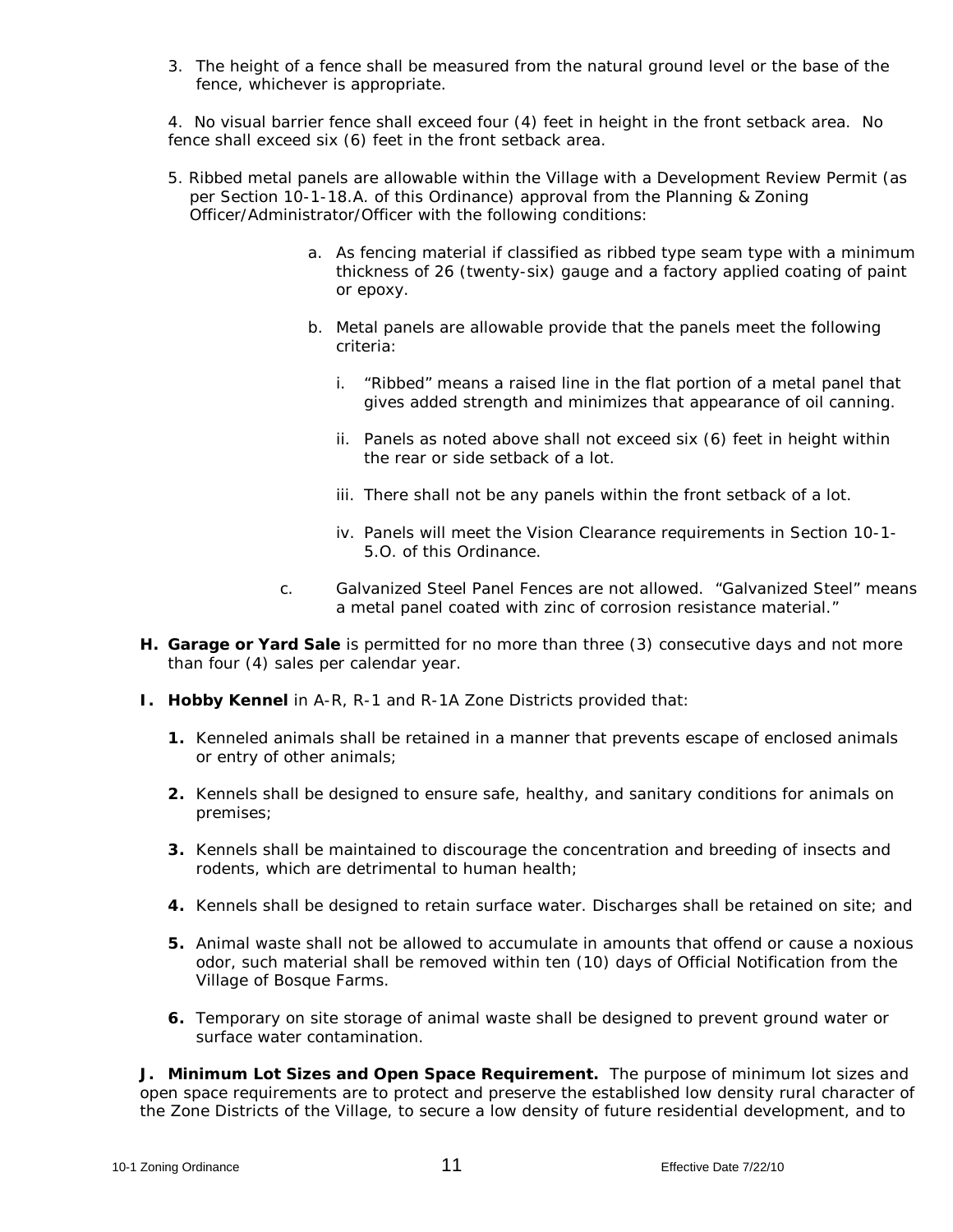3. The height of a fence shall be measured from the natural ground level or the base of the fence, whichever is appropriate.

4. No visual barrier fence shall exceed four (4) feet in height in the front setback area. No fence shall exceed six (6) feet in the front setback area.

- 5. Ribbed metal panels are allowable within the Village with a Development Review Permit (as per Section 10-1-18.A. of this Ordinance) approval from the Planning & Zoning Officer/Administrator/Officer with the following conditions:
	- a. As fencing material if classified as ribbed type seam type with a minimum thickness of 26 (twenty-six) gauge and a factory applied coating of paint or epoxy.
	- b. Metal panels are allowable provide that the panels meet the following criteria:
		- i. "Ribbed" means a raised line in the flat portion of a metal panel that gives added strength and minimizes that appearance of oil canning.
		- ii. Panels as noted above shall not exceed six (6) feet in height within the rear or side setback of a lot.
		- iii. There shall not be any panels within the front setback of a lot.
		- iv. Panels will meet the Vision Clearance requirements in Section 10-1- 5.O. of this Ordinance.
	- c. Galvanized Steel Panel Fences are not allowed. "Galvanized Steel" means a metal panel coated with zinc of corrosion resistance material."
- **H. Garage or Yard Sale** is permitted for no more than three (3) consecutive days and not more than four (4) sales per calendar year.
- **I. Hobby Kennel** in A-R, R-1 and R-1A Zone Districts provided that:
	- **1.** Kenneled animals shall be retained in a manner that prevents escape of enclosed animals or entry of other animals;
	- **2.** Kennels shall be designed to ensure safe, healthy, and sanitary conditions for animals on premises;
	- **3.** Kennels shall be maintained to discourage the concentration and breeding of insects and rodents, which are detrimental to human health;
	- **4.** Kennels shall be designed to retain surface water. Discharges shall be retained on site; and
	- **5.** Animal waste shall not be allowed to accumulate in amounts that offend or cause a noxious odor, such material shall be removed within ten (10) days of Official Notification from the Village of Bosque Farms.
	- **6.** Temporary on site storage of animal waste shall be designed to prevent ground water or surface water contamination.

**J. Minimum Lot Sizes and Open Space Requirement.** The purpose of minimum lot sizes and open space requirements are to protect and preserve the established low density rural character of the Zone Districts of the Village, to secure a low density of future residential development, and to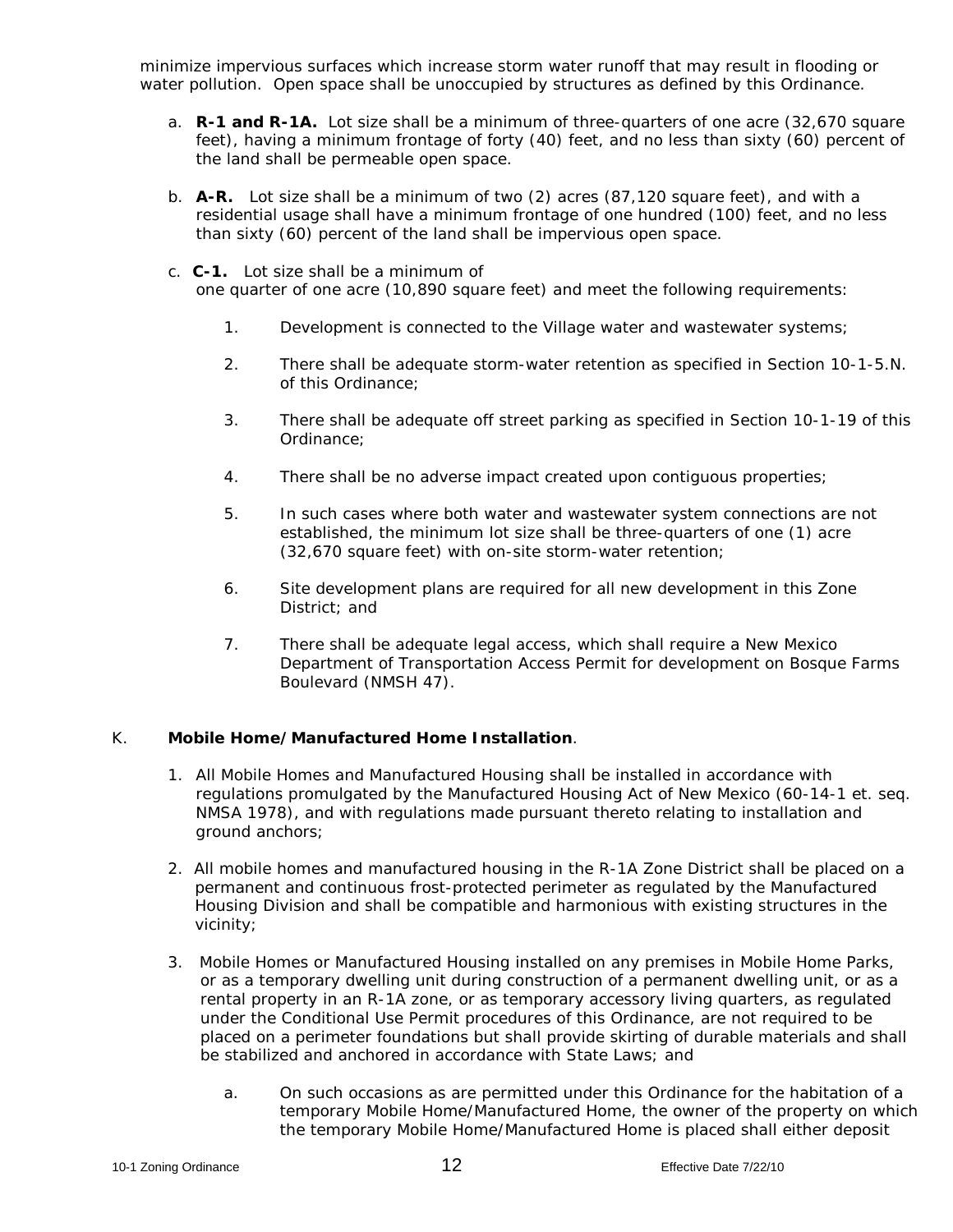minimize impervious surfaces which increase storm water runoff that may result in flooding or water pollution. Open space shall be unoccupied by structures as defined by this Ordinance.

- a. **R-1 and R-1A.** Lot size shall be a minimum of three-quarters of one acre (32,670 square feet), having a minimum frontage of forty (40) feet, and no less than sixty (60) percent of the land shall be permeable open space.
- b. **A-R.** Lot size shall be a minimum of two (2) acres (87,120 square feet), and with a residential usage shall have a minimum frontage of one hundred (100) feet, and no less than sixty (60) percent of the land shall be impervious open space.
- c. **C-1.** Lot size shall be a minimum of one quarter of one acre (10,890 square feet) and meet the following requirements:
	- 1. Development is connected to the Village water and wastewater systems;
	- 2. There shall be adequate storm-water retention as specified in Section 10-1-5.N. of this Ordinance;
	- 3. There shall be adequate off street parking as specified in Section 10-1-19 of this Ordinance;
	- 4. There shall be no adverse impact created upon contiguous properties;
	- 5. In such cases where both water and wastewater system connections are not established, the minimum lot size shall be three-quarters of one (1) acre (32,670 square feet) with on-site storm-water retention;
	- 6. Site development plans are required for all new development in this Zone District; and
	- 7. There shall be adequate legal access, which shall require a New Mexico Department of Transportation Access Permit for development on Bosque Farms Boulevard (NMSH 47).

### K. **Mobile Home/Manufactured Home Installation**.

- 1. All Mobile Homes and Manufactured Housing shall be installed in accordance with regulations promulgated by the Manufactured Housing Act of New Mexico (60-14-1 et. seq. NMSA 1978), and with regulations made pursuant thereto relating to installation and ground anchors;
- 2. All mobile homes and manufactured housing in the R-1A Zone District shall be placed on a permanent and continuous frost-protected perimeter as regulated by the Manufactured Housing Division and shall be compatible and harmonious with existing structures in the vicinity;
- 3. Mobile Homes or Manufactured Housing installed on any premises in Mobile Home Parks, or as a temporary dwelling unit during construction of a permanent dwelling unit, or as a rental property in an R-1A zone, or as temporary accessory living quarters, as regulated under the Conditional Use Permit procedures of this Ordinance, are not required to be placed on a perimeter foundations but shall provide skirting of durable materials and shall be stabilized and anchored in accordance with State Laws; and
	- a. On such occasions as are permitted under this Ordinance for the habitation of a temporary Mobile Home/Manufactured Home, the owner of the property on which the temporary Mobile Home/Manufactured Home is placed shall either deposit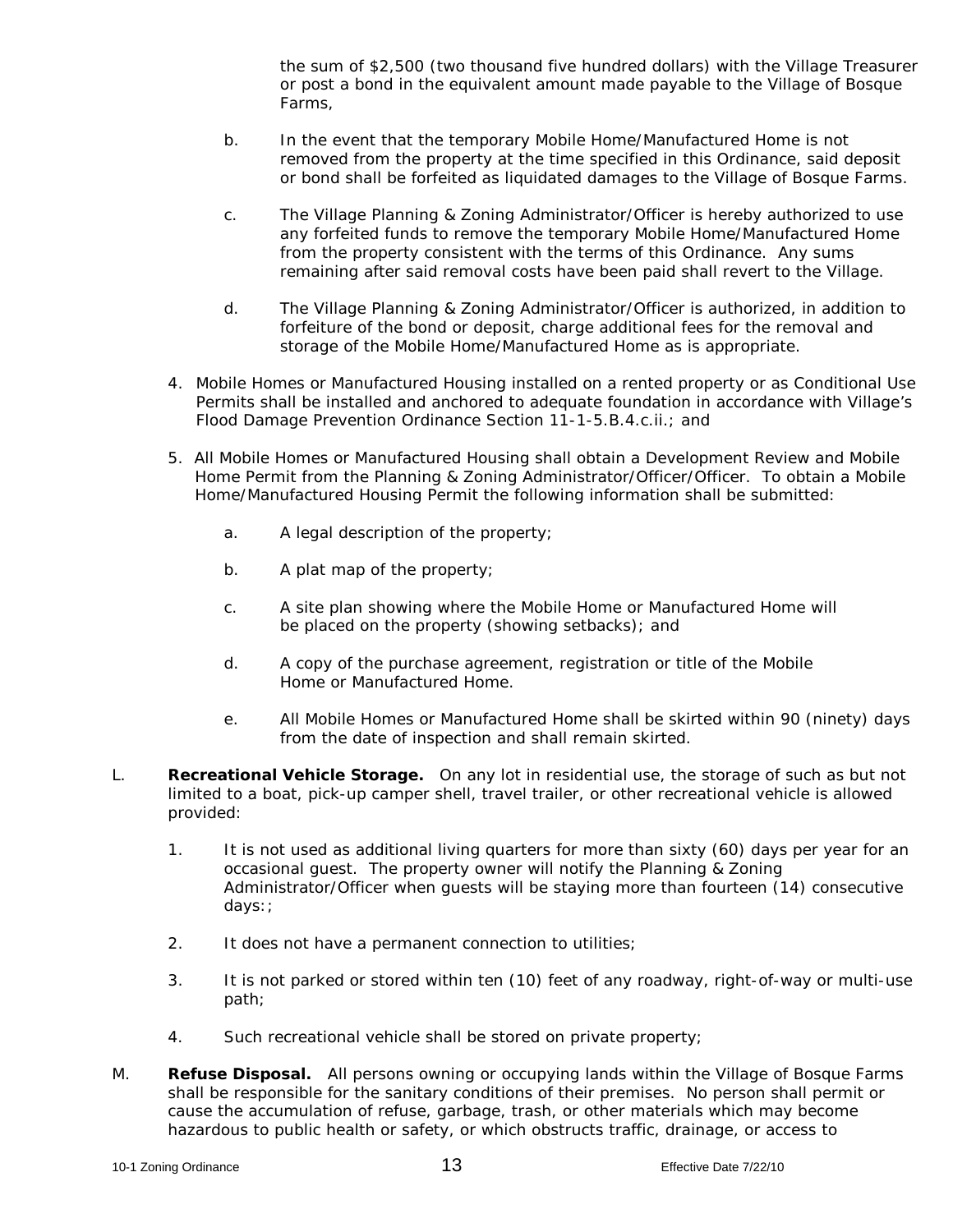the sum of \$2,500 (two thousand five hundred dollars) with the Village Treasurer or post a bond in the equivalent amount made payable to the Village of Bosque Farms,

- b. In the event that the temporary Mobile Home/Manufactured Home is not removed from the property at the time specified in this Ordinance, said deposit or bond shall be forfeited as liquidated damages to the Village of Bosque Farms.
- c. The Village Planning & Zoning Administrator/Officer is hereby authorized to use any forfeited funds to remove the temporary Mobile Home/Manufactured Home from the property consistent with the terms of this Ordinance. Any sums remaining after said removal costs have been paid shall revert to the Village.
- d. The Village Planning & Zoning Administrator/Officer is authorized, in addition to forfeiture of the bond or deposit, charge additional fees for the removal and storage of the Mobile Home/Manufactured Home as is appropriate.
- 4. Mobile Homes or Manufactured Housing installed on a rented property or as Conditional Use Permits shall be installed and anchored to adequate foundation in accordance with Village's Flood Damage Prevention Ordinance Section 11-1-5.B.4.c.ii.; and
- 5. All Mobile Homes or Manufactured Housing shall obtain a Development Review and Mobile Home Permit from the Planning & Zoning Administrator/Officer/Officer. To obtain a Mobile Home/Manufactured Housing Permit the following information shall be submitted:
	- a. A legal description of the property;
	- b. A plat map of the property;
	- c. A site plan showing where the Mobile Home or Manufactured Home will be placed on the property (showing setbacks); and
	- d. A copy of the purchase agreement, registration or title of the Mobile Home or Manufactured Home.
	- e. All Mobile Homes or Manufactured Home shall be skirted within 90 (ninety) days from the date of inspection and shall remain skirted.
- L. **Recreational Vehicle Storage.** On any lot in residential use, the storage of such as but not limited to a boat, pick-up camper shell, travel trailer, or other recreational vehicle is allowed provided:
	- 1. It is not used as additional living quarters for more than sixty (60) days per year for an occasional guest. The property owner will notify the Planning & Zoning Administrator/Officer when guests will be staying more than fourteen (14) consecutive days:;
	- 2. It does not have a permanent connection to utilities;
	- 3. It is not parked or stored within ten (10) feet of any roadway, right-of-way or multi-use path;
	- 4. Such recreational vehicle shall be stored on private property;
- M. **Refuse Disposal.** All persons owning or occupying lands within the Village of Bosque Farms shall be responsible for the sanitary conditions of their premises. No person shall permit or cause the accumulation of refuse, garbage, trash, or other materials which may become hazardous to public health or safety, or which obstructs traffic, drainage, or access to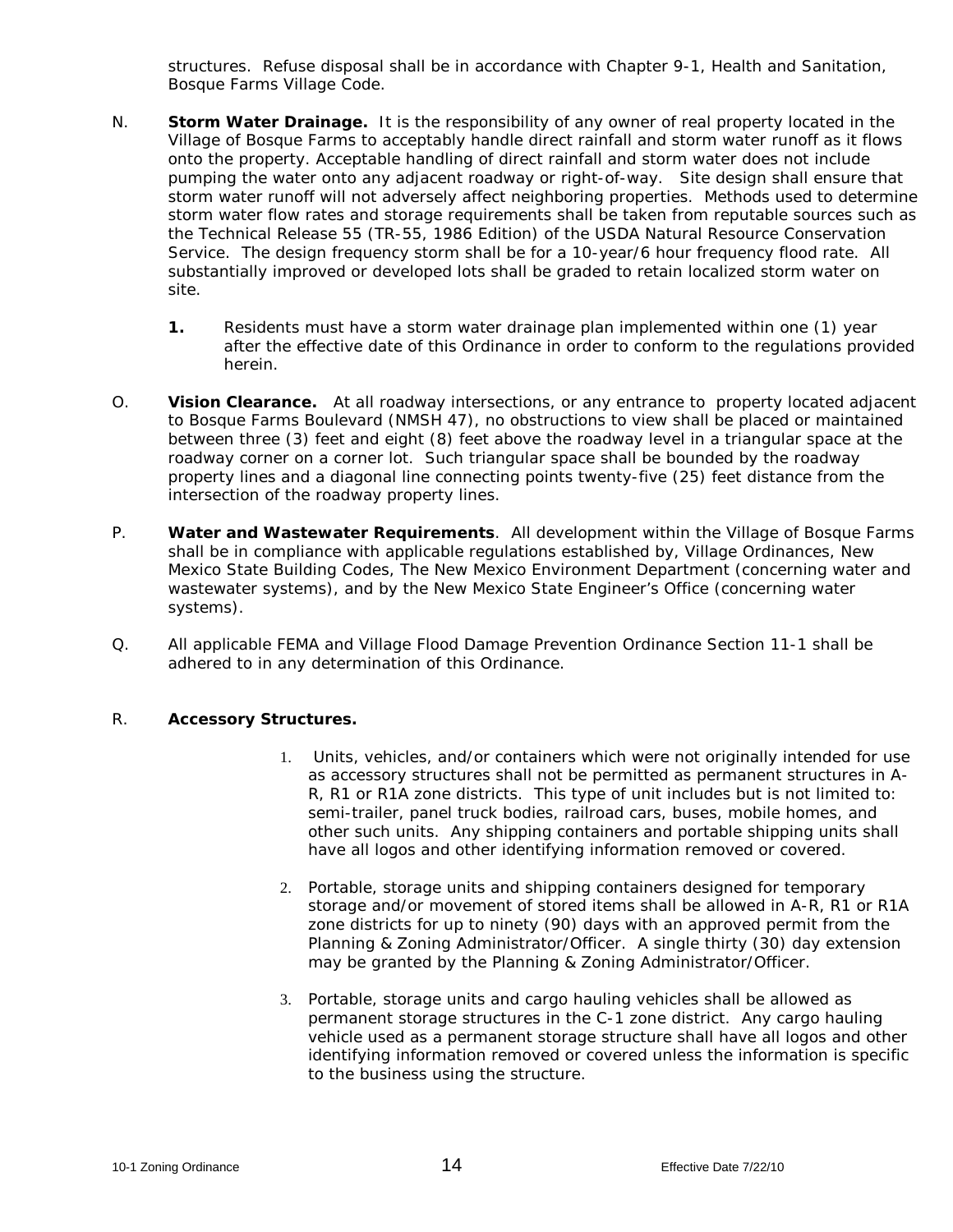structures. Refuse disposal shall be in accordance with Chapter 9-1, Health and Sanitation, Bosque Farms Village Code.

- N. **Storm Water Drainage.** It is the responsibility of any owner of real property located in the Village of Bosque Farms to acceptably handle direct rainfall and storm water runoff as it flows onto the property. Acceptable handling of direct rainfall and storm water does not include pumping the water onto any adjacent roadway or right-of-way. Site design shall ensure that storm water runoff will not adversely affect neighboring properties. Methods used to determine storm water flow rates and storage requirements shall be taken from reputable sources such as the Technical Release 55 (TR-55, 1986 Edition) of the USDA Natural Resource Conservation Service. The design frequency storm shall be for a 10-year/6 hour frequency flood rate. All substantially improved or developed lots shall be graded to retain localized storm water on site.
	- **1.** Residents must have a storm water drainage plan implemented within one (1) year after the effective date of this Ordinance in order to conform to the regulations provided herein.
- O. **Vision Clearance.** At all roadway intersections, or any entrance to property located adjacent to Bosque Farms Boulevard (NMSH 47), no obstructions to view shall be placed or maintained between three (3) feet and eight (8) feet above the roadway level in a triangular space at the roadway corner on a corner lot. Such triangular space shall be bounded by the roadway property lines and a diagonal line connecting points twenty-five (25) feet distance from the intersection of the roadway property lines.
- P. **Water and Wastewater Requirements**. All development within the Village of Bosque Farms shall be in compliance with applicable regulations established by, Village Ordinances, New Mexico State Building Codes, The New Mexico Environment Department (concerning water and wastewater systems), and by the New Mexico State Engineer's Office (concerning water systems).
- Q. All applicable FEMA and Village Flood Damage Prevention Ordinance Section 11-1 shall be adhered to in any determination of this Ordinance.

### R. **Accessory Structures.**

- 1. Units, vehicles, and/or containers which were not originally intended for use as accessory structures shall not be permitted as permanent structures in A-R, R1 or R1A zone districts. This type of unit includes but is not limited to: semi-trailer, panel truck bodies, railroad cars, buses, mobile homes, and other such units. Any shipping containers and portable shipping units shall have all logos and other identifying information removed or covered.
- 2. Portable, storage units and shipping containers designed for temporary storage and/or movement of stored items shall be allowed in A-R, R1 or R1A zone districts for up to ninety (90) days with an approved permit from the Planning & Zoning Administrator/Officer. A single thirty (30) day extension may be granted by the Planning & Zoning Administrator/Officer.
- 3. Portable, storage units and cargo hauling vehicles shall be allowed as permanent storage structures in the C-1 zone district. Any cargo hauling vehicle used as a permanent storage structure shall have all logos and other identifying information removed or covered unless the information is specific to the business using the structure.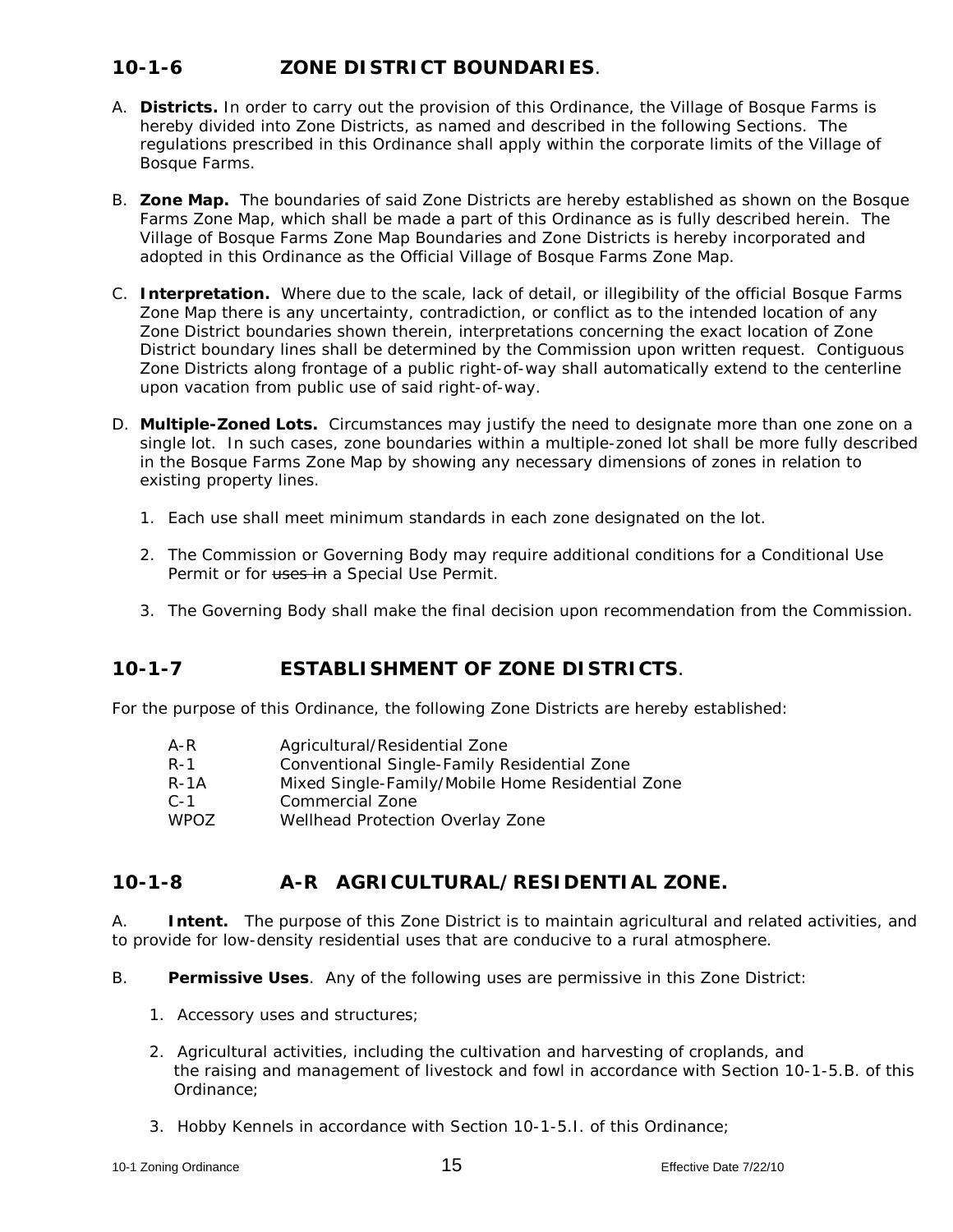# **10-1-6 ZONE DISTRICT BOUNDARIES**.

- A. **Districts.** In order to carry out the provision of this Ordinance, the Village of Bosque Farms is hereby divided into Zone Districts, as named and described in the following Sections. The regulations prescribed in this Ordinance shall apply within the corporate limits of the Village of Bosque Farms.
- B. **Zone Map.** The boundaries of said Zone Districts are hereby established as shown on the Bosque Farms Zone Map, which shall be made a part of this Ordinance as is fully described herein. The Village of Bosque Farms Zone Map Boundaries and Zone Districts is hereby incorporated and adopted in this Ordinance as the Official Village of Bosque Farms Zone Map.
- C. **Interpretation.** Where due to the scale, lack of detail, or illegibility of the official Bosque Farms Zone Map there is any uncertainty, contradiction, or conflict as to the intended location of any Zone District boundaries shown therein, interpretations concerning the exact location of Zone District boundary lines shall be determined by the Commission upon written request. Contiguous Zone Districts along frontage of a public right-of-way shall automatically extend to the centerline upon vacation from public use of said right-of-way.
- D. **Multiple-Zoned Lots.** Circumstances may justify the need to designate more than one zone on a single lot. In such cases, zone boundaries within a multiple-zoned lot shall be more fully described in the Bosque Farms Zone Map by showing any necessary dimensions of zones in relation to existing property lines.
	- 1. Each use shall meet minimum standards in each zone designated on the lot.
	- 2. The Commission or Governing Body may require additional conditions for a Conditional Use Permit or for uses in a Special Use Permit.
	- 3. The Governing Body shall make the final decision upon recommendation from the Commission.

## **10-1-7 ESTABLISHMENT OF ZONE DISTRICTS**.

For the purpose of this Ordinance, the following Zone Districts are hereby established:

| A-R              | Agricultural/Residential Zone                    |
|------------------|--------------------------------------------------|
| $R-1$            | Conventional Single-Family Residential Zone      |
| $R - 1A$         | Mixed Single-Family/Mobile Home Residential Zone |
| $C - 1$          | Commercial Zone                                  |
| WPO <sub>7</sub> | Wellhead Protection Overlay Zone                 |

### **10-1-8 A-R AGRICULTURAL/RESIDENTIAL ZONE.**

A. **Intent.** The purpose of this Zone District is to maintain agricultural and related activities, and to provide for low-density residential uses that are conducive to a rural atmosphere.

- B. **Permissive Uses**. Any of the following uses are permissive in this Zone District:
	- 1. Accessory uses and structures;
	- 2. Agricultural activities, including the cultivation and harvesting of croplands, and the raising and management of livestock and fowl in accordance with Section 10-1-5.B. of this Ordinance;
	- 3. Hobby Kennels in accordance with Section 10-1-5.I. of this Ordinance;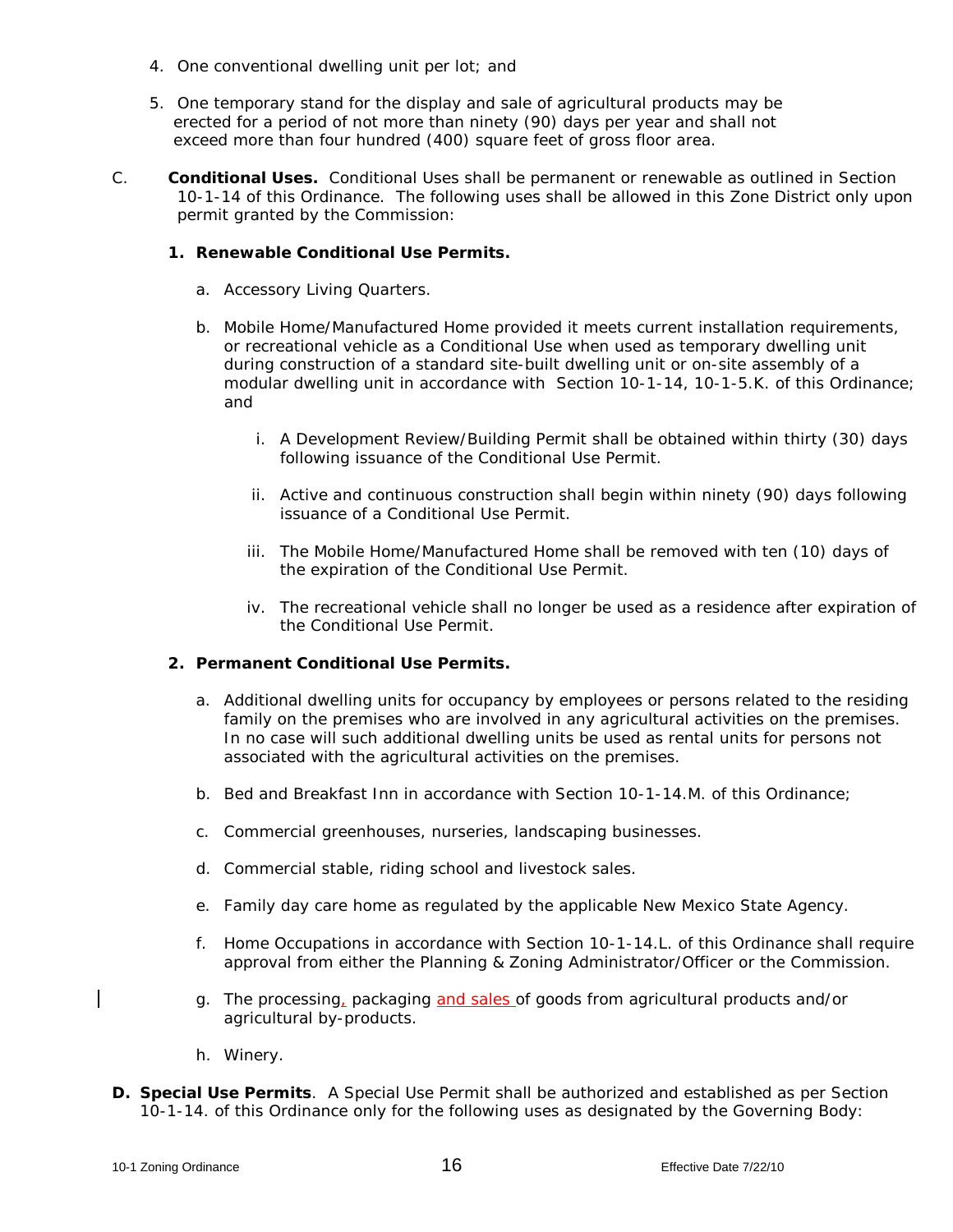- 4. One conventional dwelling unit per lot; and
- 5. One temporary stand for the display and sale of agricultural products may be erected for a period of not more than ninety (90) days per year and shall not exceed more than four hundred (400) square feet of gross floor area.
- C. **Conditional Uses.** Conditional Uses shall be permanent or renewable as outlined in Section 10-1-14 of this Ordinance. The following uses shall be allowed in this Zone District only upon permit granted by the Commission:

#### **1. Renewable Conditional Use Permits.**

- a. Accessory Living Quarters.
- *b.* Mobile Home/Manufactured Home provided it meets current installation requirements, or recreational vehicle as a Conditional Use when used as temporary dwelling unit during construction of a standard site-built dwelling unit or on-site assembly of a modular dwelling unit in accordance with Section 10-1-14, 10-1-5.K. of this Ordinance; and
	- i. A Development Review/Building Permit shall be obtained within thirty (30) days following issuance of the Conditional Use Permit.
	- ii. Active and continuous construction shall begin within ninety (90) days following issuance of a Conditional Use Permit.
	- iii. The Mobile Home/Manufactured Home shall be removed with ten (10) days of the expiration of the Conditional Use Permit.
	- iv. The recreational vehicle shall no longer be used as a residence after expiration of the Conditional Use Permit.

#### **2. Permanent Conditional Use Permits.**

- a. Additional dwelling units for occupancy by employees or persons related to the residing family on the premises who are involved in any agricultural activities on the premises. In no case will such additional dwelling units be used as rental units for persons not associated with the agricultural activities on the premises.
- *b.* Bed and Breakfast Inn in accordance with Section 10-1-14.M. of this Ordinance;
- c. Commercial greenhouses, nurseries, landscaping businesses.
- d. Commercial stable, riding school and livestock sales.
- e. Family day care home as regulated by the applicable New Mexico State Agency.
- f. Home Occupations in accordance with Section 10-1-14.L. of this Ordinance shall require approval from either the Planning & Zoning Administrator/Officer or the Commission.
- g. The processing, packaging and sales of goods from agricultural products and/or agricultural by-products.
- h. Winery.
- **D. Special Use Permits**. A Special Use Permit shall be authorized and established as per Section 10-1-14. of this Ordinance only for the following uses as designated by the Governing Body: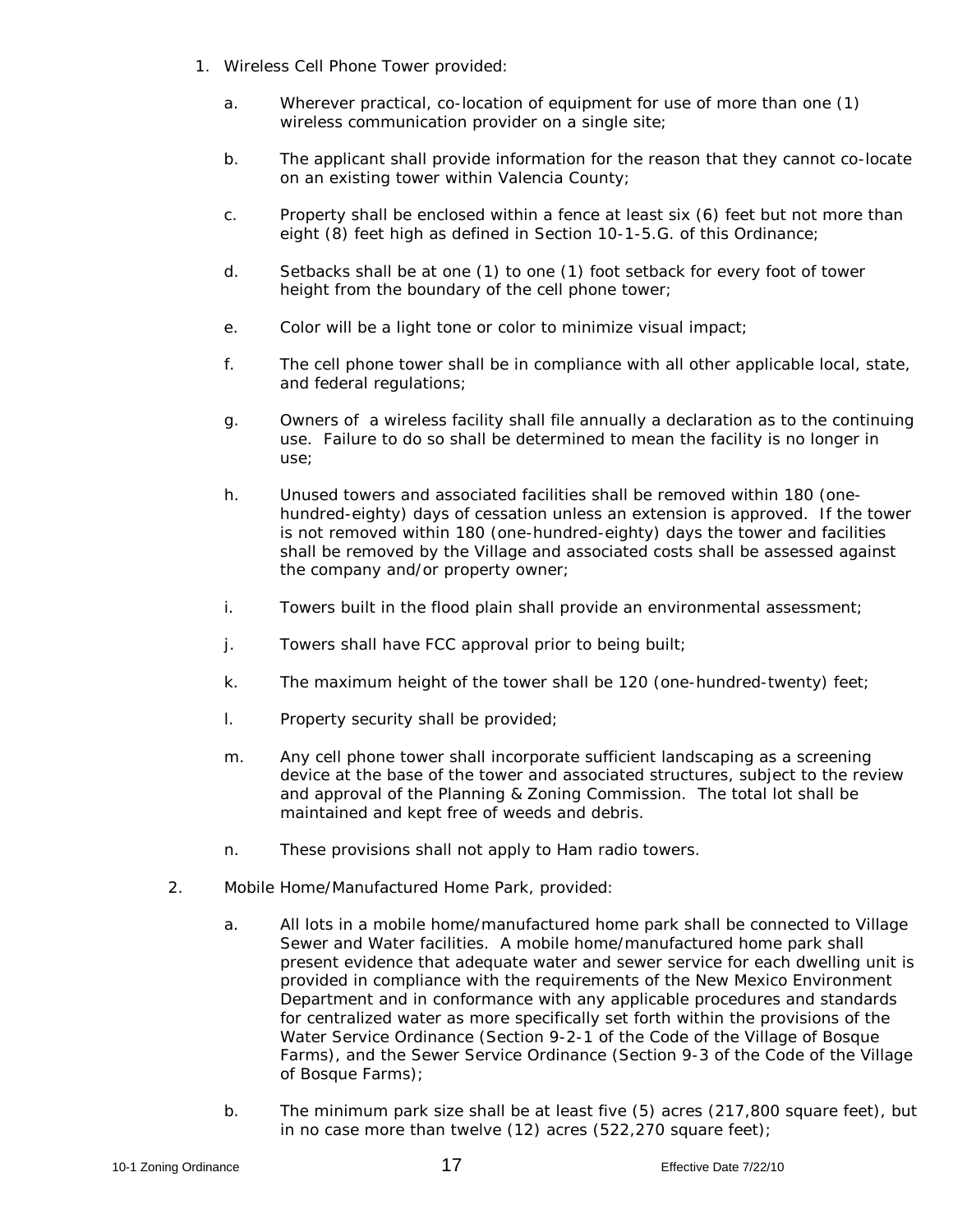- 1. Wireless Cell Phone Tower provided:
	- a. Wherever practical, co-location of equipment for use of more than one (1) wireless communication provider on a single site;
	- b. The applicant shall provide information for the reason that they cannot co-locate on an existing tower within Valencia County;
	- c. Property shall be enclosed within a fence at least six (6) feet but not more than eight (8) feet high as defined in Section 10-1-5.G. of this Ordinance;
	- d. Setbacks shall be at one (1) to one (1) foot setback for every foot of tower height from the boundary of the cell phone tower;
	- e. Color will be a light tone or color to minimize visual impact;
	- f. The cell phone tower shall be in compliance with all other applicable local, state, and federal regulations;
	- g. Owners of a wireless facility shall file annually a declaration as to the continuing use. Failure to do so shall be determined to mean the facility is no longer in use;
	- h. Unused towers and associated facilities shall be removed within 180 (onehundred-eighty) days of cessation unless an extension is approved. If the tower is not removed within 180 (one-hundred-eighty) days the tower and facilities shall be removed by the Village and associated costs shall be assessed against the company and/or property owner;
	- i. Towers built in the flood plain shall provide an environmental assessment;
	- j. Towers shall have FCC approval prior to being built;
	- k. The maximum height of the tower shall be 120 (one-hundred-twenty) feet;
	- l. Property security shall be provided;
	- m. Any cell phone tower shall incorporate sufficient landscaping as a screening device at the base of the tower and associated structures, subject to the review and approval of the Planning & Zoning Commission. The total lot shall be maintained and kept free of weeds and debris.
	- n. These provisions shall not apply to Ham radio towers.
- 2. Mobile Home/Manufactured Home Park, provided:
	- a. All lots in a mobile home/manufactured home park shall be connected to Village Sewer and Water facilities. A mobile home/manufactured home park shall present evidence that adequate water and sewer service for each dwelling unit is provided in compliance with the requirements of the New Mexico Environment Department and in conformance with any applicable procedures and standards for centralized water as more specifically set forth within the provisions of the Water Service Ordinance (Section 9-2-1 of the Code of the Village of Bosque Farms), and the Sewer Service Ordinance (Section 9-3 of the Code of the Village of Bosque Farms);
	- b. The minimum park size shall be at least five (5) acres (217,800 square feet), but in no case more than twelve (12) acres (522,270 square feet);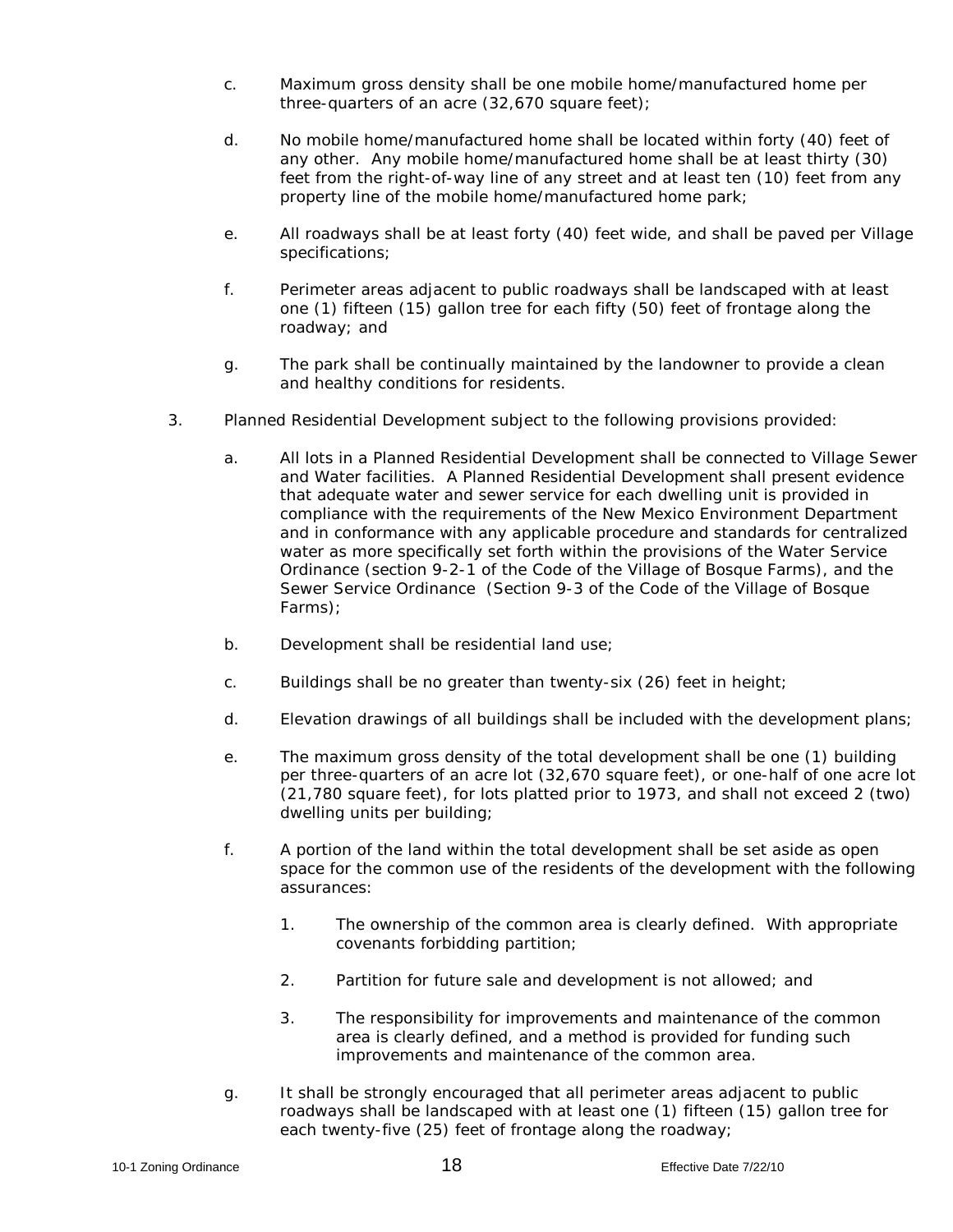- c. Maximum gross density shall be one mobile home/manufactured home per three-quarters of an acre (32,670 square feet);
- d. No mobile home/manufactured home shall be located within forty (40) feet of any other. Any mobile home/manufactured home shall be at least thirty (30) feet from the right-of-way line of any street and at least ten (10) feet from any property line of the mobile home/manufactured home park;
- e. All roadways shall be at least forty (40) feet wide, and shall be paved per Village specifications;
- f. Perimeter areas adjacent to public roadways shall be landscaped with at least one (1) fifteen (15) gallon tree for each fifty (50) feet of frontage along the roadway; and
- g. The park shall be continually maintained by the landowner to provide a clean and healthy conditions for residents.
- 3. Planned Residential Development subject to the following provisions provided:
	- a. All lots in a Planned Residential Development shall be connected to Village Sewer and Water facilities. A Planned Residential Development shall present evidence that adequate water and sewer service for each dwelling unit is provided in compliance with the requirements of the New Mexico Environment Department and in conformance with any applicable procedure and standards for centralized water as more specifically set forth within the provisions of the Water Service Ordinance (section 9-2-1 of the Code of the Village of Bosque Farms), and the Sewer Service Ordinance (Section 9-3 of the Code of the Village of Bosque Farms);
	- b. Development shall be residential land use;
	- c. Buildings shall be no greater than twenty-six (26) feet in height;
	- d. Elevation drawings of all buildings shall be included with the development plans;
	- e. The maximum gross density of the total development shall be one (1) building per three-quarters of an acre lot (32,670 square feet), or one-half of one acre lot (21,780 square feet), for lots platted prior to 1973, and shall not exceed 2 (two) dwelling units per building;
	- f. A portion of the land within the total development shall be set aside as open space for the common use of the residents of the development with the following assurances:
		- 1. The ownership of the common area is clearly defined. With appropriate covenants forbidding partition;
		- 2. Partition for future sale and development is not allowed; and
		- 3. The responsibility for improvements and maintenance of the common area is clearly defined, and a method is provided for funding such improvements and maintenance of the common area.
	- g. It shall be strongly encouraged that all perimeter areas adjacent to public roadways shall be landscaped with at least one (1) fifteen (15) gallon tree for each twenty-five (25) feet of frontage along the roadway;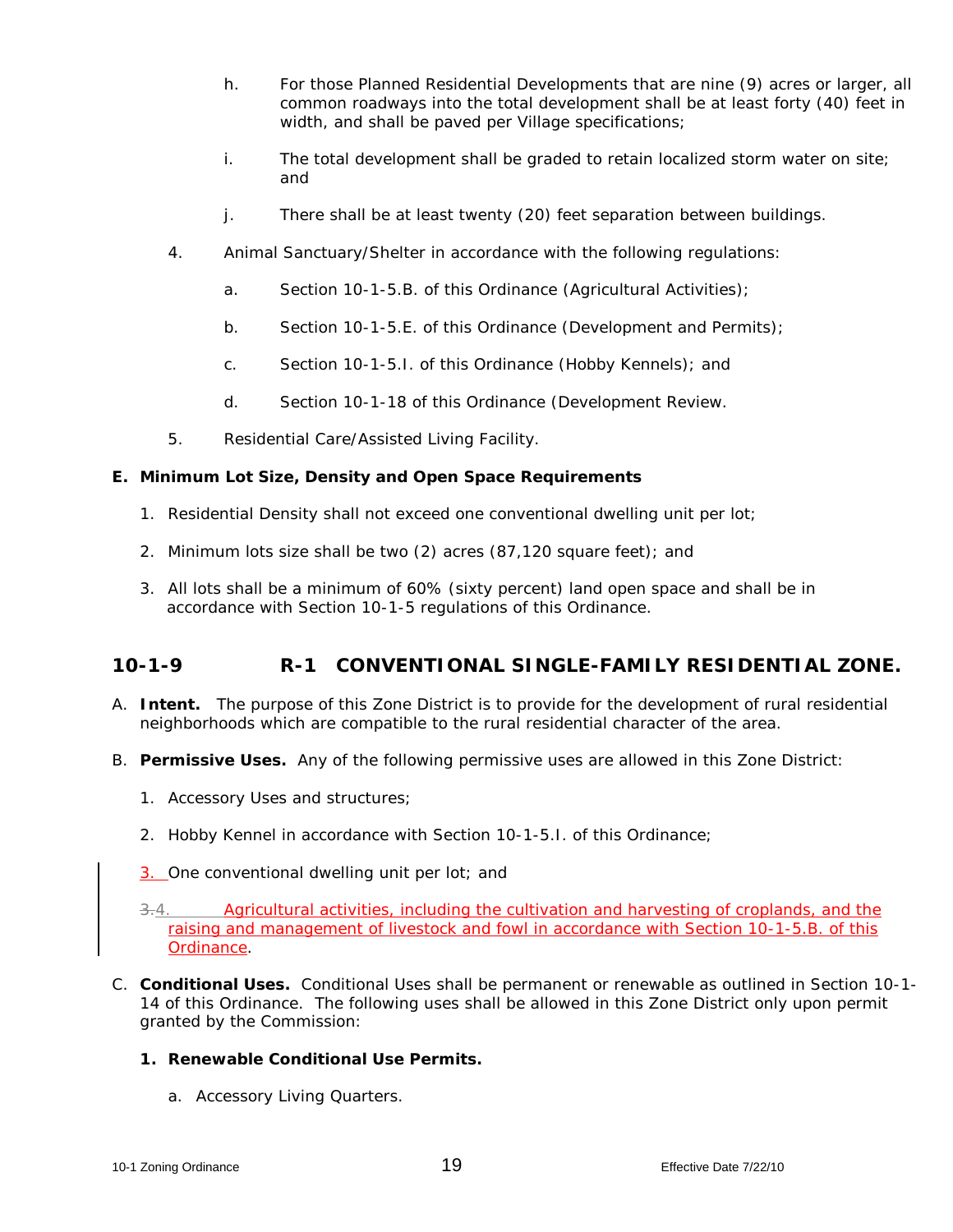- h. For those Planned Residential Developments that are nine (9) acres or larger, all common roadways into the total development shall be at least forty (40) feet in width, and shall be paved per Village specifications;
- i. The total development shall be graded to retain localized storm water on site; and
- j. There shall be at least twenty (20) feet separation between buildings.
- 4. Animal Sanctuary/Shelter in accordance with the following regulations:
	- a. Section 10-1-5.B. of this Ordinance (Agricultural Activities);
	- b. Section 10-1-5.E. of this Ordinance (Development and Permits);
	- c. Section 10-1-5.I. of this Ordinance (Hobby Kennels); and
	- d. Section 10-1-18 of this Ordinance (Development Review.
- 5. Residential Care/Assisted Living Facility.

### **E. Minimum Lot Size, Density and Open Space Requirements**

- 1. Residential Density shall not exceed one conventional dwelling unit per lot;
- 2. Minimum lots size shall be two (2) acres (87,120 square feet); and
- 3. All lots shall be a minimum of 60% (sixty percent) land open space and shall be in accordance with Section 10-1-5 regulations of this Ordinance.

### **10-1-9 R-1 CONVENTIONAL SINGLE-FAMILY RESIDENTIAL ZONE.**

- A. **Intent.** The purpose of this Zone District is to provide for the development of rural residential neighborhoods which are compatible to the rural residential character of the area.
- B. **Permissive Uses.** Any of the following permissive uses are allowed in this Zone District:
	- 1. Accessory Uses and structures;
	- *2.* Hobby Kennel in accordance with Section 10-1-5.I. of this Ordinance;
	- 3. One conventional dwelling unit per lot; and
	- 3.4. Agricultural activities, including the cultivation and harvesting of croplands, and the raising and management of livestock and fowl in accordance with Section 10-1-5.B. of this Ordinance.
- C. **Conditional Uses.** Conditional Uses shall be permanent or renewable as outlined in Section 10-1- 14 of this Ordinance. The following uses shall be allowed in this Zone District only upon permit granted by the Commission:
	- **1. Renewable Conditional Use Permits.**
		- a. Accessory Living Quarters.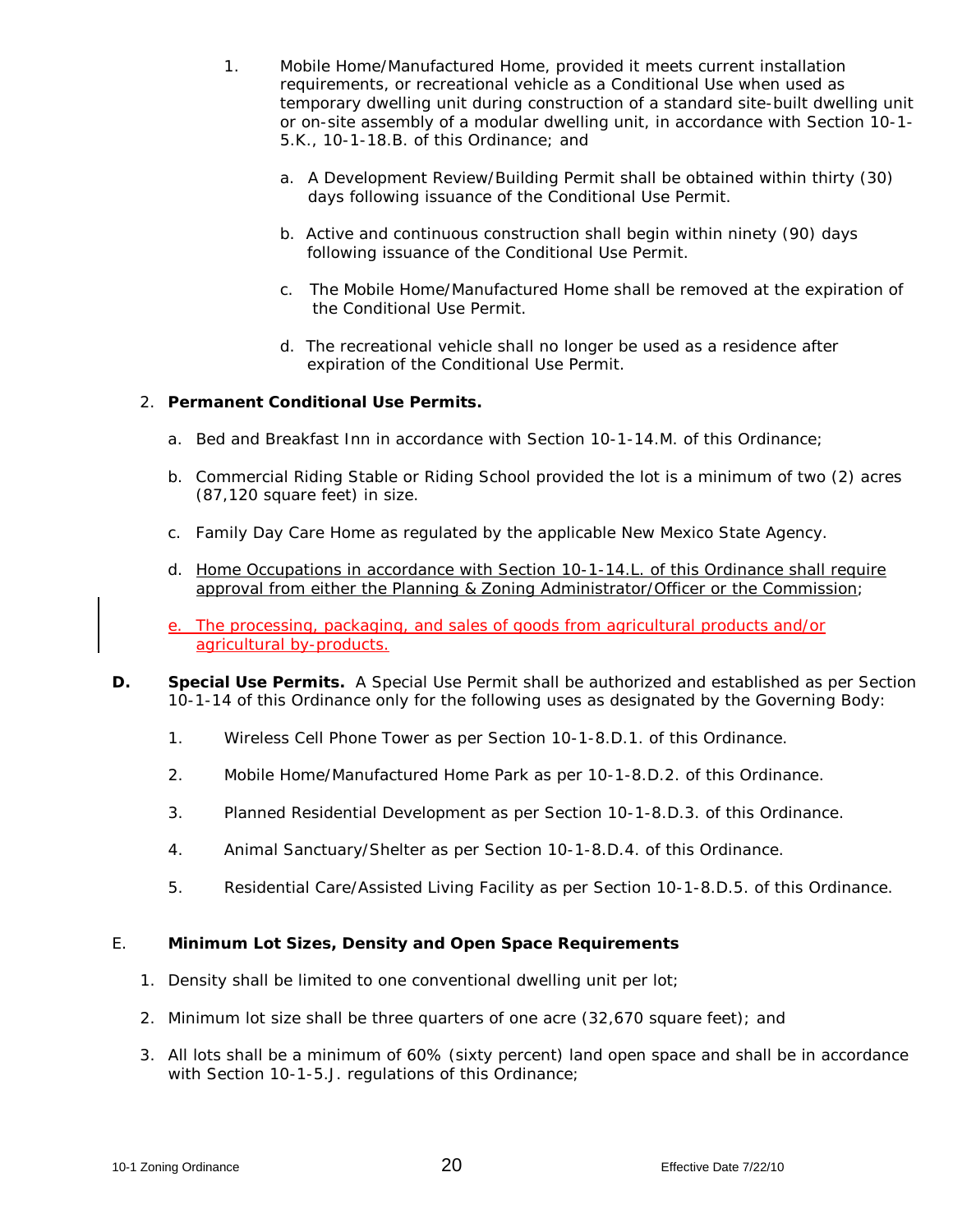- 1. Mobile Home/Manufactured Home, provided it meets current installation requirements, or recreational vehicle as a Conditional Use when used as temporary dwelling unit during construction of a standard site-built dwelling unit or on-site assembly of a modular dwelling unit, in accordance with Section 10-1- 5.K., 10-1-18.B. of this Ordinance; and
	- a. A Development Review/Building Permit shall be obtained within thirty (30) days following issuance of the Conditional Use Permit.
	- b. Active and continuous construction shall begin within ninety (90) days following issuance of the Conditional Use Permit.
	- c. The Mobile Home/Manufactured Home shall be removed at the expiration of the Conditional Use Permit.
	- d. The recreational vehicle shall no longer be used as a residence after expiration of the Conditional Use Permit.

#### 2. **Permanent Conditional Use Permits.**

- *a.* Bed and Breakfast Inn in accordance with Section 10-1-14.M. of this Ordinance;
- b. Commercial Riding Stable or Riding School provided the lot is a minimum of two (2) acres (87,120 square feet) in size.
- c. Family Day Care Home as regulated by the applicable New Mexico State Agency.
- *d.* Home Occupations in accordance with Section 10-1-14.L. of this Ordinance shall require approval from either the Planning & Zoning Administrator/Officer or the Commission;
- e. The processing, packaging, and sales of goods from agricultural products and/or agricultural by-products.
- **D. Special Use Permits.** A Special Use Permit shall be authorized and established as per Section 10-1-14 of this Ordinance only for the following uses as designated by the Governing Body:
	- 1. Wireless Cell Phone Tower as per Section 10-1-8.D.1. of this Ordinance.
	- 2. Mobile Home/Manufactured Home Park as per 10-1-8.D.2. of this Ordinance.
	- 3. Planned Residential Development as per Section 10-1-8.D.3. of this Ordinance.
	- 4. Animal Sanctuary/Shelter as per Section 10-1-8.D.4. of this Ordinance.
	- 5. Residential Care/Assisted Living Facility as per Section 10-1-8.D.5. of this Ordinance.

#### E. **Minimum Lot Sizes, Density and Open Space Requirements**

- 1. Density shall be limited to one conventional dwelling unit per lot;
- 2. Minimum lot size shall be three quarters of one acre (32,670 square feet); and
- *3.* All lots shall be a minimum of 60% (sixty percent) land open space and shall be in accordance with Section 10-1-5.J. regulations of this Ordinance;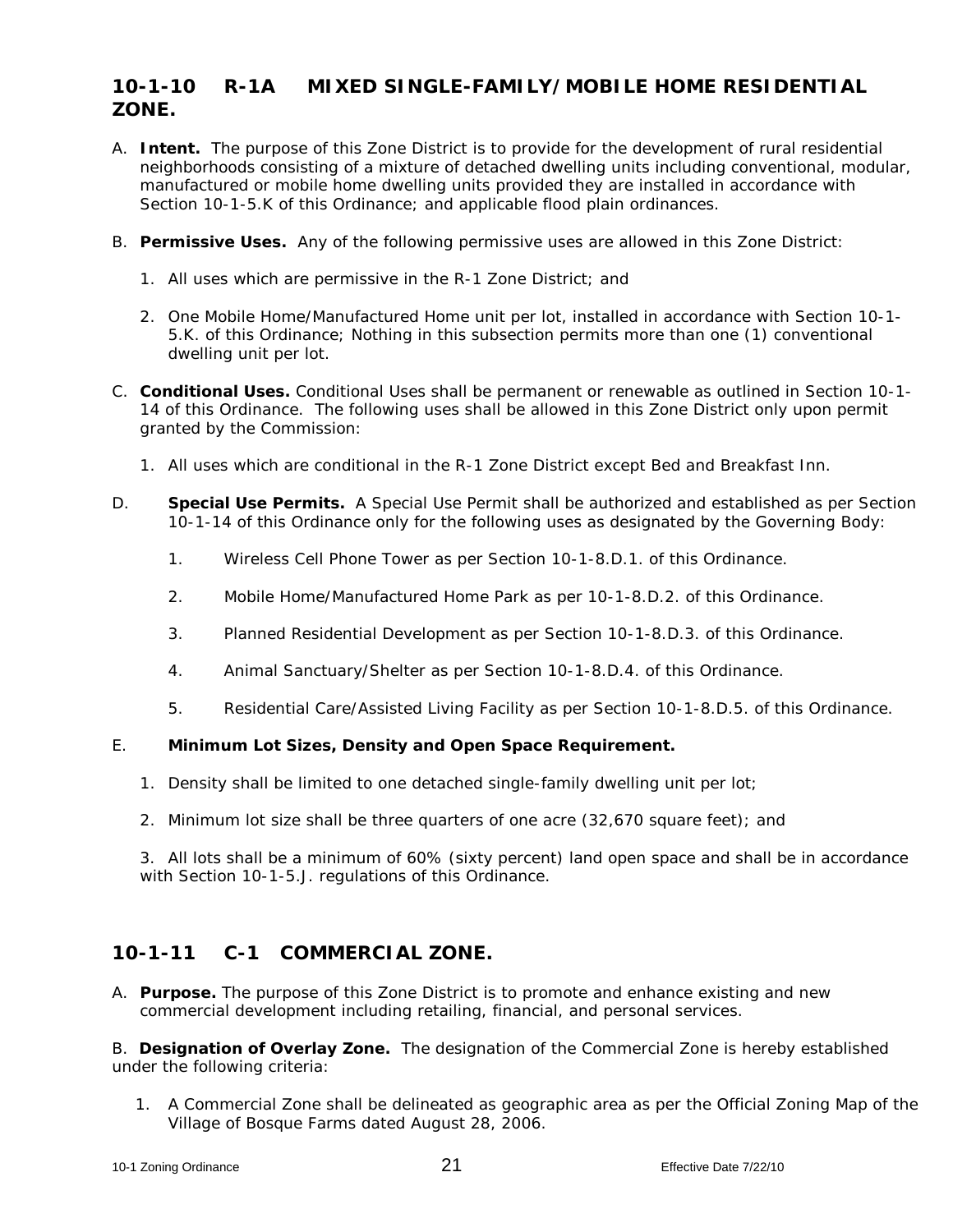### **10-1-10 R-1A MIXED SINGLE-FAMILY/MOBILE HOME RESIDENTIAL ZONE.**

- A. **Intent.** The purpose of this Zone District is to provide for the development of rural residential neighborhoods consisting of a mixture of detached dwelling units including conventional, modular, manufactured or mobile home dwelling units provided they are installed in accordance with Section 10-1-5.K of this Ordinance; and applicable flood plain ordinances.
- B. **Permissive Uses.** Any of the following permissive uses are allowed in this Zone District:
	- 1. All uses which are permissive in the R-1 Zone District; and
	- 2. One Mobile Home/Manufactured Home unit per lot, installed in accordance with Section 10-1- 5.K. of this Ordinance; Nothing in this subsection permits more than one (1) conventional dwelling unit per lot.
- C. **Conditional Uses.** Conditional Uses shall be permanent or renewable as outlined in Section 10-1- 14 of this Ordinance. The following uses shall be allowed in this Zone District only upon permit granted by the Commission:
	- 1. All uses which are conditional in the R-1 Zone District except Bed and Breakfast Inn.
- D. **Special Use Permits.** A Special Use Permit shall be authorized and established as per Section 10-1-14 of this Ordinance only for the following uses as designated by the Governing Body:
	- 1. Wireless Cell Phone Tower as per Section 10-1-8.D.1. of this Ordinance.
	- 2. Mobile Home/Manufactured Home Park as per 10-1-8.D.2. of this Ordinance.
	- 3. Planned Residential Development as per Section 10-1-8.D.3. of this Ordinance.
	- 4. Animal Sanctuary/Shelter as per Section 10-1-8.D.4. of this Ordinance.
	- 5. Residential Care/Assisted Living Facility as per Section 10-1-8.D.5. of this Ordinance.

#### E. **Minimum Lot Sizes, Density and Open Space Requirement.**

- 1. Density shall be limited to one detached single-family dwelling unit per lot;
- 2. Minimum lot size shall be three quarters of one acre (32,670 square feet); and

3. All lots shall be a minimum of 60% (sixty percent) land open space and shall be in accordance with Section 10-1-5.J. regulations of this Ordinance.

### **10-1-11 C-1 COMMERCIAL ZONE.**

A. **Purpose.** The purpose of this Zone District is to promote and enhance existing and new commercial development including retailing, financial, and personal services.

B. **Designation of Overlay Zone.** The designation of the Commercial Zone is hereby established under the following criteria:

1. A Commercial Zone shall be delineated as geographic area as per the Official Zoning Map of the Village of Bosque Farms dated August 28, 2006.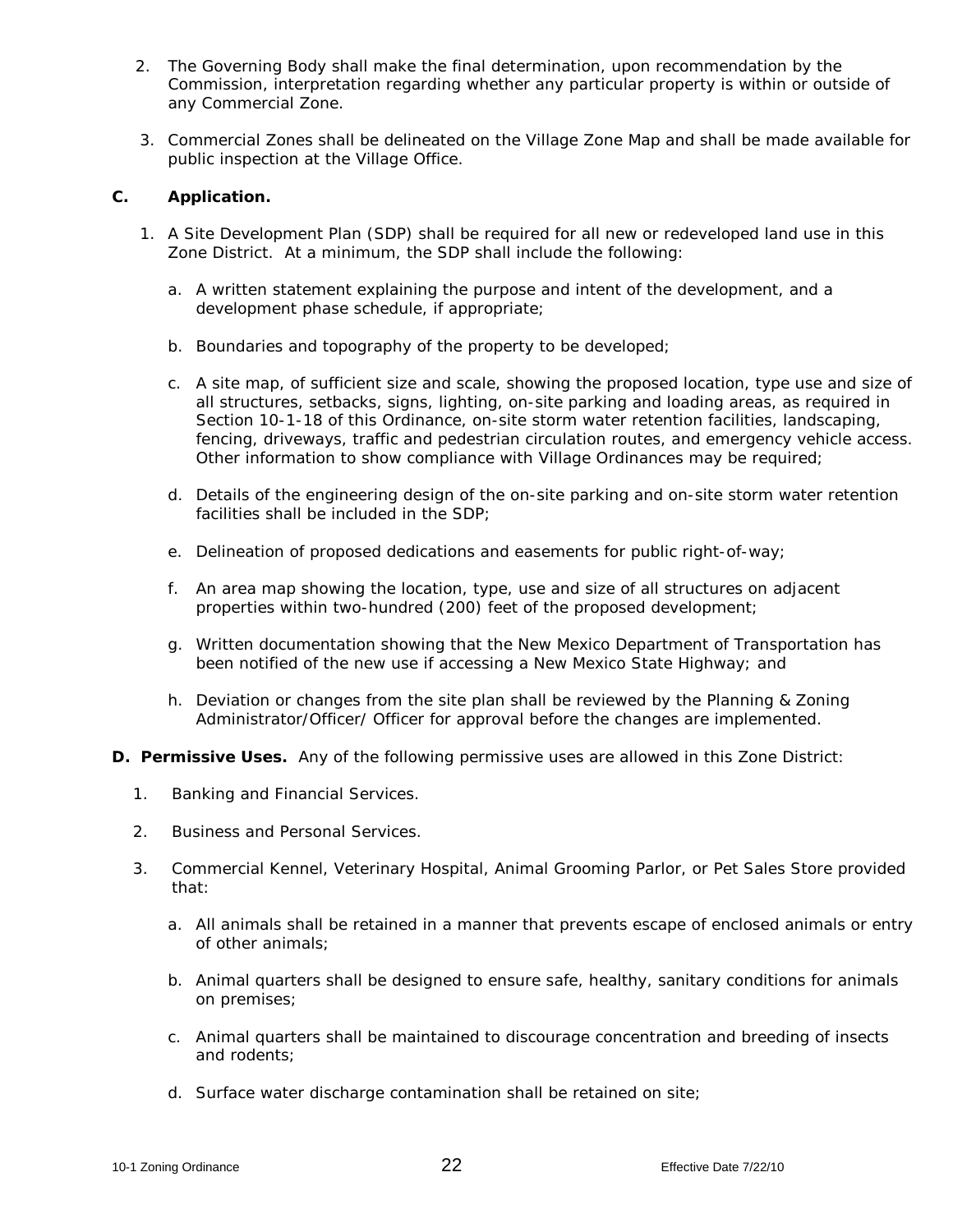- 2. The Governing Body shall make the final determination, upon recommendation by the Commission, interpretation regarding whether any particular property is within or outside of any Commercial Zone.
- 3. Commercial Zones shall be delineated on the Village Zone Map and shall be made available for public inspection at the Village Office.

#### **C. Application.**

- 1. A Site Development Plan (SDP) shall be required for all new or redeveloped land use in this Zone District. At a minimum, the SDP shall include the following:
	- a. A written statement explaining the purpose and intent of the development, and a development phase schedule, if appropriate;
	- b. Boundaries and topography of the property to be developed;
	- c. A site map, of sufficient size and scale, showing the proposed location, type use and size of all structures, setbacks, signs, lighting, on-site parking and loading areas, as required in Section 10-1-18 of this Ordinance, on-site storm water retention facilities, landscaping, fencing, driveways, traffic and pedestrian circulation routes, and emergency vehicle access. Other information to show compliance with Village Ordinances may be required;
	- d. Details of the engineering design of the on-site parking and on-site storm water retention facilities shall be included in the SDP;
	- e. Delineation of proposed dedications and easements for public right-of-way;
	- f. An area map showing the location, type, use and size of all structures on adjacent properties within two-hundred (200) feet of the proposed development;
	- g. Written documentation showing that the New Mexico Department of Transportation has been notified of the new use if accessing a New Mexico State Highway; and
	- h. Deviation or changes from the site plan shall be reviewed by the Planning & Zoning Administrator/Officer/ Officer for approval before the changes are implemented.
- **D. Permissive Uses.** Any of the following permissive uses are allowed in this Zone District:
	- 1. Banking and Financial Services.
	- 2. Business and Personal Services.
	- 3. Commercial Kennel, Veterinary Hospital, Animal Grooming Parlor, or Pet Sales Store provided that:
		- a. All animals shall be retained in a manner that prevents escape of enclosed animals or entry of other animals;
		- b. Animal quarters shall be designed to ensure safe, healthy, sanitary conditions for animals on premises;
		- c. Animal quarters shall be maintained to discourage concentration and breeding of insects and rodents;
		- d. Surface water discharge contamination shall be retained on site;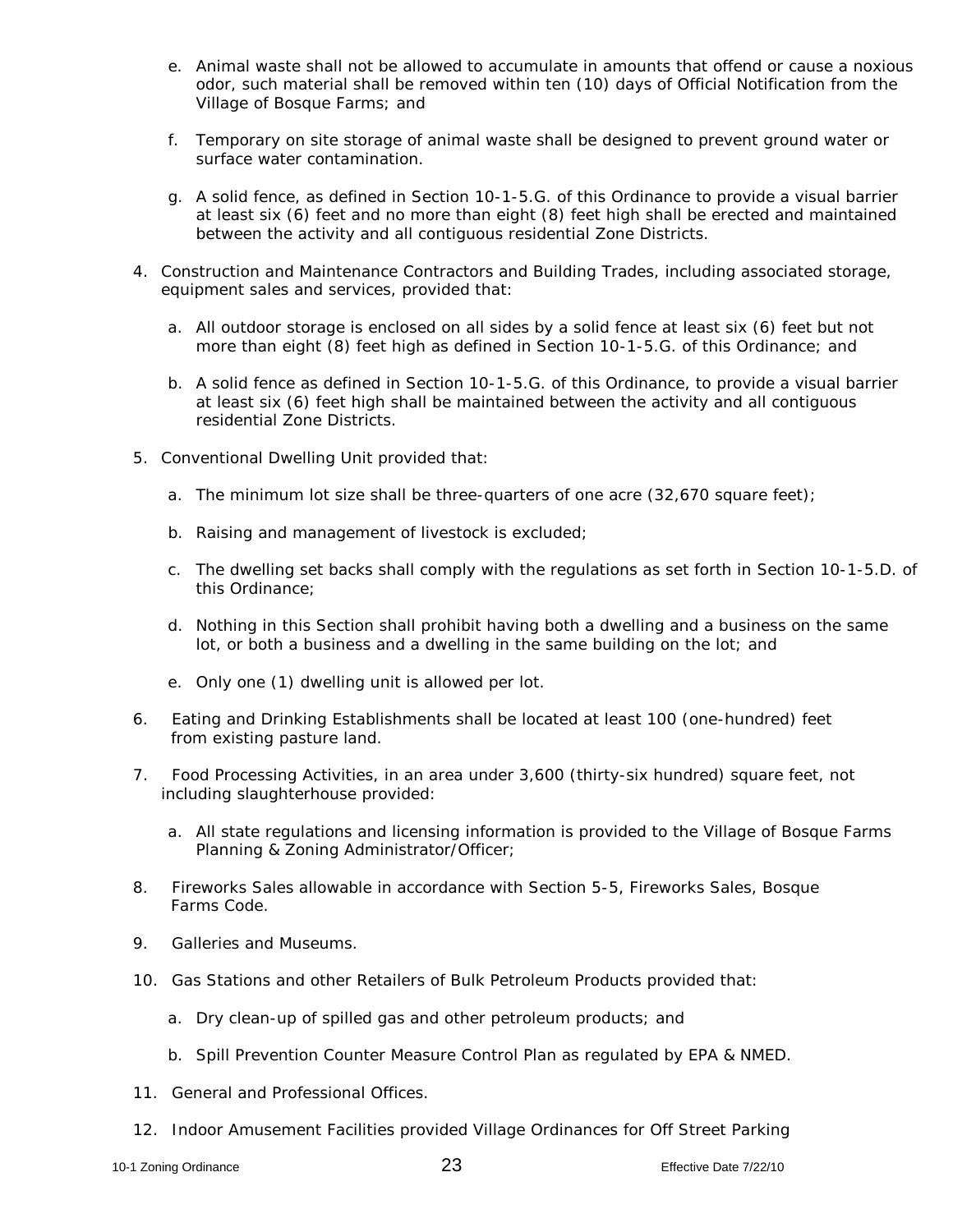- e. Animal waste shall not be allowed to accumulate in amounts that offend or cause a noxious odor, such material shall be removed within ten (10) days of Official Notification from the Village of Bosque Farms; and
- f. Temporary on site storage of animal waste shall be designed to prevent ground water or surface water contamination.
- *g.* A solid fence, as defined in Section 10-1-5.G. of this Ordinance to provide a visual barrier at least six (6) feet and no more than eight (8) feet high shall be erected and maintained between the activity and all contiguous residential Zone Districts.
- 4. Construction and Maintenance Contractors and Building Trades, including associated storage, equipment sales and services, provided that:
	- *a.* All outdoor storage is enclosed on all sides by a solid fence at least six (6) feet but not more than eight (8) feet high as defined in Section 10-1-5.G. of this Ordinance; and
	- b. A solid fence as defined in Section 10-1-5.G. of this Ordinance, to provide a visual barrier at least six (6) feet high shall be maintained between the activity and all contiguous residential Zone Districts.
- 5. Conventional Dwelling Unit provided that:
	- a. The minimum lot size shall be three-quarters of one acre (32,670 square feet);
	- b. Raising and management of livestock is excluded;
	- *c.* The dwelling set backs shall comply with the regulations as set forth in Section 10-1-5.D. of this Ordinance;
	- d. Nothing in this Section shall prohibit having both a dwelling and a business on the same lot, or both a business and a dwelling in the same building on the lot; and
	- e. Only one (1) dwelling unit is allowed per lot.
- 6. Eating and Drinking Establishments shall be located at least 100 (one-hundred) feet from existing pasture land.
- 7. Food Processing Activities, in an area under 3,600 (thirty-six hundred) square feet, not including slaughterhouse provided:
	- a. All state regulations and licensing information is provided to the Village of Bosque Farms Planning & Zoning Administrator/Officer;
- 8. Fireworks Sales allowable in accordance with Section 5-5, Fireworks Sales, Bosque Farms Code.
- 9. Galleries and Museums.
- 10. Gas Stations and other Retailers of Bulk Petroleum Products provided that:
	- a. Dry clean-up of spilled gas and other petroleum products; and
	- b. Spill Prevention Counter Measure Control Plan as regulated by EPA & NMED.
- 11. General and Professional Offices.
- 12. Indoor Amusement Facilities provided Village Ordinances for Off Street Parking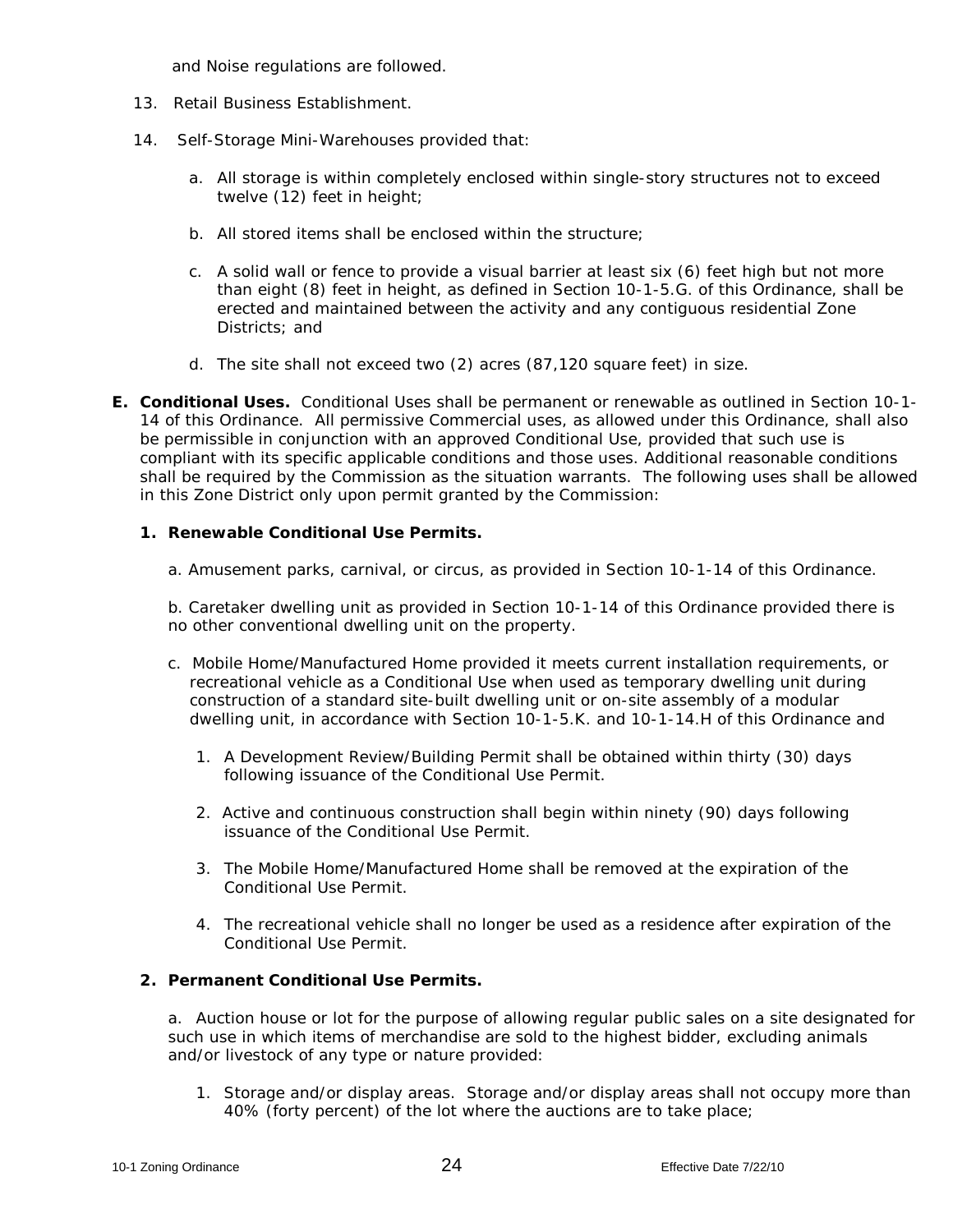and Noise regulations are followed.

- 13. Retail Business Establishment.
- 14. Self-Storage Mini-Warehouses provided that:
	- a. All storage is within completely enclosed within single-story structures not to exceed twelve (12) feet in height;
	- b. All stored items shall be enclosed within the structure;
	- c. A solid wall or fence to provide a visual barrier at least six (6) feet high but not more than eight (8) feet in height, as defined in Section 10-1-5.G. of this Ordinance, shall be erected and maintained between the activity and any contiguous residential Zone Districts; and
	- d. The site shall not exceed two (2) acres (87,120 square feet) in size.
- **E. Conditional Uses.** Conditional Uses shall be permanent or renewable as outlined in Section 10-1- 14 of this Ordinance. All permissive Commercial uses, as allowed under this Ordinance, shall also be permissible in conjunction with an approved Conditional Use, provided that such use is compliant with its specific applicable conditions and those uses. Additional reasonable conditions shall be required by the Commission as the situation warrants. The following uses shall be allowed in this Zone District only upon permit granted by the Commission:

#### **1. Renewable Conditional Use Permits.**

a. Amusement parks, carnival, or circus, as provided in Section 10-1-14 of this Ordinance.

b. Caretaker dwelling unit as provided in Section 10-1-14 of this Ordinance provided there is no other conventional dwelling unit on the property.

- c. Mobile Home/Manufactured Home provided it meets current installation requirements, or recreational vehicle as a Conditional Use when used as temporary dwelling unit during construction of a standard site-built dwelling unit or on-site assembly of a modular dwelling unit, in accordance with Section 10-1-5.K. and 10-1-14.H of this Ordinance and
	- 1. A Development Review/Building Permit shall be obtained within thirty (30) days following issuance of the Conditional Use Permit.
	- 2. Active and continuous construction shall begin within ninety (90) days following issuance of the Conditional Use Permit.
	- 3. The Mobile Home/Manufactured Home shall be removed at the expiration of the Conditional Use Permit.
	- 4. The recreational vehicle shall no longer be used as a residence after expiration of the Conditional Use Permit.

#### **2. Permanent Conditional Use Permits.**

a. Auction house or lot for the purpose of allowing regular public sales on a site designated for such use in which items of merchandise are sold to the highest bidder, excluding animals and/or livestock of any type or nature provided:

1. Storage and/or display areas. Storage and/or display areas shall not occupy more than 40% (forty percent) of the lot where the auctions are to take place;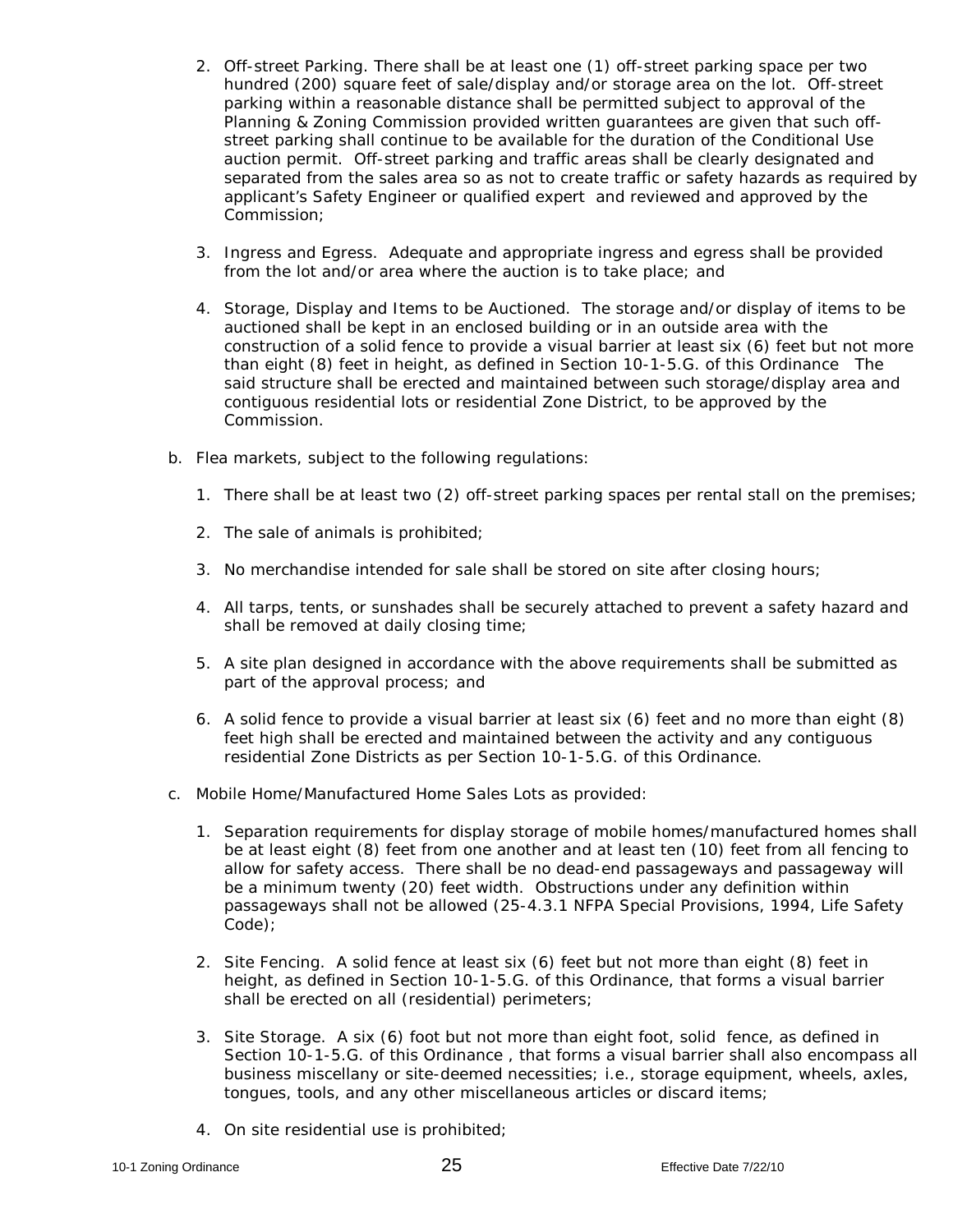- 2. Off-street Parking. There shall be at least one (1) off-street parking space per two hundred (200) square feet of sale/display and/or storage area on the lot. Off-street parking within a reasonable distance shall be permitted subject to approval of the Planning & Zoning Commission provided written guarantees are given that such offstreet parking shall continue to be available for the duration of the Conditional Use auction permit. Off-street parking and traffic areas shall be clearly designated and separated from the sales area so as not to create traffic or safety hazards as required by applicant's Safety Engineer or qualified expert and reviewed and approved by the Commission;
- 3. Ingress and Egress. Adequate and appropriate ingress and egress shall be provided from the lot and/or area where the auction is to take place; and
- 4. Storage, Display and Items to be Auctioned. The storage and/or display of items to be auctioned shall be kept in an enclosed building or in an outside area with the construction of a solid fence to provide a visual barrier at least six (6) feet but not more than eight (8) feet in height, as defined in Section 10-1-5.G. of this Ordinance The said structure shall be erected and maintained between such storage/display area and contiguous residential lots or residential Zone District, to be approved by the Commission.
- b. Flea markets, subject to the following regulations:
	- 1. There shall be at least two (2) off-street parking spaces per rental stall on the premises;
	- 2. The sale of animals is prohibited;
	- 3. No merchandise intended for sale shall be stored on site after closing hours;
	- 4. All tarps, tents, or sunshades shall be securely attached to prevent a safety hazard and shall be removed at daily closing time;
	- 5. A site plan designed in accordance with the above requirements shall be submitted as part of the approval process; and
	- 6. A solid fence to provide a visual barrier at least six (6) feet and no more than eight (8) feet high shall be erected and maintained between the activity and any contiguous residential Zone Districts as per Section 10-1-5.G. of this Ordinance.
- c. Mobile Home/Manufactured Home Sales Lots as provided:
	- 1. Separation requirements for display storage of mobile homes/manufactured homes shall be at least eight (8) feet from one another and at least ten (10) feet from all fencing to allow for safety access. There shall be no dead-end passageways and passageway will be a minimum twenty (20) feet width. Obstructions under any definition within passageways shall not be allowed (25-4.3.1 NFPA Special Provisions, 1994, Life Safety Code);
	- 2. Site Fencing. A solid fence at least six (6) feet but not more than eight (8) feet in height, as defined in Section 10-1-5.G. of this Ordinance, that forms a visual barrier shall be erected on all (residential) perimeters;
	- 3. Site Storage. A six (6) foot but not more than eight foot, solid fence, as defined in Section 10-1-5.G. of this Ordinance, that forms a visual barrier shall also encompass all business miscellany or site-deemed necessities; i.e., storage equipment, wheels, axles, tongues, tools, and any other miscellaneous articles or discard items;
	- 4. On site residential use is prohibited;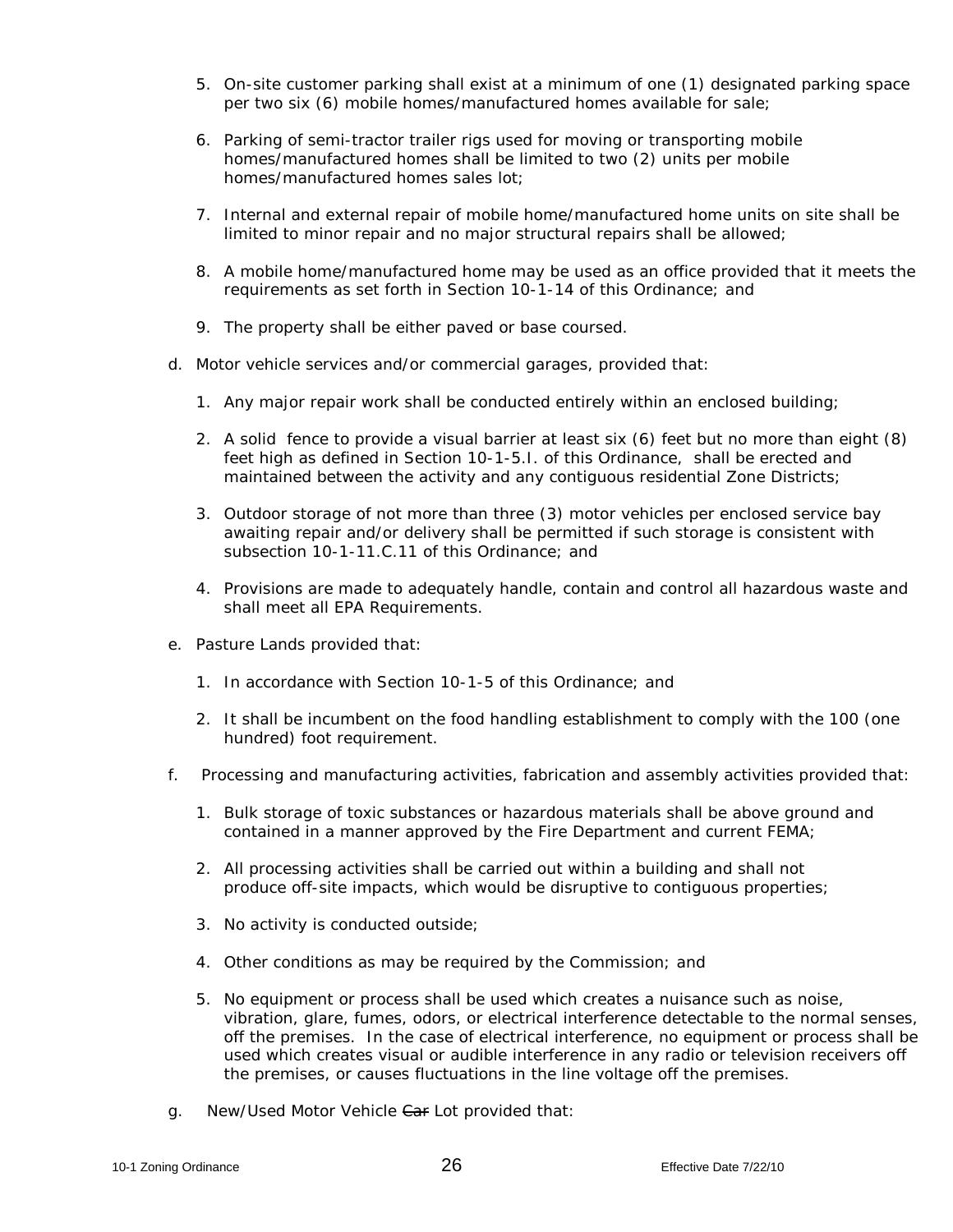- 5. On-site customer parking shall exist at a minimum of one (1) designated parking space per two six (6) mobile homes/manufactured homes available for sale;
- 6. Parking of semi-tractor trailer rigs used for moving or transporting mobile homes/manufactured homes shall be limited to two (2) units per mobile homes/manufactured homes sales lot;
- 7. Internal and external repair of mobile home/manufactured home units on site shall be limited to minor repair and no major structural repairs shall be allowed;
- 8. A mobile home/manufactured home may be used as an office provided that it meets the requirements as set forth in Section 10-1-14 of this Ordinance; and
- 9. The property shall be either paved or base coursed.
- d. Motor vehicle services and/or commercial garages, provided that:
	- 1. Any major repair work shall be conducted entirely within an enclosed building;
	- 2. A solid fence to provide a visual barrier at least six (6) feet but no more than eight (8) feet high as defined in Section 10-1-5.I. of this Ordinance, shall be erected and maintained between the activity and any contiguous residential Zone Districts;
	- 3. Outdoor storage of not more than three (3) motor vehicles per enclosed service bay awaiting repair and/or delivery shall be permitted if such storage is consistent with subsection 10-1-11 C.11 of this Ordinance; and
	- 4. Provisions are made to adequately handle, contain and control all hazardous waste and shall meet all EPA Requirements.
- e. Pasture Lands provided that:
	- 1. In accordance with Section 10-1-5 of this Ordinance; and
	- 2. It shall be incumbent on the food handling establishment to comply with the 100 (one hundred) foot requirement.
- f. Processing and manufacturing activities, fabrication and assembly activities provided that:
	- 1. Bulk storage of toxic substances or hazardous materials shall be above ground and contained in a manner approved by the Fire Department and current FEMA;
	- 2. All processing activities shall be carried out within a building and shall not produce off-site impacts, which would be disruptive to contiguous properties;
	- 3. No activity is conducted outside;
	- 4. Other conditions as may be required by the Commission; and
	- 5. No equipment or process shall be used which creates a nuisance such as noise, vibration, glare, fumes, odors, or electrical interference detectable to the normal senses, off the premises. In the case of electrical interference, no equipment or process shall be used which creates visual or audible interference in any radio or television receivers off the premises, or causes fluctuations in the line voltage off the premises.
- g. New/Used Motor Vehicle Car Lot provided that: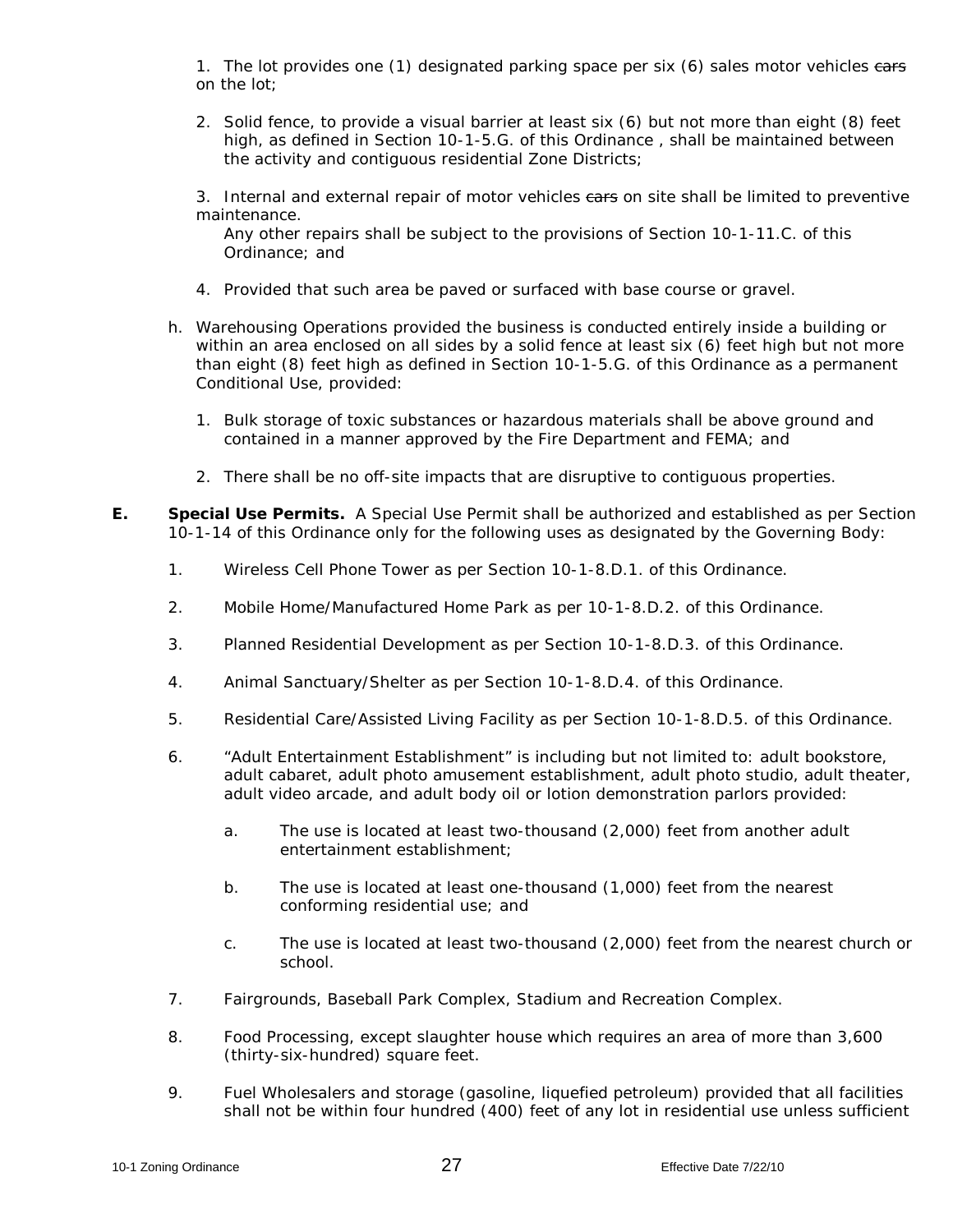1. The lot provides one (1) designated parking space per six (6) sales motor vehicles ears on the lot;

2. Solid fence, to provide a visual barrier at least six (6) but not more than eight (8) feet high, as defined in Section 10-1-5.G. of this Ordinance , shall be maintained between the activity and contiguous residential Zone Districts;

3. Internal and external repair of motor vehicles ears on site shall be limited to preventive maintenance.

Any other repairs shall be subject to the provisions of Section 10-1-11.C. of this Ordinance; and

- 4. Provided that such area be paved or surfaced with base course or gravel.
- h. Warehousing Operations provided the business is conducted entirely inside a building or within an area enclosed on all sides by a solid fence at least six (6) feet high but not more than eight (8) feet high as defined in Section 10-1-5.G. of this Ordinance as a permanent Conditional Use, provided:
	- 1. Bulk storage of toxic substances or hazardous materials shall be above ground and contained in a manner approved by the Fire Department and FEMA; and
	- 2. There shall be no off-site impacts that are disruptive to contiguous properties.
- **E. Special Use Permits.** A Special Use Permit shall be authorized and established as per Section 10-1-14 of this Ordinance only for the following uses as designated by the Governing Body:
	- 1. Wireless Cell Phone Tower as per Section 10-1-8.D.1. of this Ordinance.
	- 2. Mobile Home/Manufactured Home Park as per 10-1-8.D.2. of this Ordinance.
	- 3. Planned Residential Development as per Section 10-1-8.D.3. of this Ordinance.
	- 4. Animal Sanctuary/Shelter as per Section 10-1-8.D.4. of this Ordinance.
	- 5. Residential Care/Assisted Living Facility as per Section 10-1-8.D.5. of this Ordinance.
	- 6. "Adult Entertainment Establishment" is including but not limited to: adult bookstore, adult cabaret, adult photo amusement establishment, adult photo studio, adult theater, adult video arcade, and adult body oil or lotion demonstration parlors provided:
		- a. The use is located at least two-thousand (2,000) feet from another adult entertainment establishment;
		- b. The use is located at least one-thousand (1,000) feet from the nearest conforming residential use; and
		- c. The use is located at least two-thousand (2,000) feet from the nearest church or school.
	- 7. Fairgrounds, Baseball Park Complex, Stadium and Recreation Complex.
	- 8. Food Processing, except slaughter house which requires an area of more than 3,600 (thirty-six-hundred) square feet.
	- 9. Fuel Wholesalers and storage (gasoline, liquefied petroleum) provided that all facilities shall not be within four hundred (400) feet of any lot in residential use unless sufficient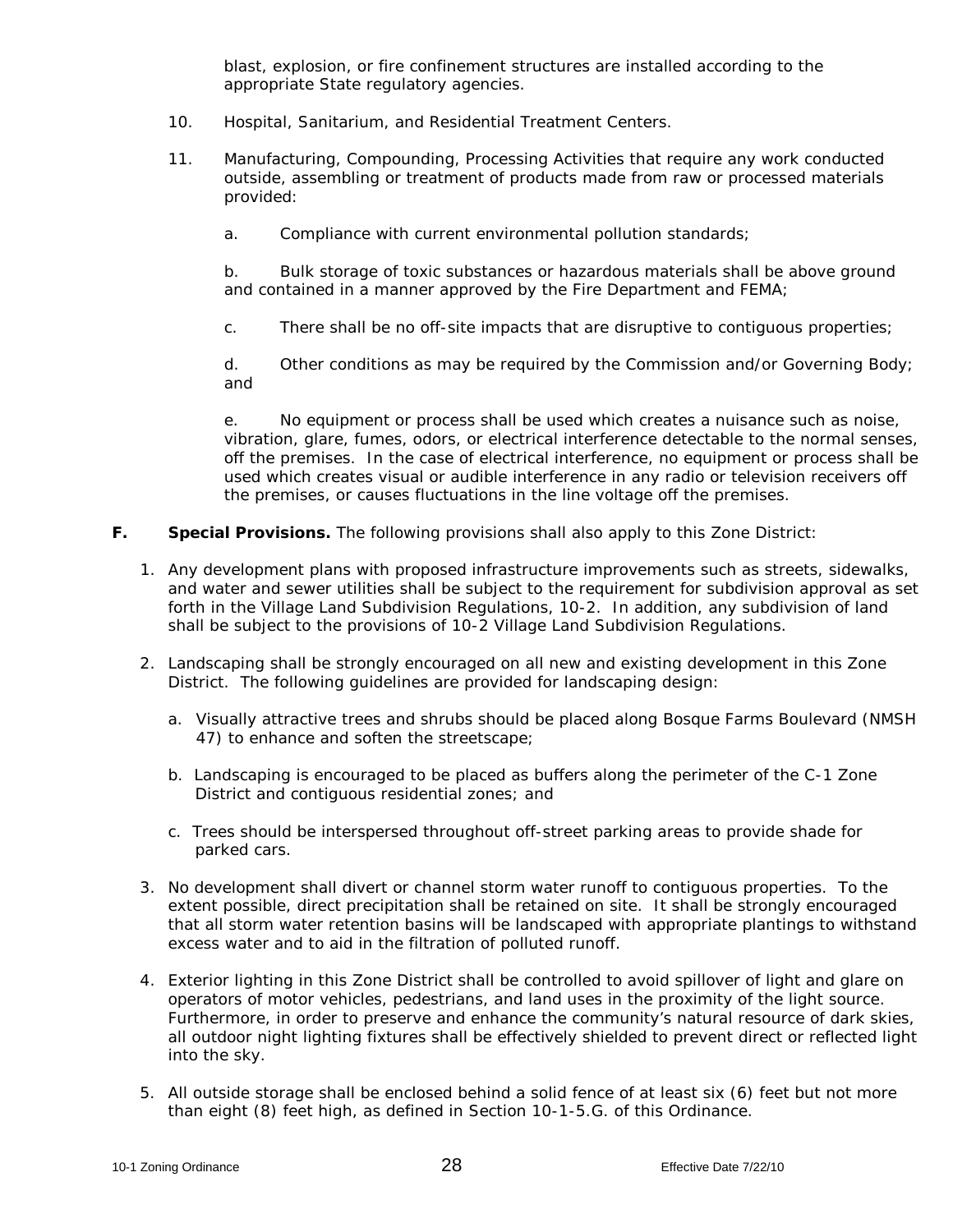blast, explosion, or fire confinement structures are installed according to the appropriate State regulatory agencies.

- 10. Hospital, Sanitarium, and Residential Treatment Centers.
- 11. Manufacturing, Compounding, Processing Activities that require any work conducted outside, assembling or treatment of products made from raw or processed materials provided:
	- a. Compliance with current environmental pollution standards;

b. Bulk storage of toxic substances or hazardous materials shall be above ground and contained in a manner approved by the Fire Department and FEMA;

c. There shall be no off-site impacts that are disruptive to contiguous properties;

d. Other conditions as may be required by the Commission and/or Governing Body; and

e. No equipment or process shall be used which creates a nuisance such as noise, vibration, glare, fumes, odors, or electrical interference detectable to the normal senses, off the premises. In the case of electrical interference, no equipment or process shall be used which creates visual or audible interference in any radio or television receivers off the premises, or causes fluctuations in the line voltage off the premises.

### **F. Special Provisions.** The following provisions shall also apply to this Zone District:

- 1. Any development plans with proposed infrastructure improvements such as streets, sidewalks, and water and sewer utilities shall be subject to the requirement for subdivision approval as set forth in the Village Land Subdivision Regulations, 10-2. In addition, any subdivision of land shall be subject to the provisions of 10-2 Village Land Subdivision Regulations.
- 2. Landscaping shall be strongly encouraged on all new and existing development in this Zone District. The following guidelines are provided for landscaping design:
	- a. Visually attractive trees and shrubs should be placed along Bosque Farms Boulevard (NMSH 47) to enhance and soften the streetscape;
	- b. Landscaping is encouraged to be placed as buffers along the perimeter of the C-1 Zone District and contiguous residential zones; and
	- c. Trees should be interspersed throughout off-street parking areas to provide shade for parked cars.
- 3. No development shall divert or channel storm water runoff to contiguous properties. To the extent possible, direct precipitation shall be retained on site. It shall be strongly encouraged that all storm water retention basins will be landscaped with appropriate plantings to withstand excess water and to aid in the filtration of polluted runoff.
- 4. Exterior lighting in this Zone District shall be controlled to avoid spillover of light and glare on operators of motor vehicles, pedestrians, and land uses in the proximity of the light source. Furthermore, in order to preserve and enhance the community's natural resource of dark skies, all outdoor night lighting fixtures shall be effectively shielded to prevent direct or reflected light into the sky.
- *5.* All outside storage shall be enclosed behind a solid fence of at least six (6) feet but not more than eight (8) feet high, as defined in Section 10-1-5.G. of this Ordinance.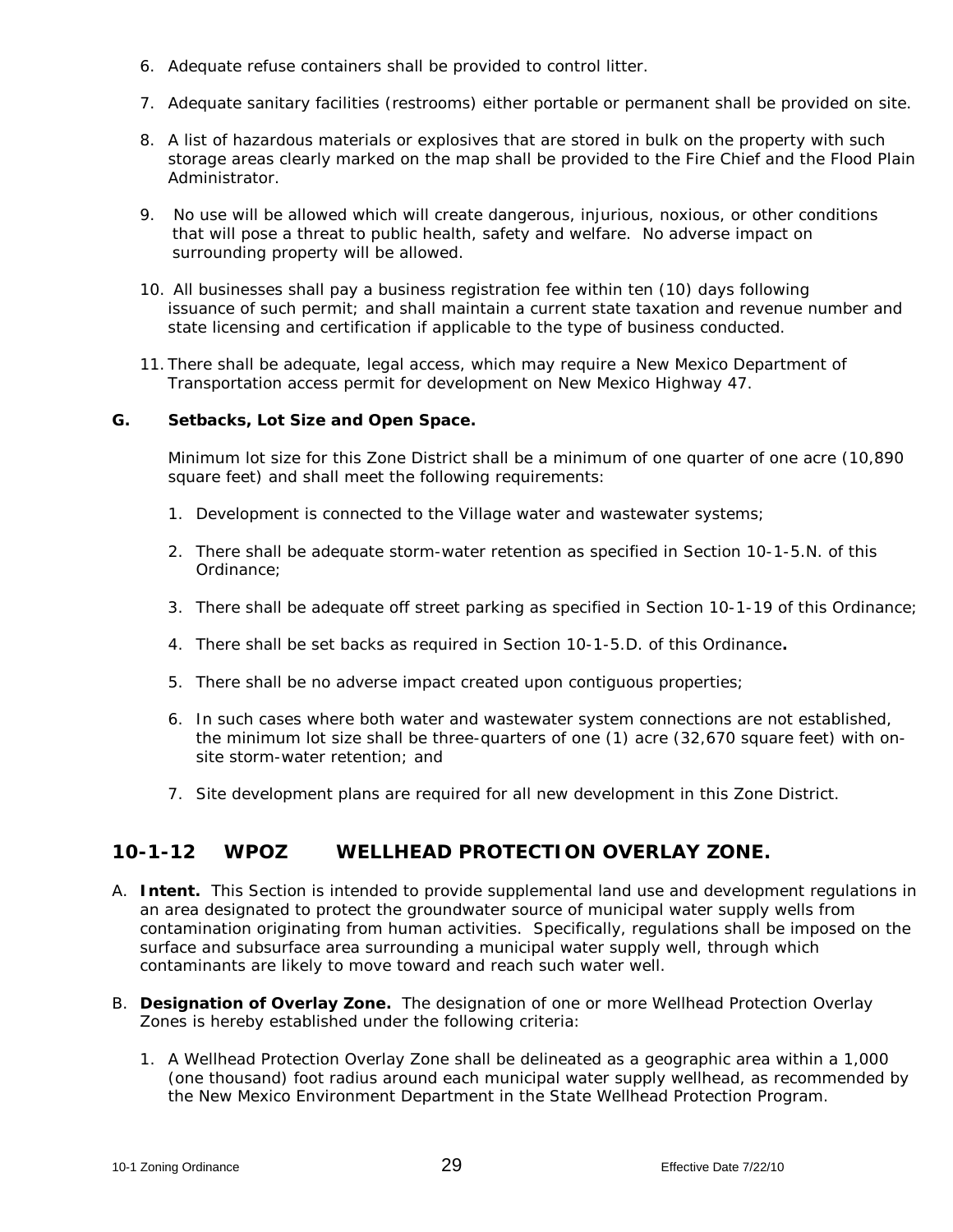- 6. Adequate refuse containers shall be provided to control litter.
- 7. Adequate sanitary facilities (restrooms) either portable or permanent shall be provided on site.
- 8. A list of hazardous materials or explosives that are stored in bulk on the property with such storage areas clearly marked on the map shall be provided to the Fire Chief and the Flood Plain Administrator.
- 9. No use will be allowed which will create dangerous, injurious, noxious, or other conditions that will pose a threat to public health, safety and welfare. No adverse impact on surrounding property will be allowed.
- 10. All businesses shall pay a business registration fee within ten (10) days following issuance of such permit; and shall maintain a current state taxation and revenue number and state licensing and certification if applicable to the type of business conducted.
- 11. There shall be adequate, legal access, which may require a New Mexico Department of Transportation access permit for development on New Mexico Highway 47.

### **G. Setbacks, Lot Size and Open Space.**

Minimum lot size for this Zone District shall be a minimum of one quarter of one acre (10,890 square feet) and shall meet the following requirements:

- 1. Development is connected to the Village water and wastewater systems;
- 2. There shall be adequate storm-water retention as specified in Section 10-1-5.N. of this Ordinance;
- 3. There shall be adequate off street parking as specified in Section 10-1-19 of this Ordinance;
- *4.* There shall be set backs as required in Section 10-1-5.D. of this Ordinance**.**
- 5. There shall be no adverse impact created upon contiguous properties;
- 6. In such cases where both water and wastewater system connections are not established, the minimum lot size shall be three-quarters of one (1) acre (32,670 square feet) with onsite storm-water retention; and
- 7. Site development plans are required for all new development in this Zone District.

## **10-1-12 WPOZ WELLHEAD PROTECTION OVERLAY ZONE.**

- A. **Intent.** This Section is intended to provide supplemental land use and development regulations in an area designated to protect the groundwater source of municipal water supply wells from contamination originating from human activities. Specifically, regulations shall be imposed on the surface and subsurface area surrounding a municipal water supply well, through which contaminants are likely to move toward and reach such water well.
- B. **Designation of Overlay Zone.** The designation of one or more Wellhead Protection Overlay Zones is hereby established under the following criteria:
	- 1. A Wellhead Protection Overlay Zone shall be delineated as a geographic area within a 1,000 (one thousand) foot radius around each municipal water supply wellhead, as recommended by the New Mexico Environment Department in the State Wellhead Protection Program.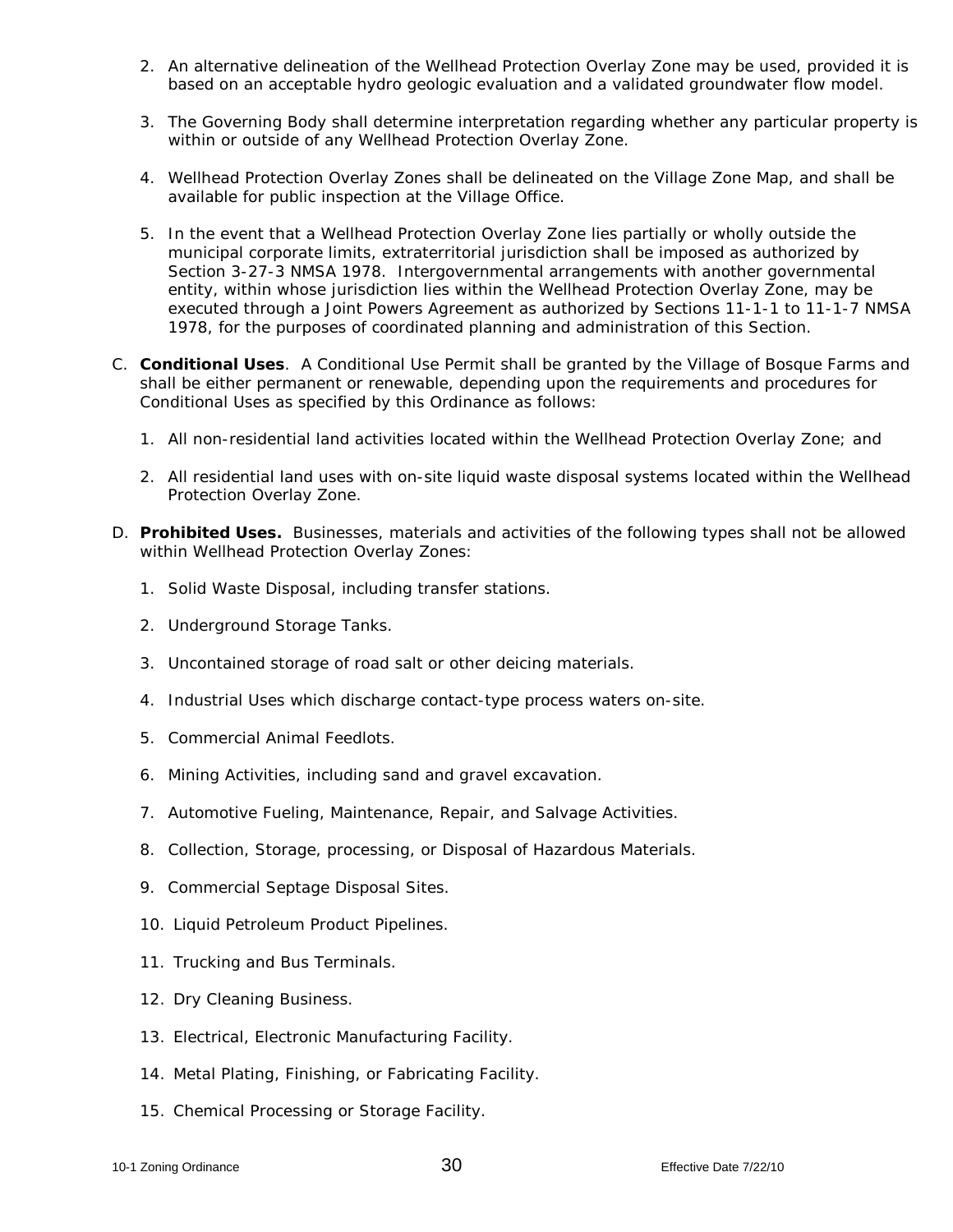- 2. An alternative delineation of the Wellhead Protection Overlay Zone may be used, provided it is based on an acceptable hydro geologic evaluation and a validated groundwater flow model.
- 3. The Governing Body shall determine interpretation regarding whether any particular property is within or outside of any Wellhead Protection Overlay Zone.
- 4. Wellhead Protection Overlay Zones shall be delineated on the Village Zone Map, and shall be available for public inspection at the Village Office.
- 5. In the event that a Wellhead Protection Overlay Zone lies partially or wholly outside the municipal corporate limits, extraterritorial jurisdiction shall be imposed as authorized by Section 3-27-3 NMSA 1978. Intergovernmental arrangements with another governmental entity, within whose jurisdiction lies within the Wellhead Protection Overlay Zone, may be executed through a Joint Powers Agreement as authorized by Sections 11-1-1 to 11-1-7 NMSA 1978, for the purposes of coordinated planning and administration of this Section.
- C. **Conditional Uses**. A Conditional Use Permit shall be granted by the Village of Bosque Farms and shall be either permanent or renewable, depending upon the requirements and procedures for Conditional Uses as specified by this Ordinance as follows:
	- 1. All non-residential land activities located within the Wellhead Protection Overlay Zone; and
	- 2. All residential land uses with on-site liquid waste disposal systems located within the Wellhead Protection Overlay Zone.
- D. **Prohibited Uses.** Businesses, materials and activities of the following types shall not be allowed within Wellhead Protection Overlay Zones:
	- 1. Solid Waste Disposal, including transfer stations.
	- 2. Underground Storage Tanks.
	- 3. Uncontained storage of road salt or other deicing materials.
	- 4. Industrial Uses which discharge contact-type process waters on-site.
	- 5. Commercial Animal Feedlots.
	- 6. Mining Activities, including sand and gravel excavation.
	- 7. Automotive Fueling, Maintenance, Repair, and Salvage Activities.
	- 8. Collection, Storage, processing, or Disposal of Hazardous Materials.
	- 9. Commercial Septage Disposal Sites.
	- 10. Liquid Petroleum Product Pipelines.
	- 11. Trucking and Bus Terminals.
	- 12. Dry Cleaning Business.
	- 13. Electrical, Electronic Manufacturing Facility.
	- 14. Metal Plating, Finishing, or Fabricating Facility.
	- 15. Chemical Processing or Storage Facility.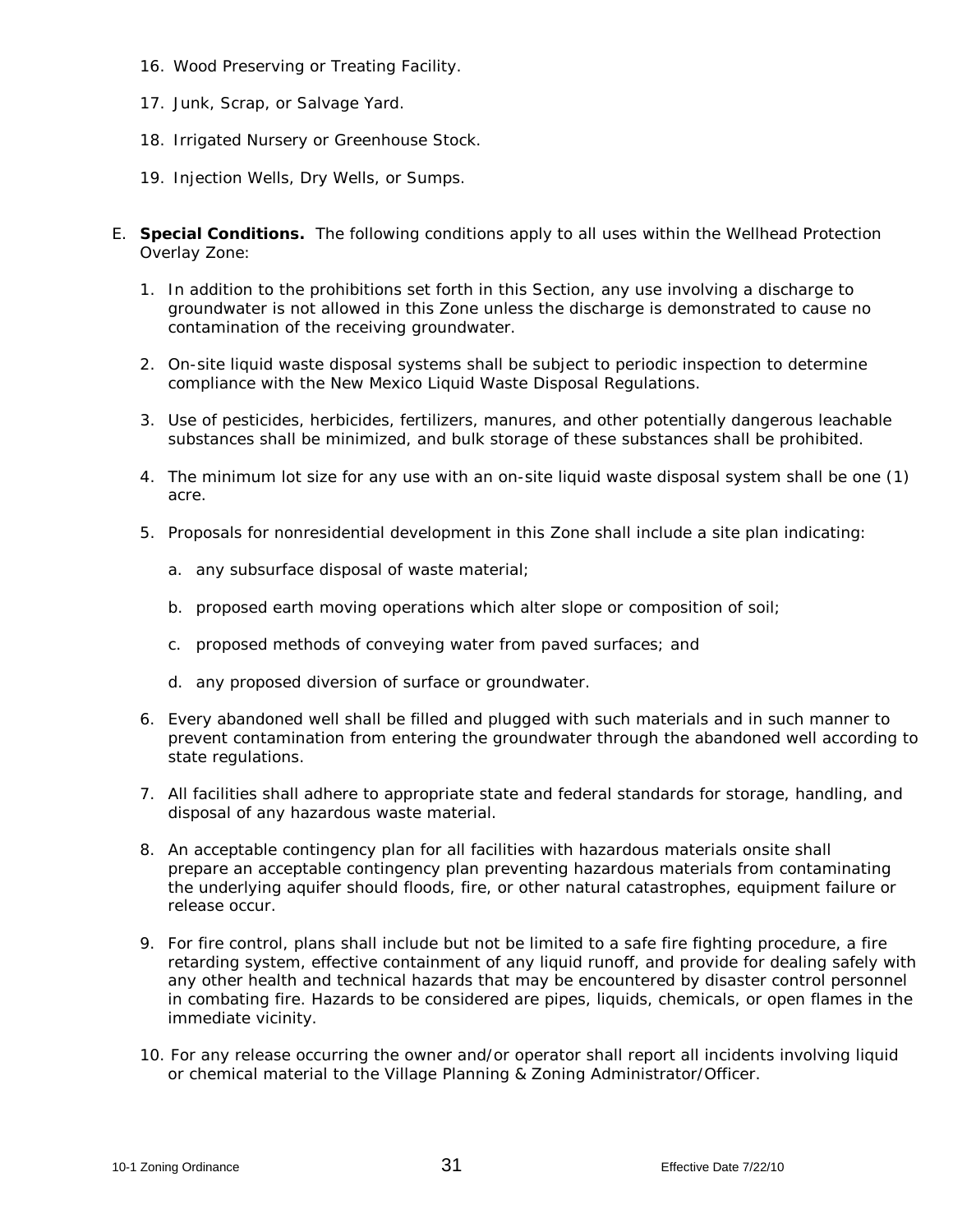- 16. Wood Preserving or Treating Facility.
- 17. Junk, Scrap, or Salvage Yard.
- 18. Irrigated Nursery or Greenhouse Stock.
- 19. Injection Wells, Dry Wells, or Sumps.
- E. **Special Conditions.** The following conditions apply to all uses within the Wellhead Protection Overlay Zone:
	- 1. In addition to the prohibitions set forth in this Section, any use involving a discharge to groundwater is not allowed in this Zone unless the discharge is demonstrated to cause no contamination of the receiving groundwater.
	- 2. On-site liquid waste disposal systems shall be subject to periodic inspection to determine compliance with the New Mexico Liquid Waste Disposal Regulations.
	- 3. Use of pesticides, herbicides, fertilizers, manures, and other potentially dangerous leachable substances shall be minimized, and bulk storage of these substances shall be prohibited.
	- 4. The minimum lot size for any use with an on-site liquid waste disposal system shall be one (1) acre.
	- 5. Proposals for nonresidential development in this Zone shall include a site plan indicating:
		- a. any subsurface disposal of waste material;
		- b. proposed earth moving operations which alter slope or composition of soil;
		- c. proposed methods of conveying water from paved surfaces; and
		- d. any proposed diversion of surface or groundwater.
	- 6. Every abandoned well shall be filled and plugged with such materials and in such manner to prevent contamination from entering the groundwater through the abandoned well according to state regulations.
	- 7. All facilities shall adhere to appropriate state and federal standards for storage, handling, and disposal of any hazardous waste material.
	- 8. An acceptable contingency plan for all facilities with hazardous materials onsite shall prepare an acceptable contingency plan preventing hazardous materials from contaminating the underlying aquifer should floods, fire, or other natural catastrophes, equipment failure or release occur.
	- 9. For fire control, plans shall include but not be limited to a safe fire fighting procedure, a fire retarding system, effective containment of any liquid runoff, and provide for dealing safely with any other health and technical hazards that may be encountered by disaster control personnel in combating fire. Hazards to be considered are pipes, liquids, chemicals, or open flames in the immediate vicinity.
	- 10. For any release occurring the owner and/or operator shall report all incidents involving liquid or chemical material to the Village Planning & Zoning Administrator/Officer.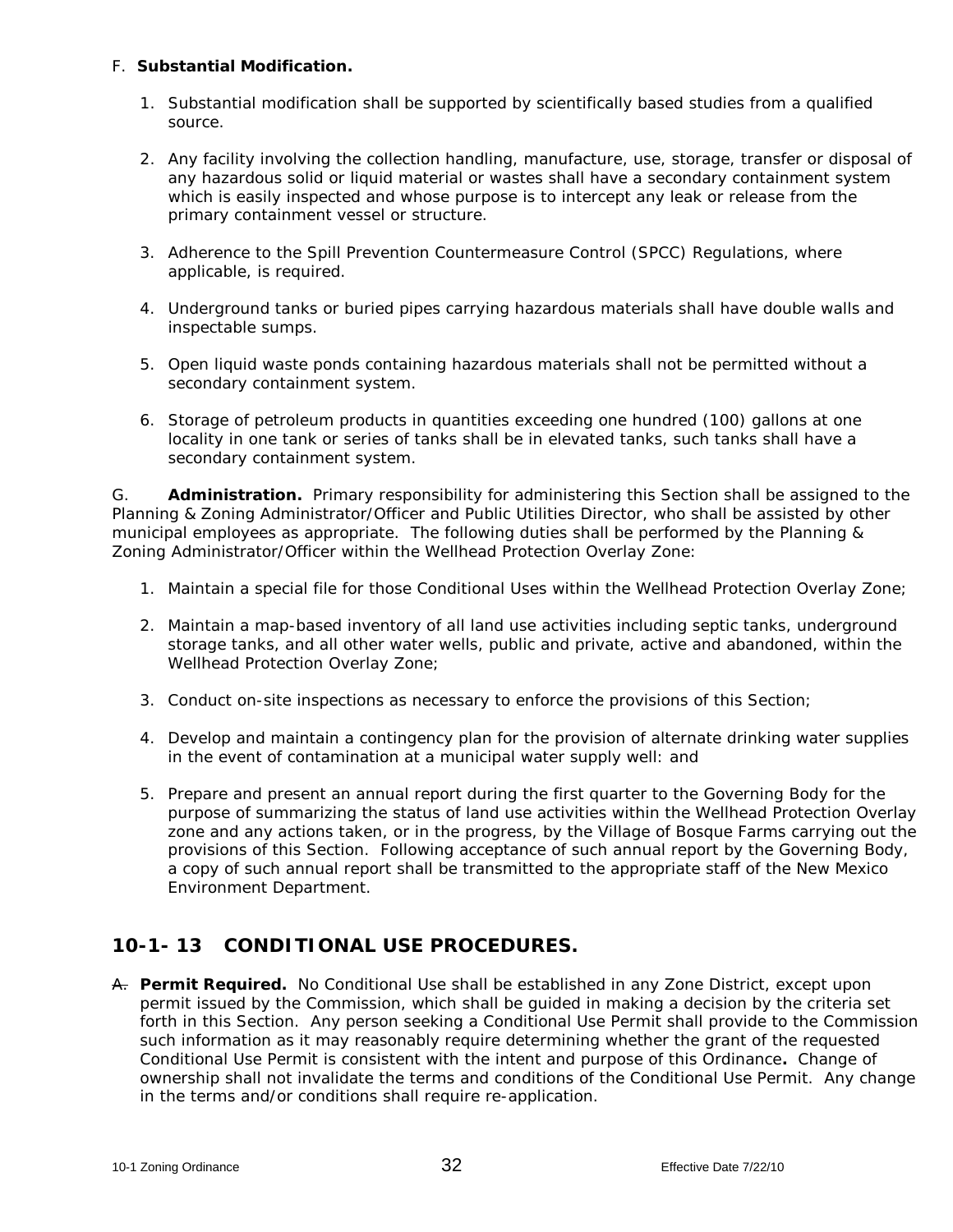### F. **Substantial Modification.**

- 1. Substantial modification shall be supported by scientifically based studies from a qualified source.
- 2. Any facility involving the collection handling, manufacture, use, storage, transfer or disposal of any hazardous solid or liquid material or wastes shall have a secondary containment system which is easily inspected and whose purpose is to intercept any leak or release from the primary containment vessel or structure.
- 3. Adherence to the Spill Prevention Countermeasure Control (SPCC) Regulations, where applicable, is required.
- 4. Underground tanks or buried pipes carrying hazardous materials shall have double walls and inspectable sumps.
- 5. Open liquid waste ponds containing hazardous materials shall not be permitted without a secondary containment system.
- 6. Storage of petroleum products in quantities exceeding one hundred (100) gallons at one locality in one tank or series of tanks shall be in elevated tanks, such tanks shall have a secondary containment system.

G. **Administration.** Primary responsibility for administering this Section shall be assigned to the Planning & Zoning Administrator/Officer and Public Utilities Director, who shall be assisted by other municipal employees as appropriate. The following duties shall be performed by the Planning & Zoning Administrator/Officer within the Wellhead Protection Overlay Zone:

- 1. Maintain a special file for those Conditional Uses within the Wellhead Protection Overlay Zone;
- 2. Maintain a map-based inventory of all land use activities including septic tanks, underground storage tanks, and all other water wells, public and private, active and abandoned, within the Wellhead Protection Overlay Zone;
- 3. Conduct on-site inspections as necessary to enforce the provisions of this Section;
- 4. Develop and maintain a contingency plan for the provision of alternate drinking water supplies in the event of contamination at a municipal water supply well: and
- 5. Prepare and present an annual report during the first quarter to the Governing Body for the purpose of summarizing the status of land use activities within the Wellhead Protection Overlay zone and any actions taken, or in the progress, by the Village of Bosque Farms carrying out the provisions of this Section. Following acceptance of such annual report by the Governing Body, a copy of such annual report shall be transmitted to the appropriate staff of the New Mexico Environment Department.

# **10-1- 13 CONDITIONAL USE PROCEDURES.**

A. **Permit Required.** No Conditional Use shall be established in any Zone District, except upon permit issued by the Commission, which shall be guided in making a decision by the criteria set forth in this Section. Any person seeking a Conditional Use Permit shall provide to the Commission such information as it may reasonably require determining whether the grant of the requested Conditional Use Permit is consistent with the intent and purpose of this Ordinance**.** Change of ownership shall not invalidate the terms and conditions of the Conditional Use Permit.Any change in the terms and/or conditions shall require re-application.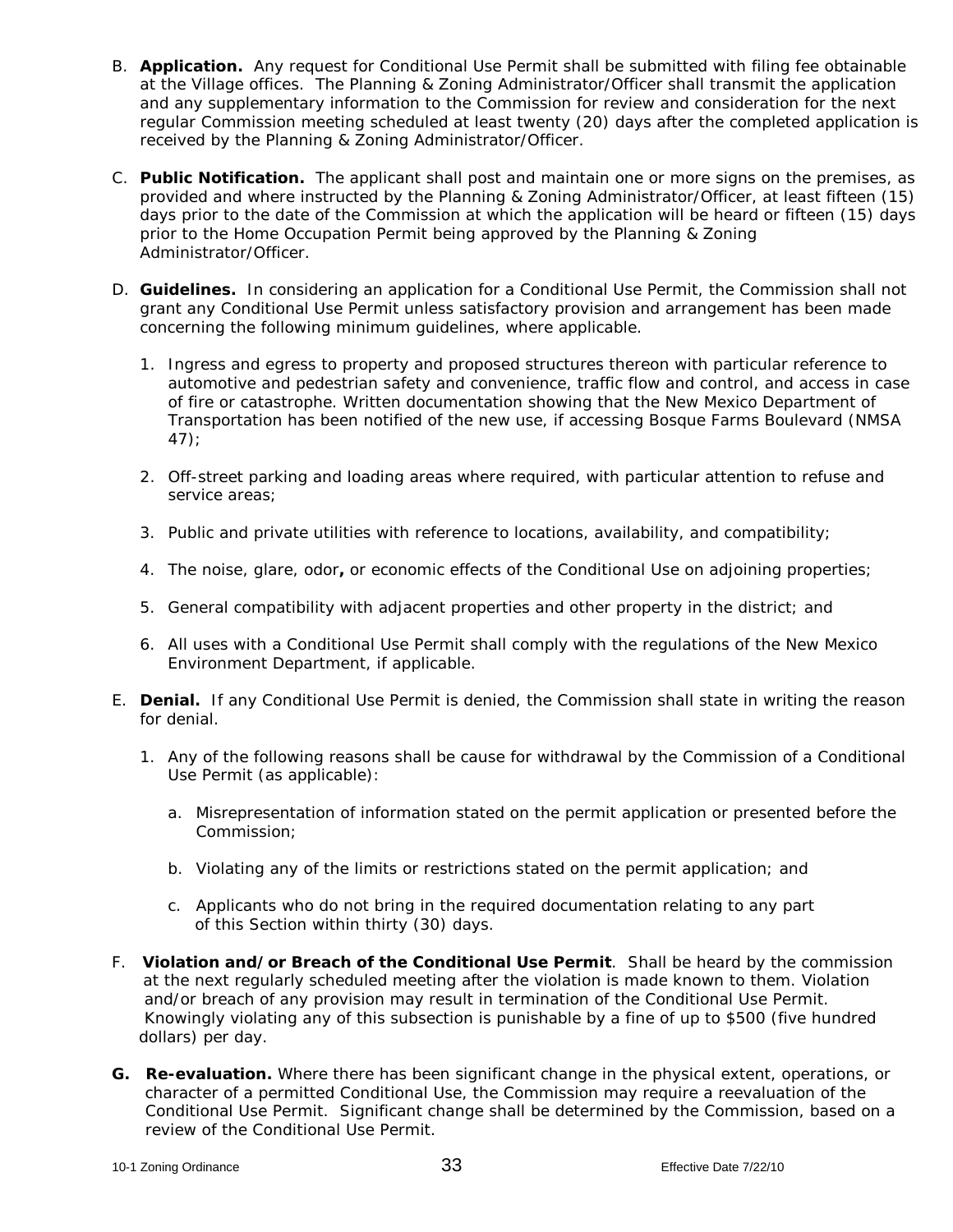- B. **Application.** Any request for Conditional Use Permit shall be submitted with filing fee obtainable at the Village offices. The Planning & Zoning Administrator/Officer shall transmit the application and any supplementary information to the Commission for review and consideration for the next regular Commission meeting scheduled at least twenty (20) days after the completed application is received by the Planning & Zoning Administrator/Officer.
- C. **Public Notification.** The applicant shall post and maintain one or more signs on the premises, as provided and where instructed by the Planning & Zoning Administrator/Officer, at least fifteen (15) days prior to the date of the Commission at which the application will be heard or fifteen (15) days prior to the Home Occupation Permit being approved by the Planning & Zoning Administrator/Officer.
- D. **Guidelines.** In considering an application for a Conditional Use Permit, the Commission shall not grant any Conditional Use Permit unless satisfactory provision and arrangement has been made concerning the following minimum guidelines, where applicable.
	- 1. Ingress and egress to property and proposed structures thereon with particular reference to automotive and pedestrian safety and convenience, traffic flow and control, and access in case of fire or catastrophe. Written documentation showing that the New Mexico Department of Transportation has been notified of the new use, if accessing Bosque Farms Boulevard (NMSA 47);
	- 2. Off-street parking and loading areas where required, with particular attention to refuse and service areas;
	- 3. Public and private utilities with reference to locations, availability, and compatibility;
	- 4. The noise, glare, odor**,** or economic effects of the Conditional Use on adjoining properties;
	- 5. General compatibility with adjacent properties and other property in the district; and
	- 6. All uses with a Conditional Use Permit shall comply with the regulations of the New Mexico Environment Department, if applicable.
- E. **Denial.** If any Conditional Use Permit is denied, the Commission shall state in writing the reason for denial.
	- 1. Any of the following reasons shall be cause for withdrawal by the Commission of a Conditional Use Permit (as applicable):
		- a. Misrepresentation of information stated on the permit application or presented before the Commission;
		- b. Violating any of the limits or restrictions stated on the permit application; and
		- c. Applicants who do not bring in the required documentation relating to any part of this Section within thirty (30) days.
- F. **Violation and/or Breach of the Conditional Use Permit**. Shall be heard by the commission at the next regularly scheduled meeting after the violation is made known to them. Violation and/or breach of any provision may result in termination of the Conditional Use Permit. Knowingly violating any of this subsection is punishable by a fine of up to \$500 (five hundred dollars) per day.
- **G. Re-evaluation.** Where there has been significant change in the physical extent, operations, or character of a permitted Conditional Use, the Commission may require a reevaluation of the Conditional Use Permit. Significant change shall be determined by the Commission, based on a review of the Conditional Use Permit.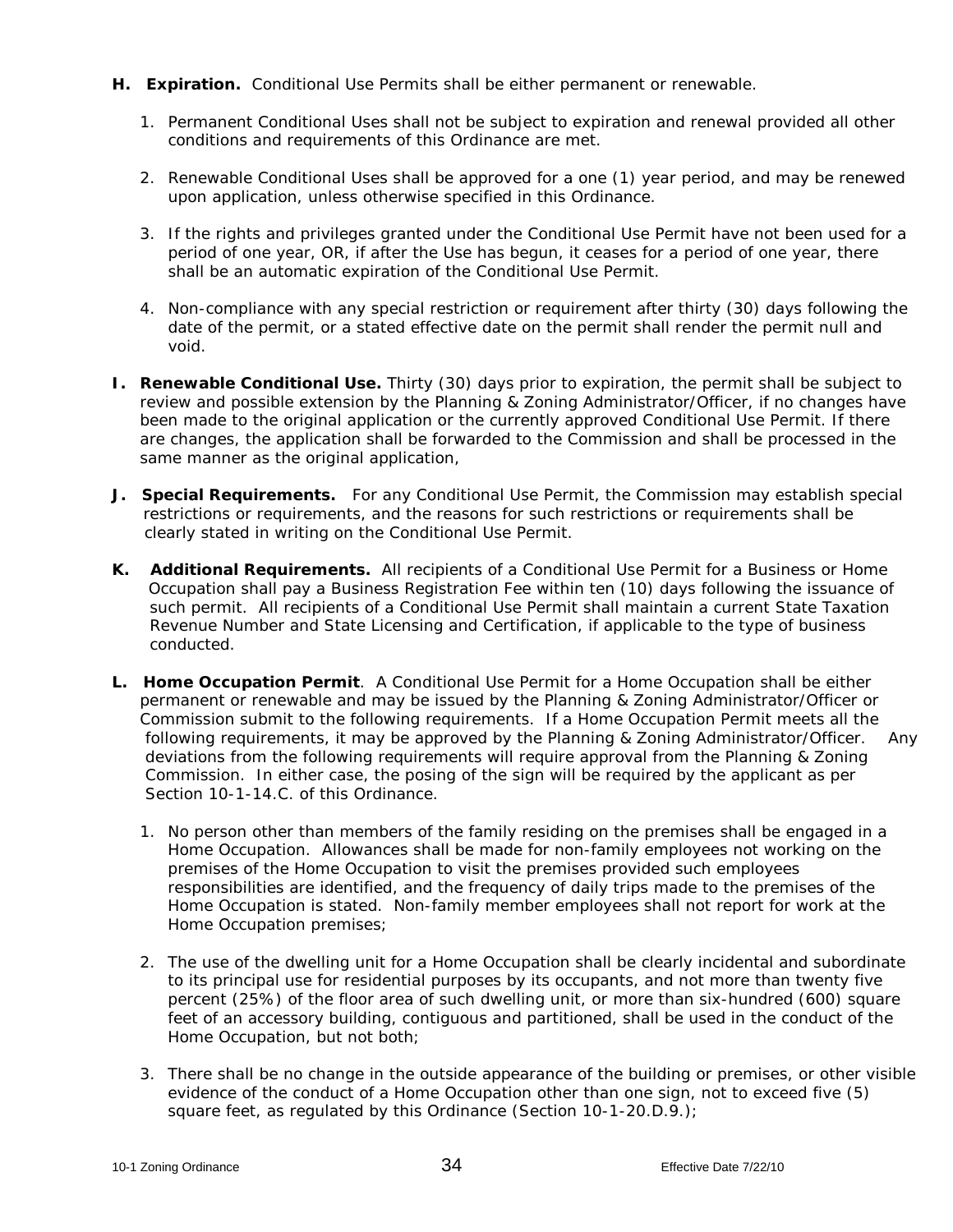- **H. Expiration.** Conditional Use Permits shall be either permanent or renewable.
	- 1. Permanent Conditional Uses shall not be subject to expiration and renewal provided all other conditions and requirements of this Ordinance are met.
	- 2. Renewable Conditional Uses shall be approved for a one (1) year period, and may be renewed upon application, unless otherwise specified in this Ordinance.
	- 3. If the rights and privileges granted under the Conditional Use Permit have not been used for a period of one year, OR, if after the Use has begun, it ceases for a period of one year, there shall be an automatic expiration of the Conditional Use Permit.
	- 4. Non-compliance with any special restriction or requirement after thirty (30) days following the date of the permit, or a stated effective date on the permit shall render the permit null and void.
- **I. Renewable Conditional Use.** Thirty (30) days prior to expiration, the permit shall be subject to review and possible extension by the Planning & Zoning Administrator/Officer, if no changes have been made to the original application or the currently approved Conditional Use Permit. If there are changes, the application shall be forwarded to the Commission and shall be processed in the same manner as the original application,
- **J. Special Requirements.** For any Conditional Use Permit, the Commission may establish special restrictions or requirements, and the reasons for such restrictions or requirements shall be clearly stated in writing on the Conditional Use Permit.
- **K. Additional Requirements.** All recipients of a Conditional Use Permit for a Business or Home Occupation shall pay a Business Registration Fee within ten (10) days following the issuance of such permit. All recipients of a Conditional Use Permit shall maintain a current State Taxation Revenue Number and State Licensing and Certification, if applicable to the type of business conducted.
- **L. Home Occupation Permit**. A Conditional Use Permit for a Home Occupation shall be either permanent or renewable and may be issued by the Planning & Zoning Administrator/Officer or Commission submit to the following requirements. If a Home Occupation Permit meets all the following requirements, it may be approved by the Planning & Zoning Administrator/Officer. Any deviations from the following requirements will require approval from the Planning & Zoning Commission. In either case, the posing of the sign will be required by the applicant as per Section 10-1-14.C. of this Ordinance.
	- 1. No person other than members of the family residing on the premises shall be engaged in a Home Occupation. Allowances shall be made for non-family employees not working on the premises of the Home Occupation to visit the premises provided such employees responsibilities are identified, and the frequency of daily trips made to the premises of the Home Occupation is stated. Non-family member employees shall not report for work at the Home Occupation premises;
	- 2. The use of the dwelling unit for a Home Occupation shall be clearly incidental and subordinate to its principal use for residential purposes by its occupants, and not more than twenty five percent (25%) of the floor area of such dwelling unit, or more than six-hundred (600) square feet of an accessory building, contiguous and partitioned, shall be used in the conduct of the Home Occupation, but not both;
	- 3. There shall be no change in the outside appearance of the building or premises, or other visible evidence of the conduct of a Home Occupation other than one sign, not to exceed five (5) square feet, as regulated by this Ordinance (Section 10-1-20.D.9.);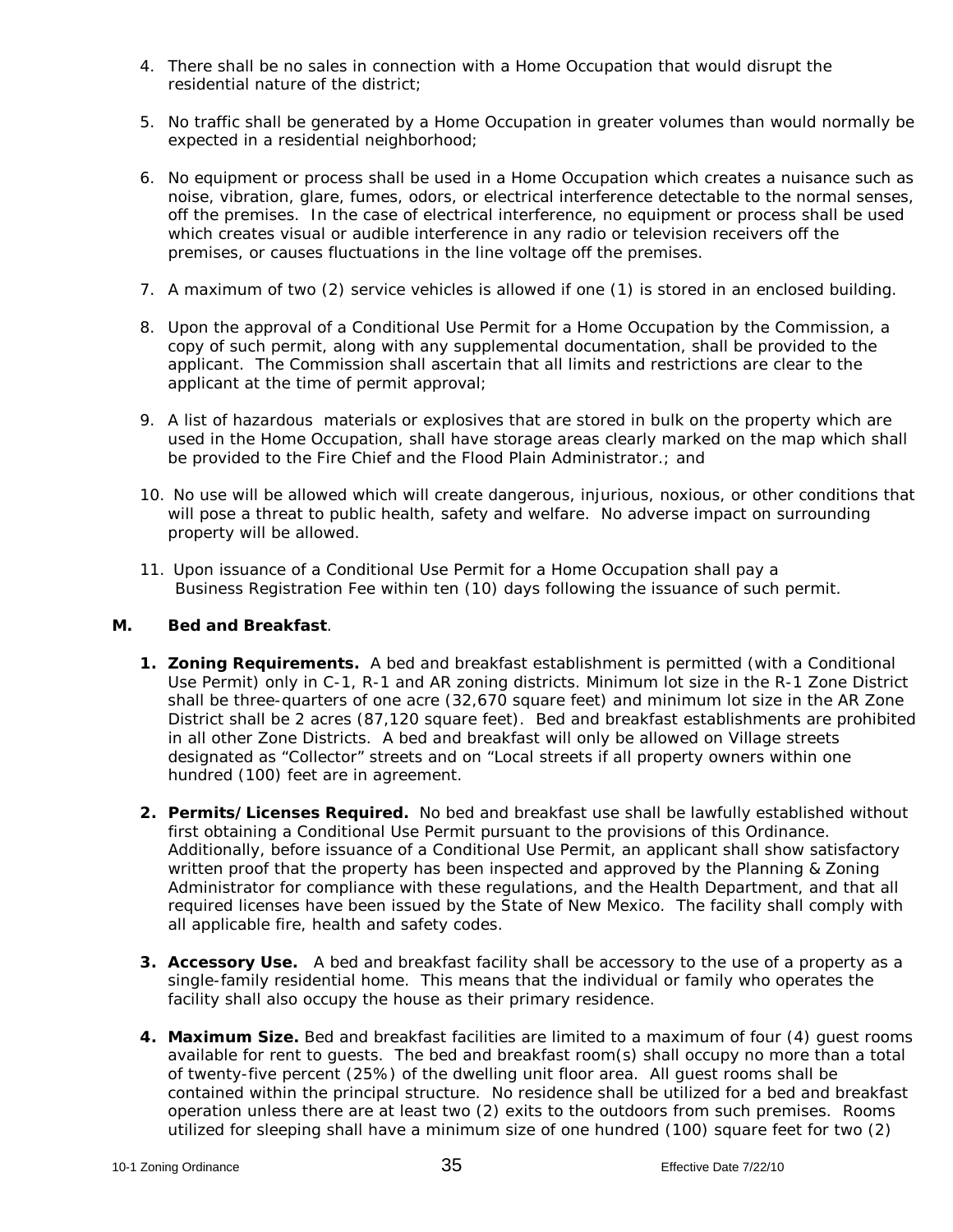- 4. There shall be no sales in connection with a Home Occupation that would disrupt the residential nature of the district;
- 5. No traffic shall be generated by a Home Occupation in greater volumes than would normally be expected in a residential neighborhood;
- 6. No equipment or process shall be used in a Home Occupation which creates a nuisance such as noise, vibration, glare, fumes, odors, or electrical interference detectable to the normal senses, off the premises. In the case of electrical interference, no equipment or process shall be used which creates visual or audible interference in any radio or television receivers off the premises, or causes fluctuations in the line voltage off the premises.
- 7. A maximum of two (2) service vehicles is allowed if one (1) is stored in an enclosed building.
- 8. Upon the approval of a Conditional Use Permit for a Home Occupation by the Commission, a copy of such permit, along with any supplemental documentation, shall be provided to the applicant. The Commission shall ascertain that all limits and restrictions are clear to the applicant at the time of permit approval;
- 9. A list of hazardous materials or explosives that are stored in bulk on the property which are used in the Home Occupation, shall have storage areas clearly marked on the map which shall be provided to the Fire Chief and the Flood Plain Administrator.; and
- 10. No use will be allowed which will create dangerous, injurious, noxious, or other conditions that will pose a threat to public health, safety and welfare. No adverse impact on surrounding property will be allowed.
- 11. Upon issuance of a Conditional Use Permit for a Home Occupation shall pay a Business Registration Fee within ten (10) days following the issuance of such permit.

#### **M. Bed and Breakfast**.

- **1. Zoning Requirements.** A bed and breakfast establishment is permitted (with a Conditional Use Permit) only in C-1, R-1 and AR zoning districts. Minimum lot size in the R-1 Zone District shall be three-quarters of one acre (32,670 square feet) and minimum lot size in the AR Zone District shall be 2 acres (87,120 square feet). Bed and breakfast establishments are prohibited in all other Zone Districts. A bed and breakfast will only be allowed on Village streets designated as "Collector" streets and on "Local streets if all property owners within one hundred (100) feet are in agreement.
- **2. Permits/Licenses Required.** No bed and breakfast use shall be lawfully established without first obtaining a Conditional Use Permit pursuant to the provisions of this Ordinance. Additionally, before issuance of a Conditional Use Permit, an applicant shall show satisfactory written proof that the property has been inspected and approved by the Planning & Zoning Administrator for compliance with these regulations, and the Health Department, and that all required licenses have been issued by the State of New Mexico. The facility shall comply with all applicable fire, health and safety codes.
- **3. Accessory Use.** A bed and breakfast facility shall be accessory to the use of a property as a single-family residential home. This means that the individual or family who operates the facility shall also occupy the house as their primary residence.
- **4. Maximum Size.** Bed and breakfast facilities are limited to a maximum of four (4) guest rooms available for rent to guests. The bed and breakfast room(s) shall occupy no more than a total of twenty-five percent (25%) of the dwelling unit floor area. All guest rooms shall be contained within the principal structure. No residence shall be utilized for a bed and breakfast operation unless there are at least two (2) exits to the outdoors from such premises. Rooms utilized for sleeping shall have a minimum size of one hundred (100) square feet for two (2)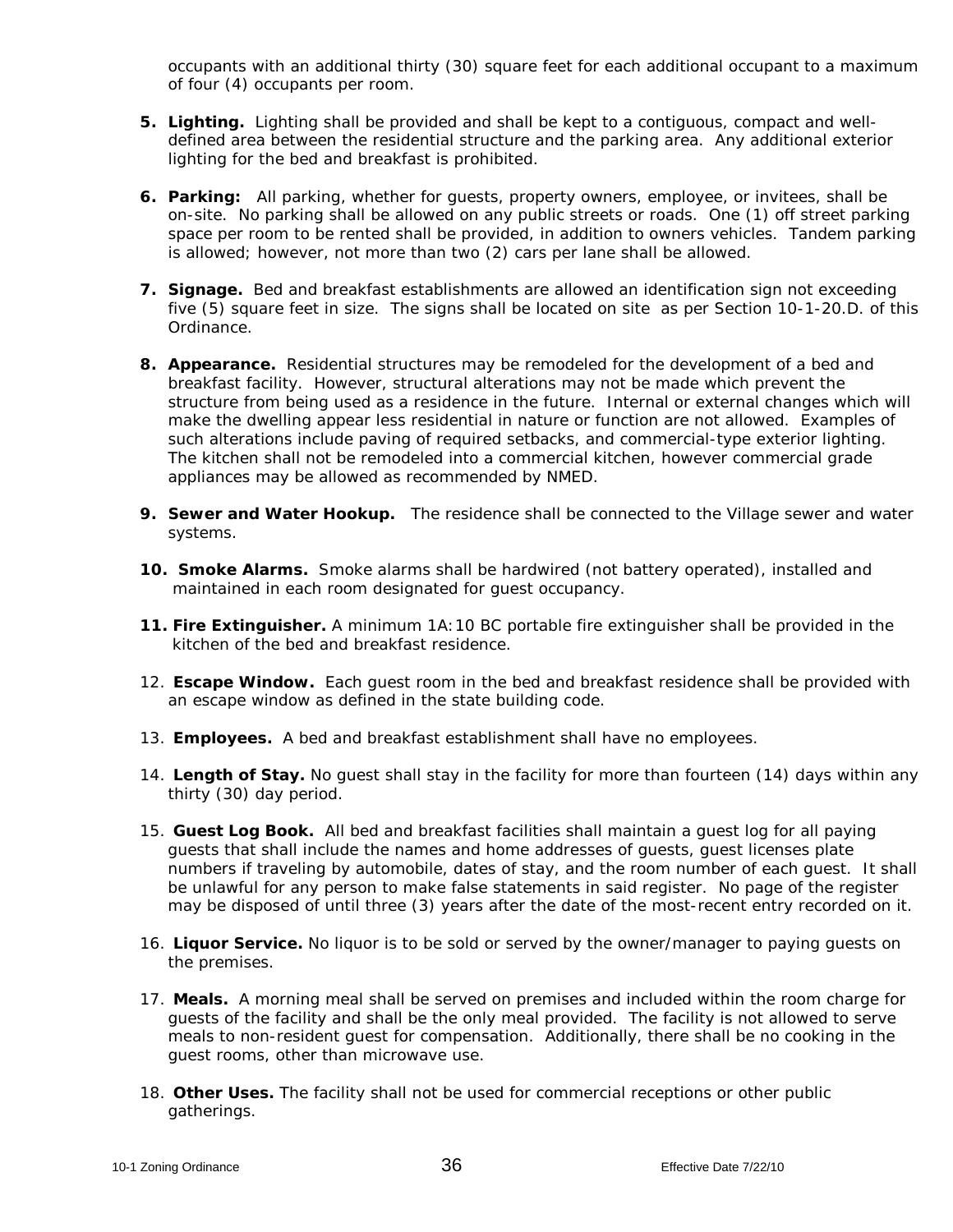occupants with an additional thirty (30) square feet for each additional occupant to a maximum of four (4) occupants per room.

- **5. Lighting.** Lighting shall be provided and shall be kept to a contiguous, compact and welldefined area between the residential structure and the parking area. Any additional exterior lighting for the bed and breakfast is prohibited.
- **6. Parking:** All parking, whether for guests, property owners, employee, or invitees, shall be on-site. No parking shall be allowed on any public streets or roads. One (1) off street parking space per room to be rented shall be provided, in addition to owners vehicles. Tandem parking is allowed; however, not more than two (2) cars per lane shall be allowed.
- **7. Signage.** Bed and breakfast establishments are allowed an identification sign not exceeding five (5) square feet in size. The signs shall be located on site as per Section 10-1-20.D. of this Ordinance.
- **8. Appearance.** Residential structures may be remodeled for the development of a bed and breakfast facility. However, structural alterations may not be made which prevent the structure from being used as a residence in the future. Internal or external changes which will make the dwelling appear less residential in nature or function are not allowed. Examples of such alterations include paving of required setbacks, and commercial-type exterior lighting. The kitchen shall not be remodeled into a commercial kitchen, however commercial grade appliances may be allowed as recommended by NMED.
- **9. Sewer and Water Hookup.** The residence shall be connected to the Village sewer and water systems.
- **10. Smoke Alarms.** Smoke alarms shall be hardwired (not battery operated), installed and maintained in each room designated for guest occupancy.
- **11. Fire Extinguisher.** A minimum 1A:10 BC portable fire extinguisher shall be provided in the kitchen of the bed and breakfast residence.
- 12. **Escape Window.** Each guest room in the bed and breakfast residence shall be provided with an escape window as defined in the state building code.
- 13. **Employees.** A bed and breakfast establishment shall have no employees.
- 14. **Length of Stay.** No guest shall stay in the facility for more than fourteen (14) days within any thirty (30) day period.
- 15. **Guest Log Book.** All bed and breakfast facilities shall maintain a guest log for all paying guests that shall include the names and home addresses of guests, guest licenses plate numbers if traveling by automobile, dates of stay, and the room number of each guest. It shall be unlawful for any person to make false statements in said register. No page of the register may be disposed of until three (3) years after the date of the most-recent entry recorded on it.
- 16. **Liquor Service.** No liquor is to be sold or served by the owner/manager to paying guests on the premises.
- 17. **Meals.** A morning meal shall be served on premises and included within the room charge for guests of the facility and shall be the only meal provided. The facility is not allowed to serve meals to non-resident guest for compensation. Additionally, there shall be no cooking in the guest rooms, other than microwave use.
- 18. **Other Uses.** The facility shall not be used for commercial receptions or other public gatherings.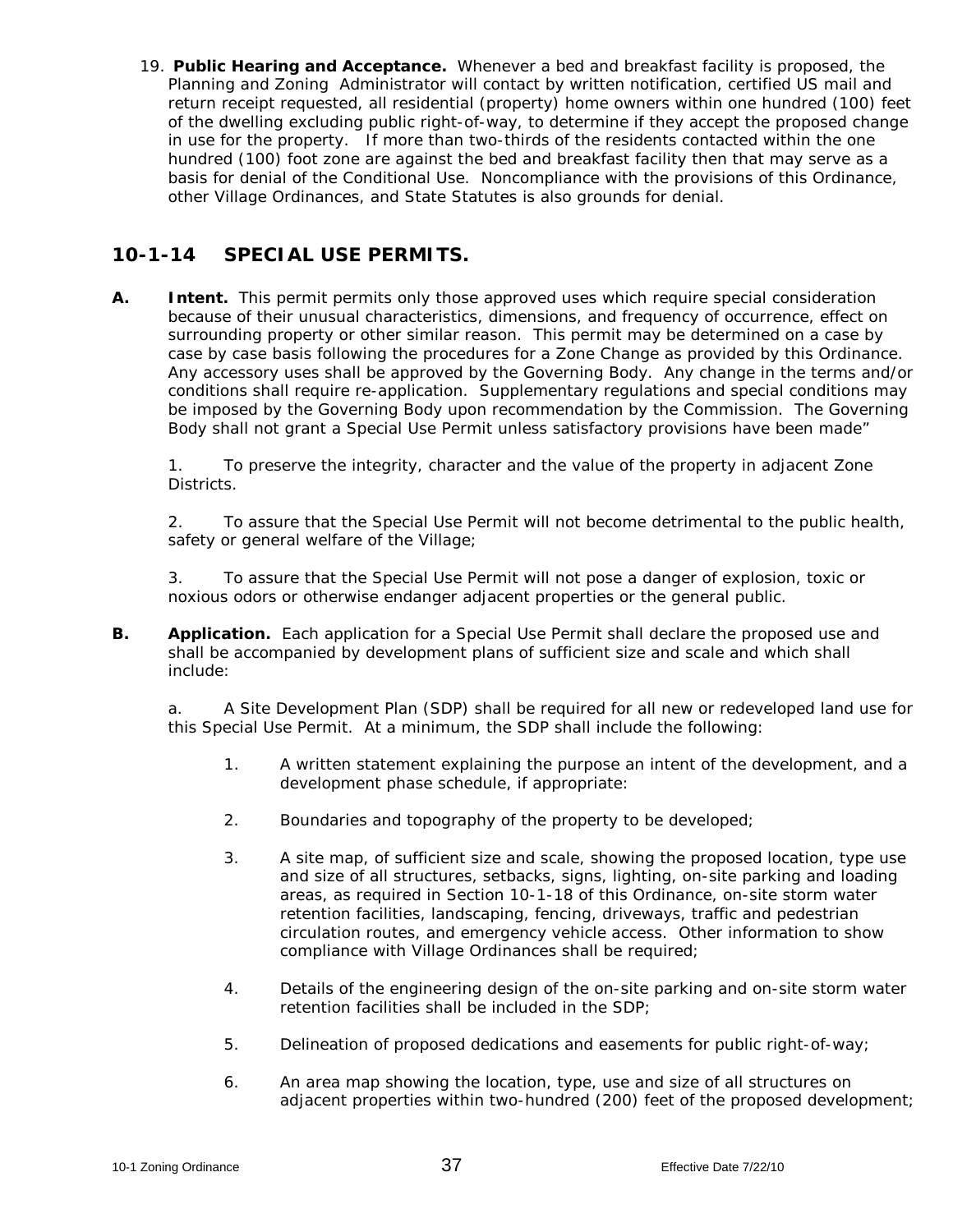19. **Public Hearing and Acceptance.** Whenever a bed and breakfast facility is proposed, the Planning and Zoning Administrator will contact by written notification, certified US mail and return receipt requested, all residential (property) home owners within one hundred (100) feet of the dwelling excluding public right-of-way, to determine if they accept the proposed change in use for the property. If more than two-thirds of the residents contacted within the one hundred (100) foot zone are against the bed and breakfast facility then that may serve as a basis for denial of the Conditional Use. Noncompliance with the provisions of this Ordinance, other Village Ordinances, and State Statutes is also grounds for denial.

### **10-1-14 SPECIAL USE PERMITS.**

**A. Intent.** This permit permits only those approved uses which require special consideration because of their unusual characteristics, dimensions, and frequency of occurrence, effect on surrounding property or other similar reason. This permit may be determined on a case by case by case basis following the procedures for a Zone Change as provided by this Ordinance. Any accessory uses shall be approved by the Governing Body. Any change in the terms and/or conditions shall require re-application. Supplementary regulations and special conditions may be imposed by the Governing Body upon recommendation by the Commission. The Governing Body shall not grant a Special Use Permit unless satisfactory provisions have been made"

1. To preserve the integrity, character and the value of the property in adjacent Zone Districts.

2. To assure that the Special Use Permit will not become detrimental to the public health, safety or general welfare of the Village;

3. To assure that the Special Use Permit will not pose a danger of explosion, toxic or noxious odors or otherwise endanger adjacent properties or the general public.

**B. Application.** Each application for a Special Use Permit shall declare the proposed use and shall be accompanied by development plans of sufficient size and scale and which shall include:

a. A Site Development Plan (SDP) shall be required for all new or redeveloped land use for this Special Use Permit. At a minimum, the SDP shall include the following:

- 1. A written statement explaining the purpose an intent of the development, and a development phase schedule, if appropriate:
- 2. Boundaries and topography of the property to be developed;
- 3. A site map, of sufficient size and scale, showing the proposed location, type use and size of all structures, setbacks, signs, lighting, on-site parking and loading areas, as required in Section 10-1-18 of this Ordinance, on-site storm water retention facilities, landscaping, fencing, driveways, traffic and pedestrian circulation routes, and emergency vehicle access. Other information to show compliance with Village Ordinances shall be required;
- 4. Details of the engineering design of the on-site parking and on-site storm water retention facilities shall be included in the SDP;
- 5. Delineation of proposed dedications and easements for public right-of-way;
- 6. An area map showing the location, type, use and size of all structures on adjacent properties within two-hundred (200) feet of the proposed development;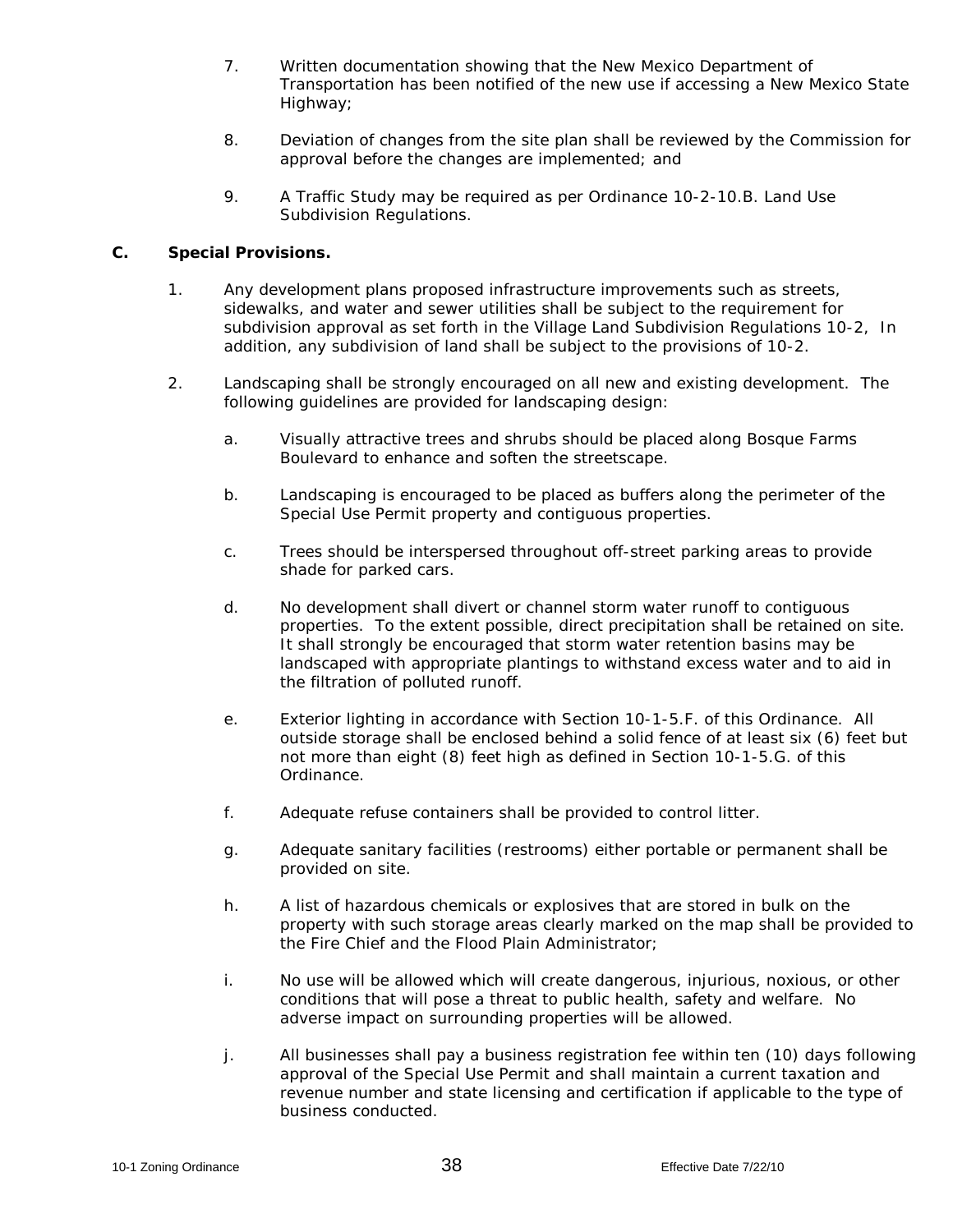- 7. Written documentation showing that the New Mexico Department of Transportation has been notified of the new use if accessing a New Mexico State Highway;
- 8. Deviation of changes from the site plan shall be reviewed by the Commission for approval before the changes are implemented; and
- 9. A Traffic Study may be required as per Ordinance 10-2-10.B. Land Use Subdivision Regulations.

#### **C. Special Provisions.**

- 1. Any development plans proposed infrastructure improvements such as streets, sidewalks, and water and sewer utilities shall be subject to the requirement for subdivision approval as set forth in the Village Land Subdivision Regulations 10-2, In addition, any subdivision of land shall be subject to the provisions of 10-2.
- 2. Landscaping shall be strongly encouraged on all new and existing development. The following guidelines are provided for landscaping design:
	- a. Visually attractive trees and shrubs should be placed along Bosque Farms Boulevard to enhance and soften the streetscape.
	- b. Landscaping is encouraged to be placed as buffers along the perimeter of the Special Use Permit property and contiguous properties.
	- c. Trees should be interspersed throughout off-street parking areas to provide shade for parked cars.
	- d. No development shall divert or channel storm water runoff to contiguous properties. To the extent possible, direct precipitation shall be retained on site. It shall strongly be encouraged that storm water retention basins may be landscaped with appropriate plantings to withstand excess water and to aid in the filtration of polluted runoff.
	- e. Exterior lighting in accordance with Section 10-1-5.F. of this Ordinance. All outside storage shall be enclosed behind a solid fence of at least six (6) feet but not more than eight (8) feet high as defined in Section 10-1-5.G. of this Ordinance.
	- f. Adequate refuse containers shall be provided to control litter.
	- g. Adequate sanitary facilities (restrooms) either portable or permanent shall be provided on site.
	- h. A list of hazardous chemicals or explosives that are stored in bulk on the property with such storage areas clearly marked on the map shall be provided to the Fire Chief and the Flood Plain Administrator;
	- i. No use will be allowed which will create dangerous, injurious, noxious, or other conditions that will pose a threat to public health, safety and welfare. No adverse impact on surrounding properties will be allowed.
	- j. All businesses shall pay a business registration fee within ten (10) days following approval of the Special Use Permit and shall maintain a current taxation and revenue number and state licensing and certification if applicable to the type of business conducted.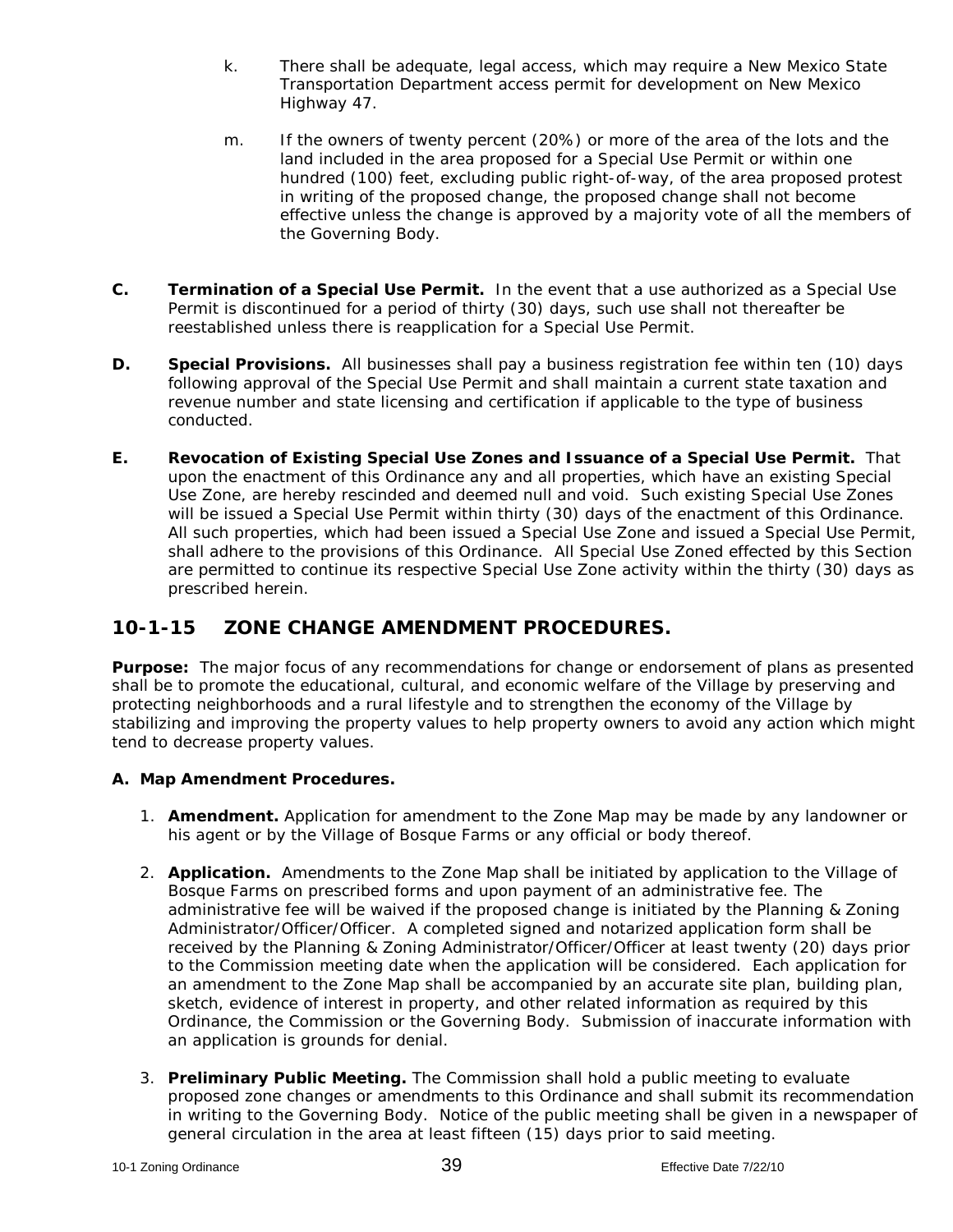- k. There shall be adequate, legal access, which may require a New Mexico State Transportation Department access permit for development on New Mexico Highway 47.
- m. If the owners of twenty percent (20%) or more of the area of the lots and the land included in the area proposed for a Special Use Permit or within one hundred (100) feet, excluding public right-of-way, of the area proposed protest in writing of the proposed change, the proposed change shall not become effective unless the change is approved by a majority vote of all the members of the Governing Body.
- **C. Termination of a Special Use Permit.** In the event that a use authorized as a Special Use Permit is discontinued for a period of thirty (30) days, such use shall not thereafter be reestablished unless there is reapplication for a Special Use Permit.
- **D. Special Provisions.** All businesses shall pay a business registration fee within ten (10) days following approval of the Special Use Permit and shall maintain a current state taxation and revenue number and state licensing and certification if applicable to the type of business conducted.
- **E. Revocation of Existing Special Use Zones and Issuance of a Special Use Permit.** That upon the enactment of this Ordinance any and all properties, which have an existing Special Use Zone, are hereby rescinded and deemed null and void. Such existing Special Use Zones will be issued a Special Use Permit within thirty (30) days of the enactment of this Ordinance. All such properties, which had been issued a Special Use Zone and issued a Special Use Permit, shall adhere to the provisions of this Ordinance. All Special Use Zoned effected by this Section are permitted to continue its respective Special Use Zone activity within the thirty (30) days as prescribed herein.

## **10-1-15 ZONE CHANGE AMENDMENT PROCEDURES.**

**Purpose:** The major focus of any recommendations for change or endorsement of plans as presented shall be to promote the educational, cultural, and economic welfare of the Village by preserving and protecting neighborhoods and a rural lifestyle and to strengthen the economy of the Village by stabilizing and improving the property values to help property owners to avoid any action which might tend to decrease property values.

### **A. Map Amendment Procedures.**

- 1. **Amendment.** Application for amendment to the Zone Map may be made by any landowner or his agent or by the Village of Bosque Farms or any official or body thereof.
- 2. **Application.** Amendments to the Zone Map shall be initiated by application to the Village of Bosque Farms on prescribed forms and upon payment of an administrative fee. The administrative fee will be waived if the proposed change is initiated by the Planning & Zoning Administrator/Officer/Officer. A completed signed and notarized application form shall be received by the Planning & Zoning Administrator/Officer/Officer at least twenty (20) days prior to the Commission meeting date when the application will be considered. Each application for an amendment to the Zone Map shall be accompanied by an accurate site plan, building plan, sketch, evidence of interest in property, and other related information as required by this Ordinance, the Commission or the Governing Body. Submission of inaccurate information with an application is grounds for denial.
- 3. **Preliminary Public Meeting.** The Commission shall hold a public meeting to evaluate proposed zone changes or amendments to this Ordinance and shall submit its recommendation in writing to the Governing Body. Notice of the public meeting shall be given in a newspaper of general circulation in the area at least fifteen (15) days prior to said meeting.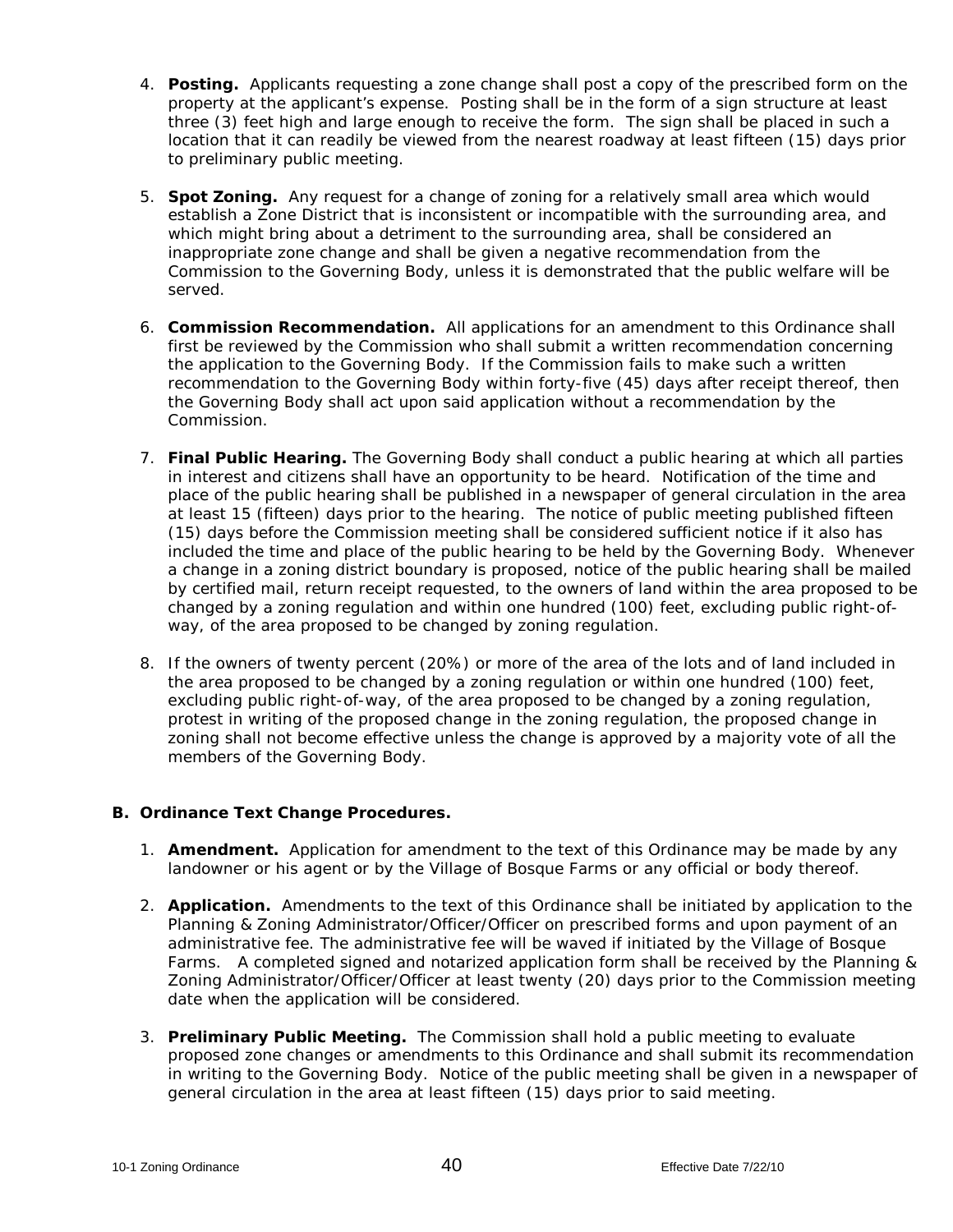- 4. **Posting.** Applicants requesting a zone change shall post a copy of the prescribed form on the property at the applicant's expense. Posting shall be in the form of a sign structure at least three (3) feet high and large enough to receive the form. The sign shall be placed in such a location that it can readily be viewed from the nearest roadway at least fifteen (15) days prior to preliminary public meeting.
- 5. **Spot Zoning.** Any request for a change of zoning for a relatively small area which would establish a Zone District that is inconsistent or incompatible with the surrounding area, and which might bring about a detriment to the surrounding area, shall be considered an inappropriate zone change and shall be given a negative recommendation from the Commission to the Governing Body, unless it is demonstrated that the public welfare will be served.
- 6. **Commission Recommendation.** All applications for an amendment to this Ordinance shall first be reviewed by the Commission who shall submit a written recommendation concerning the application to the Governing Body. If the Commission fails to make such a written recommendation to the Governing Body within forty-five (45) days after receipt thereof, then the Governing Body shall act upon said application without a recommendation by the Commission.
- 7. **Final Public Hearing.** The Governing Body shall conduct a public hearing at which all parties in interest and citizens shall have an opportunity to be heard. Notification of the time and place of the public hearing shall be published in a newspaper of general circulation in the area at least 15 (fifteen) days prior to the hearing. The notice of public meeting published fifteen (15) days before the Commission meeting shall be considered sufficient notice if it also has included the time and place of the public hearing to be held by the Governing Body. Whenever a change in a zoning district boundary is proposed, notice of the public hearing shall be mailed by certified mail, return receipt requested, to the owners of land within the area proposed to be changed by a zoning regulation and within one hundred (100) feet, excluding public right-ofway, of the area proposed to be changed by zoning regulation.
- 8. If the owners of twenty percent (20%) or more of the area of the lots and of land included in the area proposed to be changed by a zoning regulation or within one hundred (100) feet, excluding public right-of-way, of the area proposed to be changed by a zoning regulation, protest in writing of the proposed change in the zoning regulation, the proposed change in zoning shall not become effective unless the change is approved by a majority vote of all the members of the Governing Body.

#### **B. Ordinance Text Change Procedures.**

- 1. **Amendment.** Application for amendment to the text of this Ordinance may be made by any landowner or his agent or by the Village of Bosque Farms or any official or body thereof.
- 2. **Application.** Amendments to the text of this Ordinance shall be initiated by application to the Planning & Zoning Administrator/Officer/Officer on prescribed forms and upon payment of an administrative fee. The administrative fee will be waved if initiated by the Village of Bosque Farms. A completed signed and notarized application form shall be received by the Planning & Zoning Administrator/Officer/Officer at least twenty (20) days prior to the Commission meeting date when the application will be considered.
- 3. **Preliminary Public Meeting.** The Commission shall hold a public meeting to evaluate proposed zone changes or amendments to this Ordinance and shall submit its recommendation in writing to the Governing Body. Notice of the public meeting shall be given in a newspaper of general circulation in the area at least fifteen (15) days prior to said meeting.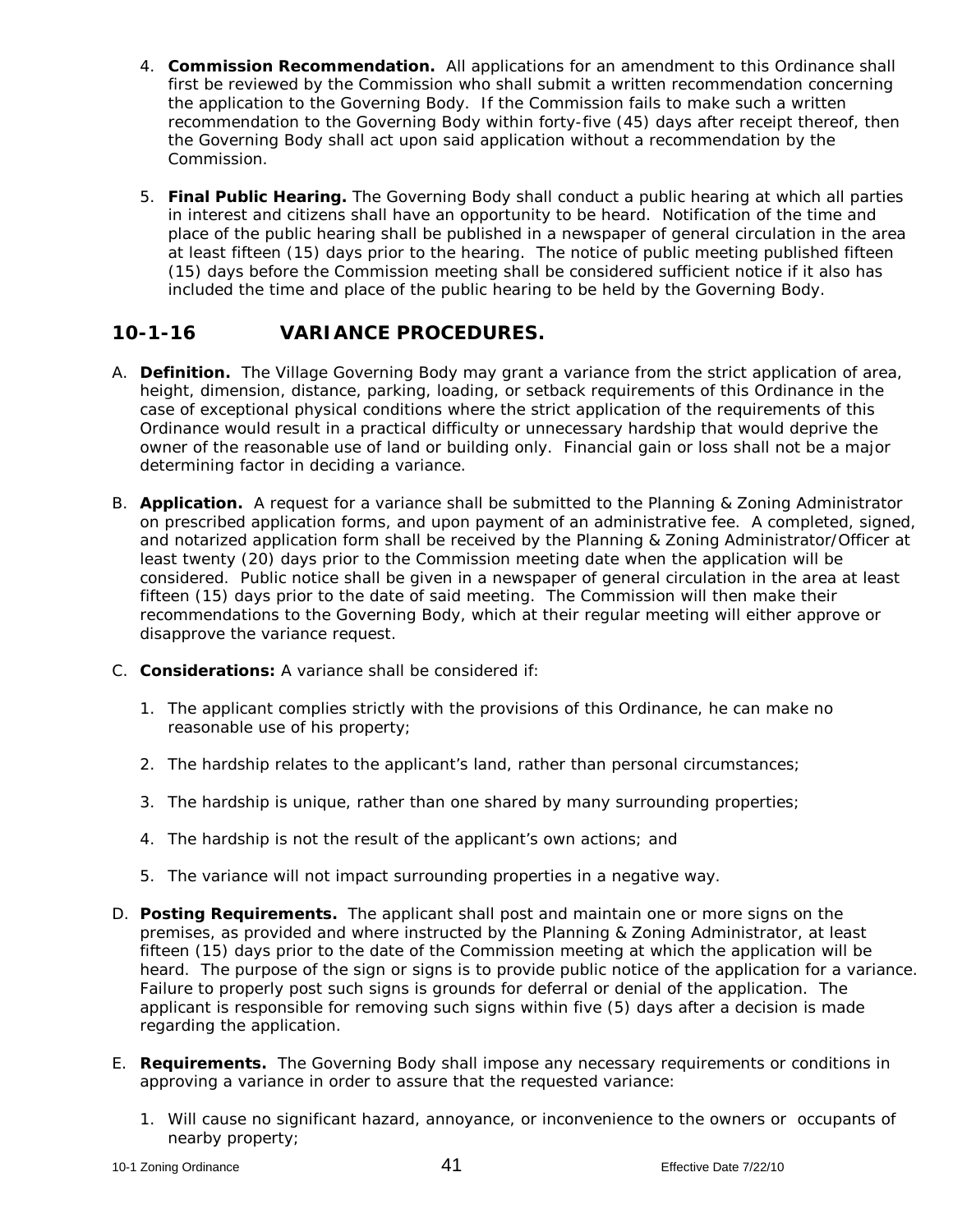- 4. **Commission Recommendation.** All applications for an amendment to this Ordinance shall first be reviewed by the Commission who shall submit a written recommendation concerning the application to the Governing Body. If the Commission fails to make such a written recommendation to the Governing Body within forty-five (45) days after receipt thereof, then the Governing Body shall act upon said application without a recommendation by the Commission.
- 5. **Final Public Hearing.** The Governing Body shall conduct a public hearing at which all parties in interest and citizens shall have an opportunity to be heard. Notification of the time and place of the public hearing shall be published in a newspaper of general circulation in the area at least fifteen (15) days prior to the hearing. The notice of public meeting published fifteen (15) days before the Commission meeting shall be considered sufficient notice if it also has included the time and place of the public hearing to be held by the Governing Body.

# **10-1-16 VARIANCE PROCEDURES.**

- A. **Definition.** The Village Governing Body may grant a variance from the strict application of area, height, dimension, distance, parking, loading, or setback requirements of this Ordinance in the case of exceptional physical conditions where the strict application of the requirements of this Ordinance would result in a practical difficulty or unnecessary hardship that would deprive the owner of the reasonable use of land or building only. Financial gain or loss shall not be a major determining factor in deciding a variance.
- B. **Application.** A request for a variance shall be submitted to the Planning & Zoning Administrator on prescribed application forms, and upon payment of an administrative fee. A completed, signed, and notarized application form shall be received by the Planning & Zoning Administrator/Officer at least twenty (20) days prior to the Commission meeting date when the application will be considered. Public notice shall be given in a newspaper of general circulation in the area at least fifteen (15) days prior to the date of said meeting. The Commission will then make their recommendations to the Governing Body, which at their regular meeting will either approve or disapprove the variance request.
- C. **Considerations:** A variance shall be considered if:
	- 1. The applicant complies strictly with the provisions of this Ordinance, he can make no reasonable use of his property;
	- 2. The hardship relates to the applicant's land, rather than personal circumstances;
	- 3. The hardship is unique, rather than one shared by many surrounding properties;
	- 4. The hardship is not the result of the applicant's own actions; and
	- 5. The variance will not impact surrounding properties in a negative way.
- D. **Posting Requirements.** The applicant shall post and maintain one or more signs on the premises, as provided and where instructed by the Planning & Zoning Administrator, at least fifteen (15) days prior to the date of the Commission meeting at which the application will be heard. The purpose of the sign or signs is to provide public notice of the application for a variance. Failure to properly post such signs is grounds for deferral or denial of the application. The applicant is responsible for removing such signs within five (5) days after a decision is made regarding the application.
- E. **Requirements.** The Governing Body shall impose any necessary requirements or conditions in approving a variance in order to assure that the requested variance:
	- 1. Will cause no significant hazard, annoyance, or inconvenience to the owners or occupants of nearby property;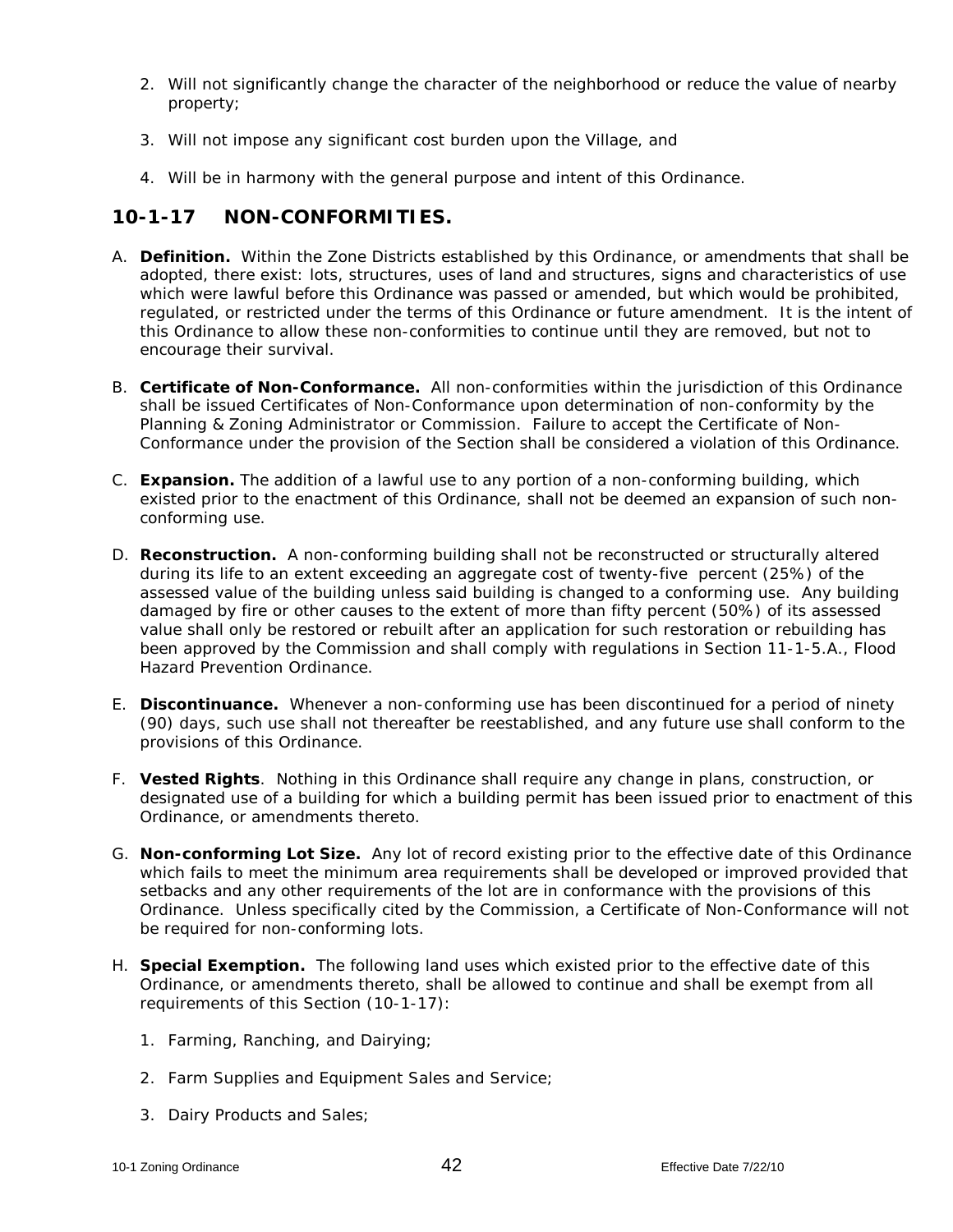- 2. Will not significantly change the character of the neighborhood or reduce the value of nearby property;
- 3. Will not impose any significant cost burden upon the Village, and
- 4. Will be in harmony with the general purpose and intent of this Ordinance.

### **10-1-17 NON-CONFORMITIES.**

- A. **Definition.** Within the Zone Districts established by this Ordinance, or amendments that shall be adopted, there exist: lots, structures, uses of land and structures, signs and characteristics of use which were lawful before this Ordinance was passed or amended, but which would be prohibited, regulated, or restricted under the terms of this Ordinance or future amendment. It is the intent of this Ordinance to allow these non-conformities to continue until they are removed, but not to encourage their survival.
- B. **Certificate of Non-Conformance.** All non-conformities within the jurisdiction of this Ordinance shall be issued Certificates of Non-Conformance upon determination of non-conformity by the Planning & Zoning Administrator or Commission. Failure to accept the Certificate of Non-Conformance under the provision of the Section shall be considered a violation of this Ordinance.
- C. **Expansion.** The addition of a lawful use to any portion of a non-conforming building, which existed prior to the enactment of this Ordinance, shall not be deemed an expansion of such nonconforming use.
- D. **Reconstruction.** A non-conforming building shall not be reconstructed or structurally altered during its life to an extent exceeding an aggregate cost of twenty-five percent (25%) of the assessed value of the building unless said building is changed to a conforming use. Any building damaged by fire or other causes to the extent of more than fifty percent (50%) of its assessed value shall only be restored or rebuilt after an application for such restoration or rebuilding has been approved by the Commission and shall comply with regulations in Section 11-1-5.A., Flood Hazard Prevention Ordinance.
- E. **Discontinuance.** Whenever a non-conforming use has been discontinued for a period of ninety (90) days, such use shall not thereafter be reestablished, and any future use shall conform to the provisions of this Ordinance.
- F. **Vested Rights**. Nothing in this Ordinance shall require any change in plans, construction, or designated use of a building for which a building permit has been issued prior to enactment of this Ordinance, or amendments thereto.
- G. **Non-conforming Lot Size.** Any lot of record existing prior to the effective date of this Ordinance which fails to meet the minimum area requirements shall be developed or improved provided that setbacks and any other requirements of the lot are in conformance with the provisions of this Ordinance. Unless specifically cited by the Commission, a Certificate of Non-Conformance will not be required for non-conforming lots.
- H. **Special Exemption.** The following land uses which existed prior to the effective date of this Ordinance, or amendments thereto, shall be allowed to continue and shall be exempt from all requirements of this Section (10-1-17):
	- 1. Farming, Ranching, and Dairying;
	- 2. Farm Supplies and Equipment Sales and Service;
	- 3. Dairy Products and Sales;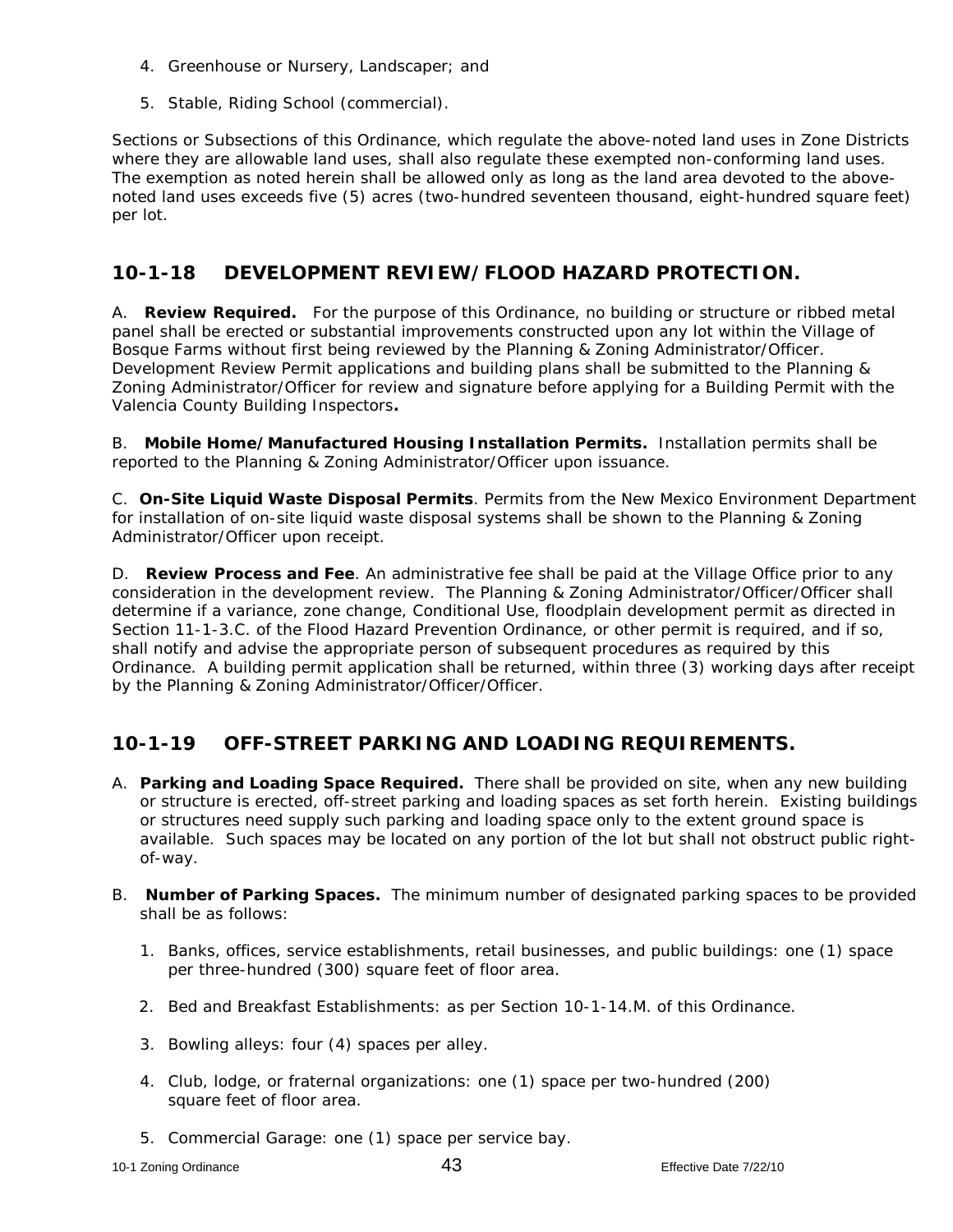- 4. Greenhouse or Nursery, Landscaper; and
- 5. Stable, Riding School (commercial).

Sections or Subsections of this Ordinance, which regulate the above-noted land uses in Zone Districts where they are allowable land uses, shall also regulate these exempted non-conforming land uses. The exemption as noted herein shall be allowed only as long as the land area devoted to the abovenoted land uses exceeds five (5) acres (two-hundred seventeen thousand, eight-hundred square feet) per lot.

### **10-1-18 DEVELOPMENT REVIEW/FLOOD HAZARD PROTECTION.**

A. **Review Required.** For the purpose of this Ordinance, no building or structure or ribbed metal panel shall be erected or substantial improvements constructed upon any lot within the Village of Bosque Farms without first being reviewed by the Planning & Zoning Administrator/Officer. Development Review Permit applications and building plans shall be submitted to the Planning & Zoning Administrator/Officer for review and signature before applying for a Building Permit with the Valencia County Building Inspectors**.** 

B. **Mobile Home/Manufactured Housing Installation Permits.** Installation permits shall be reported to the Planning & Zoning Administrator/Officer upon issuance.

C. **On-Site Liquid Waste Disposal Permits**. Permits from the New Mexico Environment Department for installation of on-site liquid waste disposal systems shall be shown to the Planning & Zoning Administrator/Officer upon receipt.

D. **Review Process and Fee**. An administrative fee shall be paid at the Village Office prior to any consideration in the development review. The Planning & Zoning Administrator/Officer/Officer shall determine if a variance, zone change, Conditional Use, floodplain development permit as directed in Section 11-1-3.C. of the Flood Hazard Prevention Ordinance, or other permit is required, and if so, shall notify and advise the appropriate person of subsequent procedures as required by this Ordinance. A building permit application shall be returned, within three (3) working days after receipt by the Planning & Zoning Administrator/Officer/Officer.

## **10-1-19 OFF-STREET PARKING AND LOADING REQUIREMENTS.**

- A. **Parking and Loading Space Required.** There shall be provided on site, when any new building or structure is erected, off-street parking and loading spaces as set forth herein. Existing buildings or structures need supply such parking and loading space only to the extent ground space is available. Such spaces may be located on any portion of the lot but shall not obstruct public rightof-way.
- B. **Number of Parking Spaces.** The minimum number of designated parking spaces to be provided shall be as follows:
	- 1. Banks, offices, service establishments, retail businesses, and public buildings: one (1) space per three-hundred (300) square feet of floor area.
	- 2. Bed and Breakfast Establishments: as per Section 10-1-14.M. of this Ordinance.
	- 3. Bowling alleys: four (4) spaces per alley.
	- 4. Club, lodge, or fraternal organizations: one (1) space per two-hundred (200) square feet of floor area.
	- 5. Commercial Garage: one (1) space per service bay.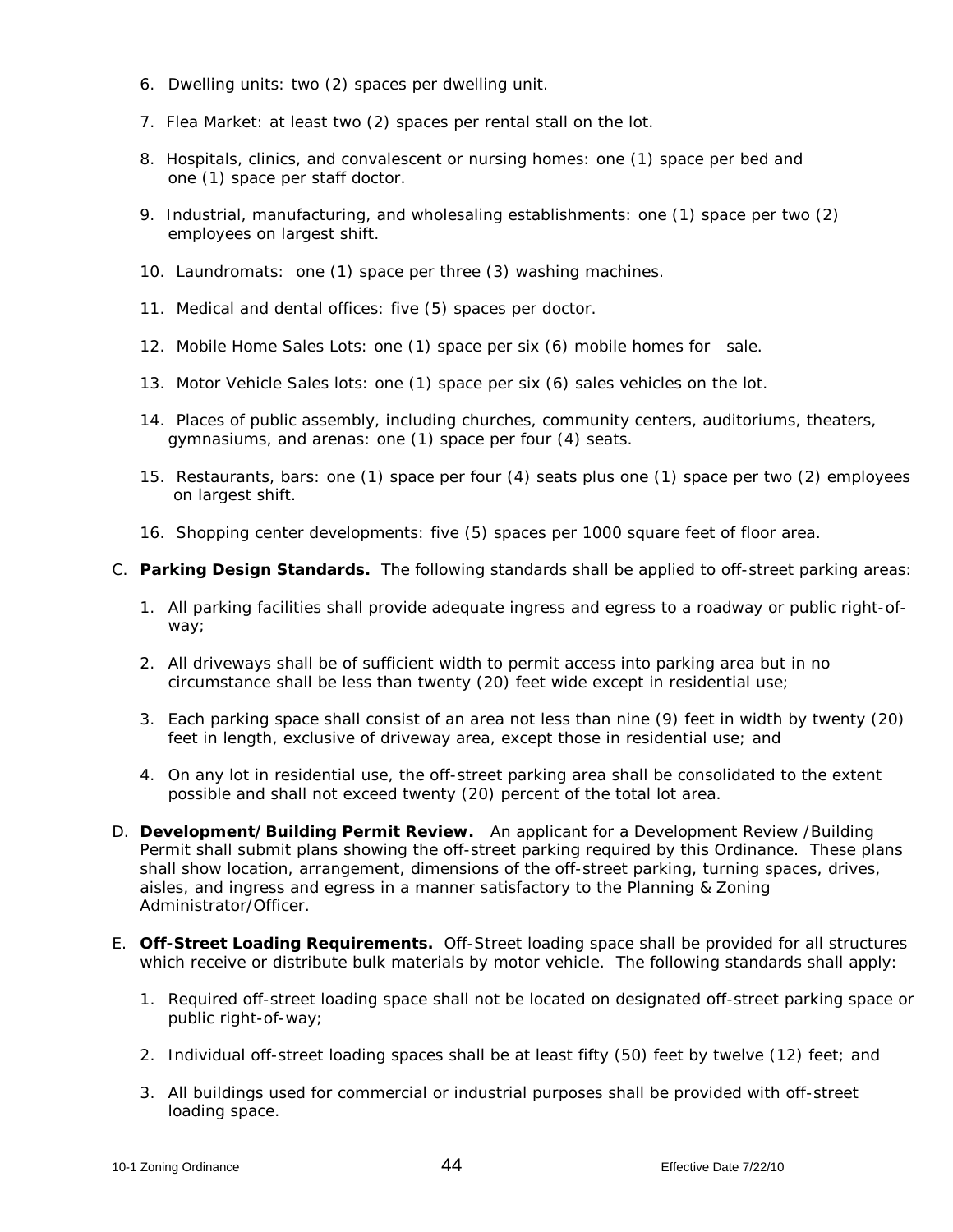- 6. Dwelling units: two (2) spaces per dwelling unit.
- 7. Flea Market: at least two (2) spaces per rental stall on the lot.
- 8. Hospitals, clinics, and convalescent or nursing homes: one (1) space per bed and one (1) space per staff doctor.
- 9. Industrial, manufacturing, and wholesaling establishments: one (1) space per two (2) employees on largest shift.
- 10. Laundromats: one (1) space per three (3) washing machines.
- 11. Medical and dental offices: five (5) spaces per doctor.
- 12. Mobile Home Sales Lots: one (1) space per six (6) mobile homes for sale.
- 13. Motor Vehicle Sales lots: one (1) space per six (6) sales vehicles on the lot.
- 14. Places of public assembly, including churches, community centers, auditoriums, theaters, gymnasiums, and arenas: one (1) space per four (4) seats.
- 15. Restaurants, bars: one (1) space per four (4) seats plus one (1) space per two (2) employees on largest shift.
- 16. Shopping center developments: five (5) spaces per 1000 square feet of floor area.
- C. **Parking Design Standards.** The following standards shall be applied to off-street parking areas:
	- 1. All parking facilities shall provide adequate ingress and egress to a roadway or public right-ofway;
	- 2. All driveways shall be of sufficient width to permit access into parking area but in no circumstance shall be less than twenty (20) feet wide except in residential use;
	- 3. Each parking space shall consist of an area not less than nine (9) feet in width by twenty (20) feet in length, exclusive of driveway area, except those in residential use; and
	- 4. On any lot in residential use, the off-street parking area shall be consolidated to the extent possible and shall not exceed twenty (20) percent of the total lot area.
- D. **Development/Building Permit Review.** An applicant for a Development Review /Building Permit shall submit plans showing the off-street parking required by this Ordinance. These plans shall show location, arrangement, dimensions of the off-street parking, turning spaces, drives, aisles, and ingress and egress in a manner satisfactory to the Planning & Zoning Administrator/Officer.
- E. **Off-Street Loading Requirements.** Off-Street loading space shall be provided for all structures which receive or distribute bulk materials by motor vehicle. The following standards shall apply:
	- 1. Required off-street loading space shall not be located on designated off-street parking space or public right-of-way;
	- 2. Individual off-street loading spaces shall be at least fifty (50) feet by twelve (12) feet; and
	- 3. All buildings used for commercial or industrial purposes shall be provided with off-street loading space.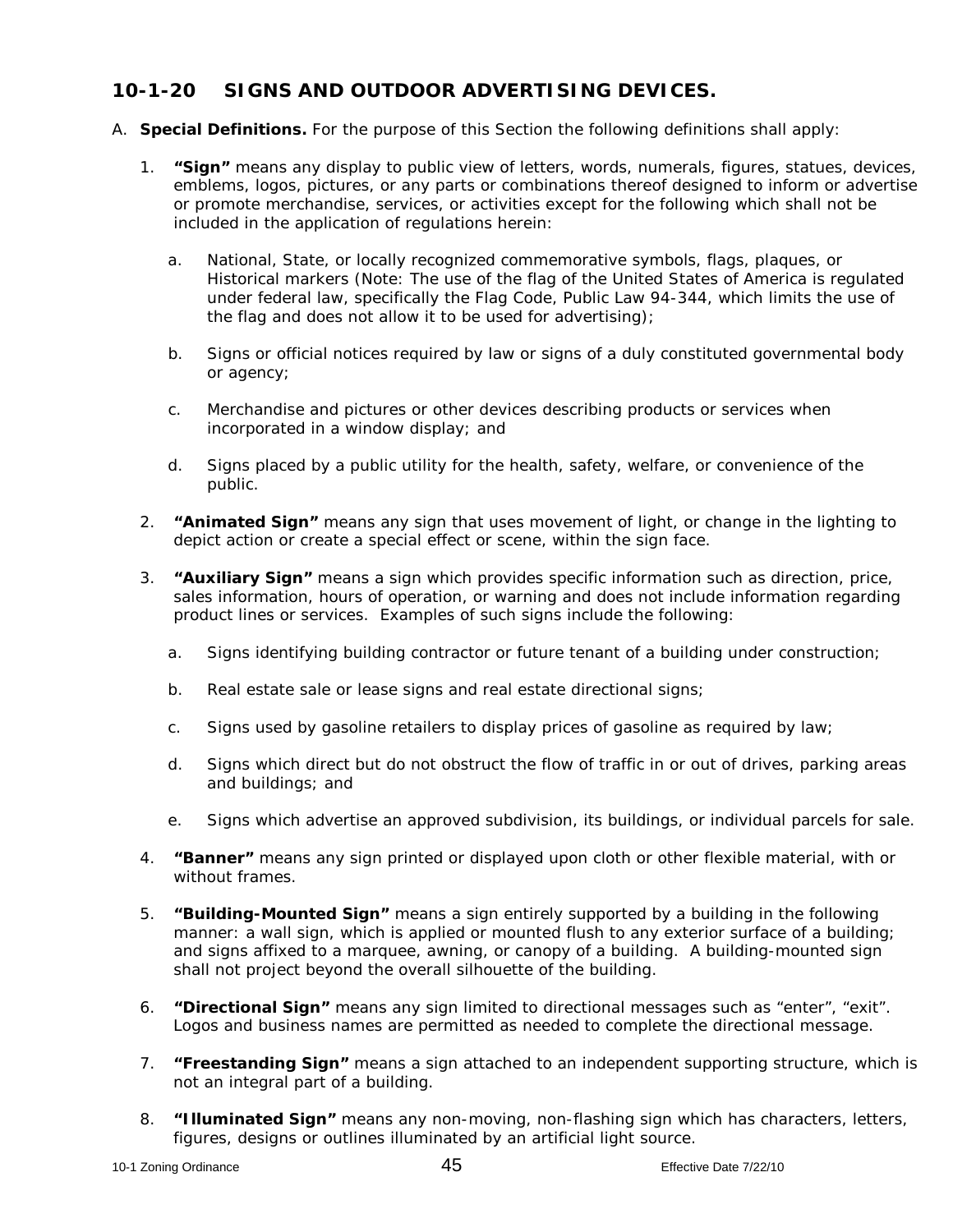### **10-1-20 SIGNS AND OUTDOOR ADVERTISING DEVICES.**

- A. **Special Definitions.** For the purpose of this Section the following definitions shall apply:
	- 1. **"Sign"** means any display to public view of letters, words, numerals, figures, statues, devices, emblems, logos, pictures, or any parts or combinations thereof designed to inform or advertise or promote merchandise, services, or activities except for the following which shall not be included in the application of regulations herein:
		- a. National, State, or locally recognized commemorative symbols, flags, plaques, or Historical markers (Note: The use of the flag of the United States of America is regulated under federal law, specifically the Flag Code, Public Law 94-344, which limits the use of the flag and does not allow it to be used for advertising);
		- b. Signs or official notices required by law or signs of a duly constituted governmental body or agency;
		- c. Merchandise and pictures or other devices describing products or services when incorporated in a window display; and
		- d. Signs placed by a public utility for the health, safety, welfare, or convenience of the public.
	- 2. **"Animated Sign"** means any sign that uses movement of light, or change in the lighting to depict action or create a special effect or scene, within the sign face.
	- 3. **"Auxiliary Sign"** means a sign which provides specific information such as direction, price, sales information, hours of operation, or warning and does not include information regarding product lines or services. Examples of such signs include the following:
		- a. Signs identifying building contractor or future tenant of a building under construction;
		- b. Real estate sale or lease signs and real estate directional signs;
		- c. Signs used by gasoline retailers to display prices of gasoline as required by law;
		- d. Signs which direct but do not obstruct the flow of traffic in or out of drives, parking areas and buildings; and
		- e. Signs which advertise an approved subdivision, its buildings, or individual parcels for sale.
	- 4. **"Banner"** means any sign printed or displayed upon cloth or other flexible material, with or without frames.
	- 5. **"Building-Mounted Sign"** means a sign entirely supported by a building in the following manner: a wall sign, which is applied or mounted flush to any exterior surface of a building; and signs affixed to a marquee, awning, or canopy of a building. A building-mounted sign shall not project beyond the overall silhouette of the building.
	- 6. **"Directional Sign"** means any sign limited to directional messages such as "enter", "exit". Logos and business names are permitted as needed to complete the directional message.
	- 7. **"Freestanding Sign"** means a sign attached to an independent supporting structure, which is not an integral part of a building.
	- 8. **"Illuminated Sign"** means any non-moving, non-flashing sign which has characters, letters, figures, designs or outlines illuminated by an artificial light source.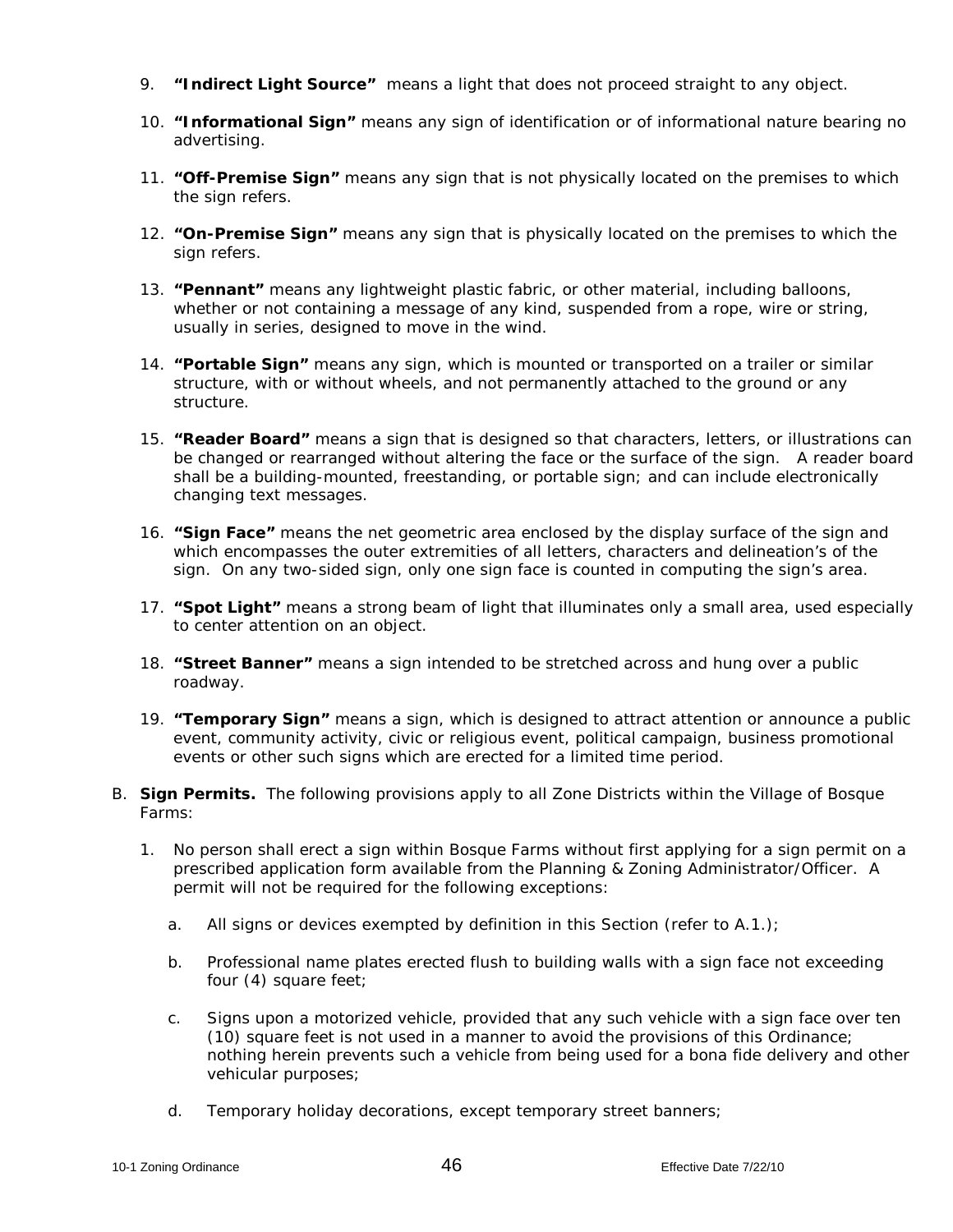- 9. **"Indirect Light Source"** means a light that does not proceed straight to any object.
- 10. **"Informational Sign"** means any sign of identification or of informational nature bearing no advertising.
- 11. **"Off-Premise Sign"** means any sign that is not physically located on the premises to which the sign refers.
- 12. **"On-Premise Sign"** means any sign that is physically located on the premises to which the sign refers.
- 13. **"Pennant"** means any lightweight plastic fabric, or other material, including balloons, whether or not containing a message of any kind, suspended from a rope, wire or string, usually in series, designed to move in the wind.
- 14. **"Portable Sign"** means any sign, which is mounted or transported on a trailer or similar structure, with or without wheels, and not permanently attached to the ground or any structure.
- 15. **"Reader Board"** means a sign that is designed so that characters, letters, or illustrations can be changed or rearranged without altering the face or the surface of the sign. A reader board shall be a building-mounted, freestanding, or portable sign; and can include electronically changing text messages.
- 16. **"Sign Face"** means the net geometric area enclosed by the display surface of the sign and which encompasses the outer extremities of all letters, characters and delineation's of the sign. On any two-sided sign, only one sign face is counted in computing the sign's area.
- 17. **"Spot Light"** means a strong beam of light that illuminates only a small area, used especially to center attention on an object.
- 18. **"Street Banner"** means a sign intended to be stretched across and hung over a public roadway.
- 19. **"Temporary Sign"** means a sign, which is designed to attract attention or announce a public event, community activity, civic or religious event, political campaign, business promotional events or other such signs which are erected for a limited time period.
- B. **Sign Permits.** The following provisions apply to all Zone Districts within the Village of Bosque Farms:
	- 1. No person shall erect a sign within Bosque Farms without first applying for a sign permit on a prescribed application form available from the Planning & Zoning Administrator/Officer. A permit will not be required for the following exceptions:
		- a. All signs or devices exempted by definition in this Section (refer to A.1.);
		- b. Professional name plates erected flush to building walls with a sign face not exceeding four (4) square feet;
		- c. Signs upon a motorized vehicle, provided that any such vehicle with a sign face over ten (10) square feet is not used in a manner to avoid the provisions of this Ordinance; nothing herein prevents such a vehicle from being used for a bona fide delivery and other vehicular purposes;
		- d. Temporary holiday decorations, except temporary street banners;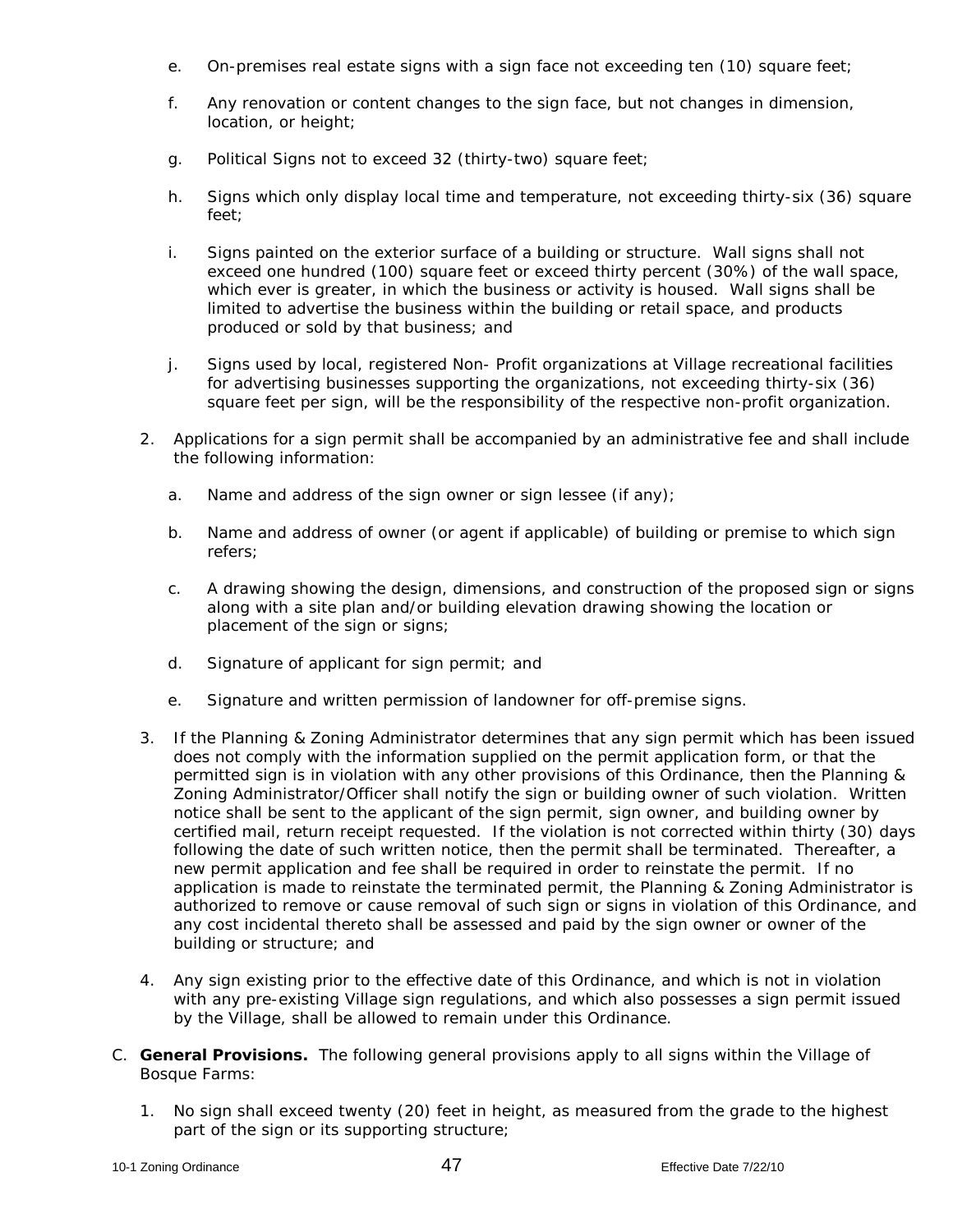- e. On-premises real estate signs with a sign face not exceeding ten (10) square feet;
- f. Any renovation or content changes to the sign face, but not changes in dimension, location, or height;
- g. Political Signs not to exceed 32 (thirty-two) square feet;
- h. Signs which only display local time and temperature, not exceeding thirty-six (36) square feet;
- i. Signs painted on the exterior surface of a building or structure. Wall signs shall not exceed one hundred (100) square feet or exceed thirty percent (30%) of the wall space, which ever is greater, in which the business or activity is housed. Wall signs shall be limited to advertise the business within the building or retail space, and products produced or sold by that business; and
- j. Signs used by local, registered Non- Profit organizations at Village recreational facilities for advertising businesses supporting the organizations, not exceeding thirty-six (36) square feet per sign, will be the responsibility of the respective non-profit organization.
- 2. Applications for a sign permit shall be accompanied by an administrative fee and shall include the following information:
	- a. Name and address of the sign owner or sign lessee (if any);
	- b. Name and address of owner (or agent if applicable) of building or premise to which sign refers;
	- c. A drawing showing the design, dimensions, and construction of the proposed sign or signs along with a site plan and/or building elevation drawing showing the location or placement of the sign or signs;
	- d. Signature of applicant for sign permit; and
	- e. Signature and written permission of landowner for off-premise signs.
- 3. If the Planning & Zoning Administrator determines that any sign permit which has been issued does not comply with the information supplied on the permit application form, or that the permitted sign is in violation with any other provisions of this Ordinance, then the Planning & Zoning Administrator/Officer shall notify the sign or building owner of such violation. Written notice shall be sent to the applicant of the sign permit, sign owner, and building owner by certified mail, return receipt requested. If the violation is not corrected within thirty (30) days following the date of such written notice, then the permit shall be terminated. Thereafter, a new permit application and fee shall be required in order to reinstate the permit. If no application is made to reinstate the terminated permit, the Planning & Zoning Administrator is authorized to remove or cause removal of such sign or signs in violation of this Ordinance, and any cost incidental thereto shall be assessed and paid by the sign owner or owner of the building or structure; and
- 4. Any sign existing prior to the effective date of this Ordinance, and which is not in violation with any pre-existing Village sign regulations, and which also possesses a sign permit issued by the Village, shall be allowed to remain under this Ordinance.
- C. **General Provisions.** The following general provisions apply to all signs within the Village of Bosque Farms:
	- 1. No sign shall exceed twenty (20) feet in height, as measured from the grade to the highest part of the sign or its supporting structure;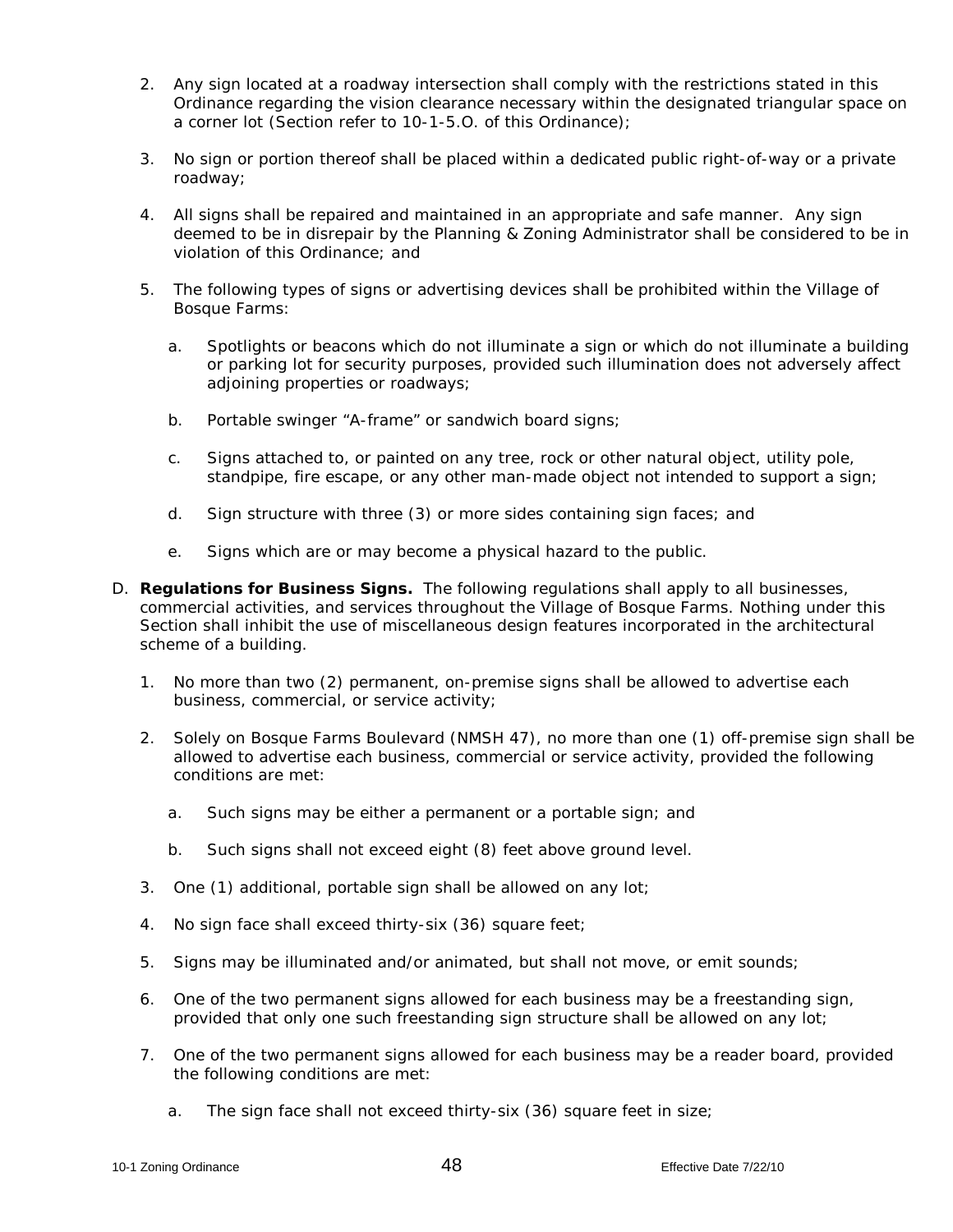- 2. Any sign located at a roadway intersection shall comply with the restrictions stated in this Ordinance regarding the vision clearance necessary within the designated triangular space on a corner lot (Section refer to 10-1-5.O. of this Ordinance);
- 3. No sign or portion thereof shall be placed within a dedicated public right-of-way or a private roadway;
- 4. All signs shall be repaired and maintained in an appropriate and safe manner. Any sign deemed to be in disrepair by the Planning & Zoning Administrator shall be considered to be in violation of this Ordinance; and
- 5. The following types of signs or advertising devices shall be prohibited within the Village of Bosque Farms:
	- a. Spotlights or beacons which do not illuminate a sign or which do not illuminate a building or parking lot for security purposes, provided such illumination does not adversely affect adjoining properties or roadways;
	- b. Portable swinger "A-frame" or sandwich board signs;
	- c. Signs attached to, or painted on any tree, rock or other natural object, utility pole, standpipe, fire escape, or any other man-made object not intended to support a sign;
	- d. Sign structure with three (3) or more sides containing sign faces; and
	- e. Signs which are or may become a physical hazard to the public.
- D. **Regulations for Business Signs.** The following regulations shall apply to all businesses, commercial activities, and services throughout the Village of Bosque Farms. Nothing under this Section shall inhibit the use of miscellaneous design features incorporated in the architectural scheme of a building.
	- 1. No more than two (2) permanent, on-premise signs shall be allowed to advertise each business, commercial, or service activity;
	- 2. Solely on Bosque Farms Boulevard (NMSH 47), no more than one (1) off-premise sign shall be allowed to advertise each business, commercial or service activity, provided the following conditions are met:
		- a. Such signs may be either a permanent or a portable sign; and
		- b. Such signs shall not exceed eight (8) feet above ground level.
	- 3. One (1) additional, portable sign shall be allowed on any lot;
	- 4. No sign face shall exceed thirty-six (36) square feet;
	- 5. Signs may be illuminated and/or animated, but shall not move, or emit sounds;
	- 6. One of the two permanent signs allowed for each business may be a freestanding sign, provided that only one such freestanding sign structure shall be allowed on any lot;
	- 7. One of the two permanent signs allowed for each business may be a reader board, provided the following conditions are met:
		- a. The sign face shall not exceed thirty-six (36) square feet in size;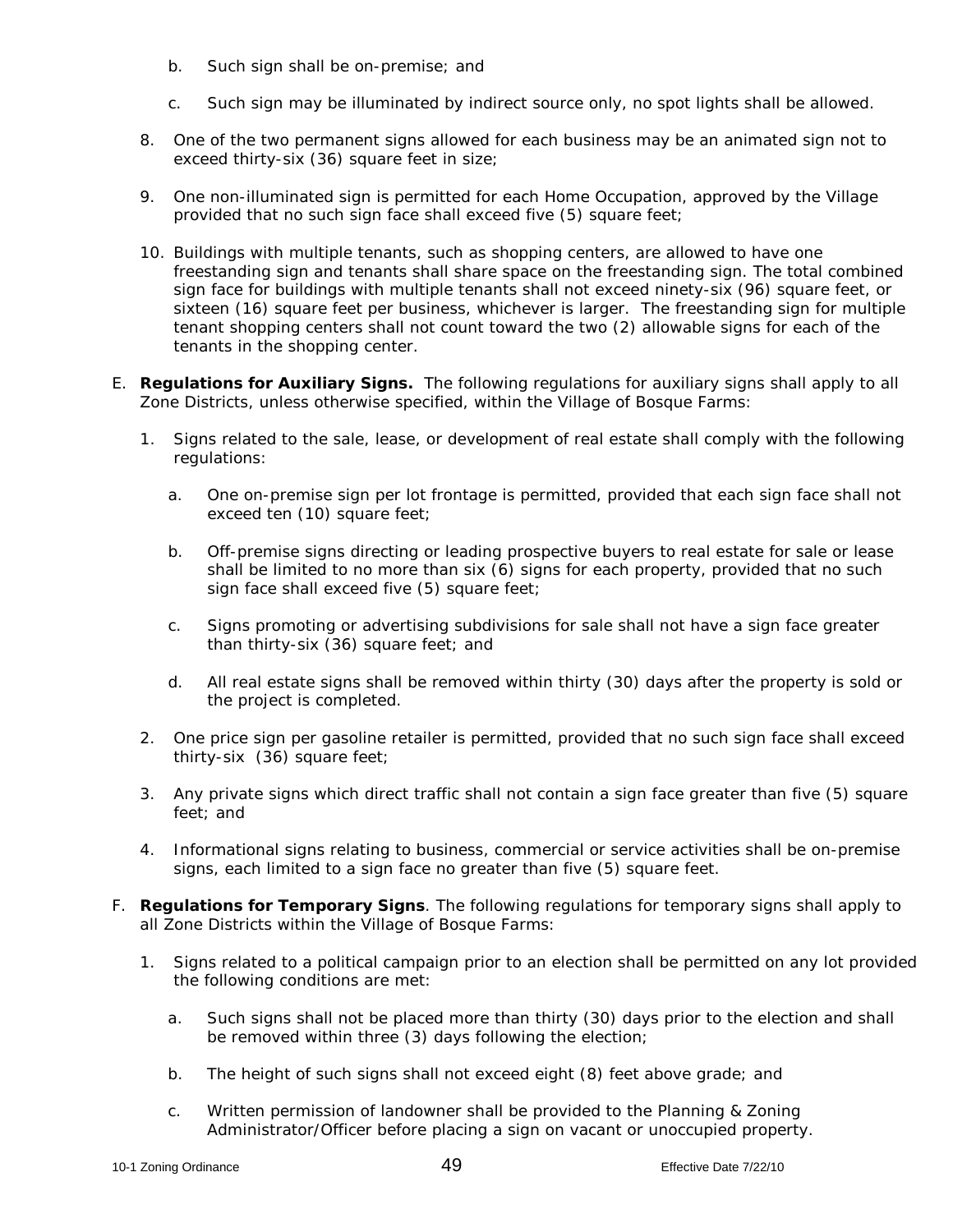- b. Such sign shall be on-premise; and
- c. Such sign may be illuminated by indirect source only, no spot lights shall be allowed.
- 8. One of the two permanent signs allowed for each business may be an animated sign not to exceed thirty-six (36) square feet in size;
- 9. One non-illuminated sign is permitted for each Home Occupation, approved by the Village provided that no such sign face shall exceed five (5) square feet;
- 10. Buildings with multiple tenants, such as shopping centers, are allowed to have one freestanding sign and tenants shall share space on the freestanding sign. The total combined sign face for buildings with multiple tenants shall not exceed ninety-six (96) square feet, or sixteen (16) square feet per business, whichever is larger. The freestanding sign for multiple tenant shopping centers shall not count toward the two (2) allowable signs for each of the tenants in the shopping center.
- E. **Regulations for Auxiliary Signs.** The following regulations for auxiliary signs shall apply to all Zone Districts, unless otherwise specified, within the Village of Bosque Farms:
	- 1. Signs related to the sale, lease, or development of real estate shall comply with the following regulations:
		- a. One on-premise sign per lot frontage is permitted, provided that each sign face shall not exceed ten (10) square feet;
		- b. Off-premise signs directing or leading prospective buyers to real estate for sale or lease shall be limited to no more than six (6) signs for each property, provided that no such sign face shall exceed five (5) square feet;
		- c. Signs promoting or advertising subdivisions for sale shall not have a sign face greater than thirty-six (36) square feet; and
		- d. All real estate signs shall be removed within thirty (30) days after the property is sold or the project is completed.
	- 2. One price sign per gasoline retailer is permitted, provided that no such sign face shall exceed thirty-six (36) square feet;
	- 3. Any private signs which direct traffic shall not contain a sign face greater than five (5) square feet; and
	- 4. Informational signs relating to business, commercial or service activities shall be on-premise signs, each limited to a sign face no greater than five (5) square feet.
- F. **Regulations for Temporary Signs**. The following regulations for temporary signs shall apply to all Zone Districts within the Village of Bosque Farms:
	- 1. Signs related to a political campaign prior to an election shall be permitted on any lot provided the following conditions are met:
		- a. Such signs shall not be placed more than thirty (30) days prior to the election and shall be removed within three (3) days following the election;
		- b. The height of such signs shall not exceed eight (8) feet above grade; and
		- c. Written permission of landowner shall be provided to the Planning & Zoning Administrator/Officer before placing a sign on vacant or unoccupied property.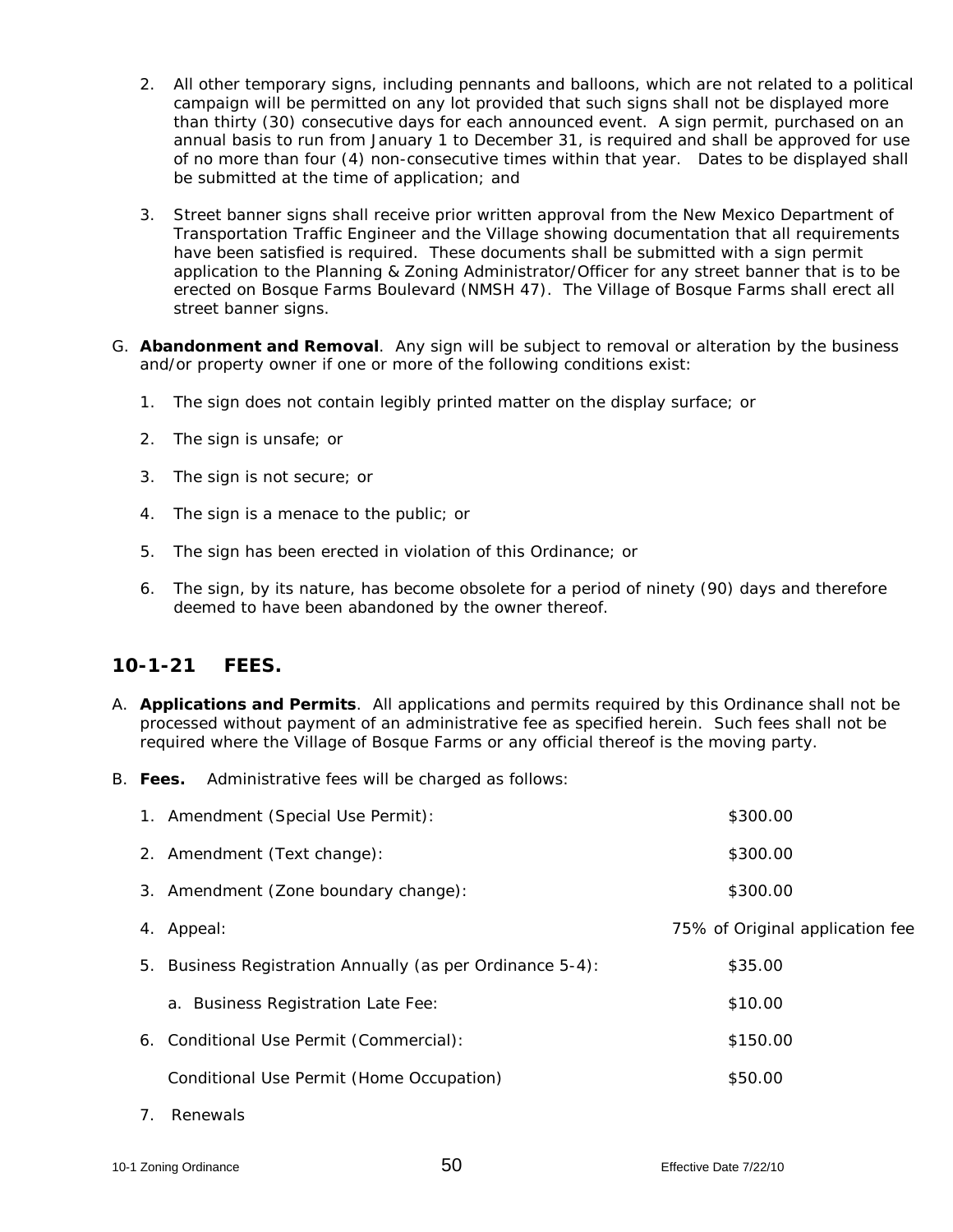- 2. All other temporary signs, including pennants and balloons, which are not related to a political campaign will be permitted on any lot provided that such signs shall not be displayed more than thirty (30) consecutive days for each announced event. A sign permit, purchased on an annual basis to run from January 1 to December 31, is required and shall be approved for use of no more than four (4) non-consecutive times within that year. Dates to be displayed shall be submitted at the time of application; and
- 3. Street banner signs shall receive prior written approval from the New Mexico Department of Transportation Traffic Engineer and the Village showing documentation that all requirements have been satisfied is required. These documents shall be submitted with a sign permit application to the Planning & Zoning Administrator/Officer for any street banner that is to be erected on Bosque Farms Boulevard (NMSH 47). The Village of Bosque Farms shall erect all street banner signs.
- G. **Abandonment and Removal**. Any sign will be subject to removal or alteration by the business and/or property owner if one or more of the following conditions exist:
	- 1. The sign does not contain legibly printed matter on the display surface; or
	- 2. The sign is unsafe; or
	- 3. The sign is not secure; or
	- 4. The sign is a menace to the public; or
	- 5. The sign has been erected in violation of this Ordinance; or
	- 6. The sign, by its nature, has become obsolete for a period of ninety (90) days and therefore deemed to have been abandoned by the owner thereof.

## **10-1-21 FEES.**

- A. **Applications and Permits**. All applications and permits required by this Ordinance shall not be processed without payment of an administrative fee as specified herein. Such fees shall not be required where the Village of Bosque Farms or any official thereof is the moving party.
- B. **Fees.** Administrative fees will be charged as follows:

| 1. Amendment (Special Use Permit):                        | \$300.00                        |  |
|-----------------------------------------------------------|---------------------------------|--|
| 2. Amendment (Text change):                               | \$300.00                        |  |
| 3. Amendment (Zone boundary change):                      | \$300.00                        |  |
| 4. Appeal:                                                | 75% of Original application fee |  |
| 5. Business Registration Annually (as per Ordinance 5-4): | \$35.00                         |  |
| a. Business Registration Late Fee:                        | \$10.00                         |  |
| 6. Conditional Use Permit (Commercial):                   | \$150.00                        |  |
| Conditional Use Permit (Home Occupation)                  | \$50.00                         |  |
|                                                           |                                 |  |

7. Renewals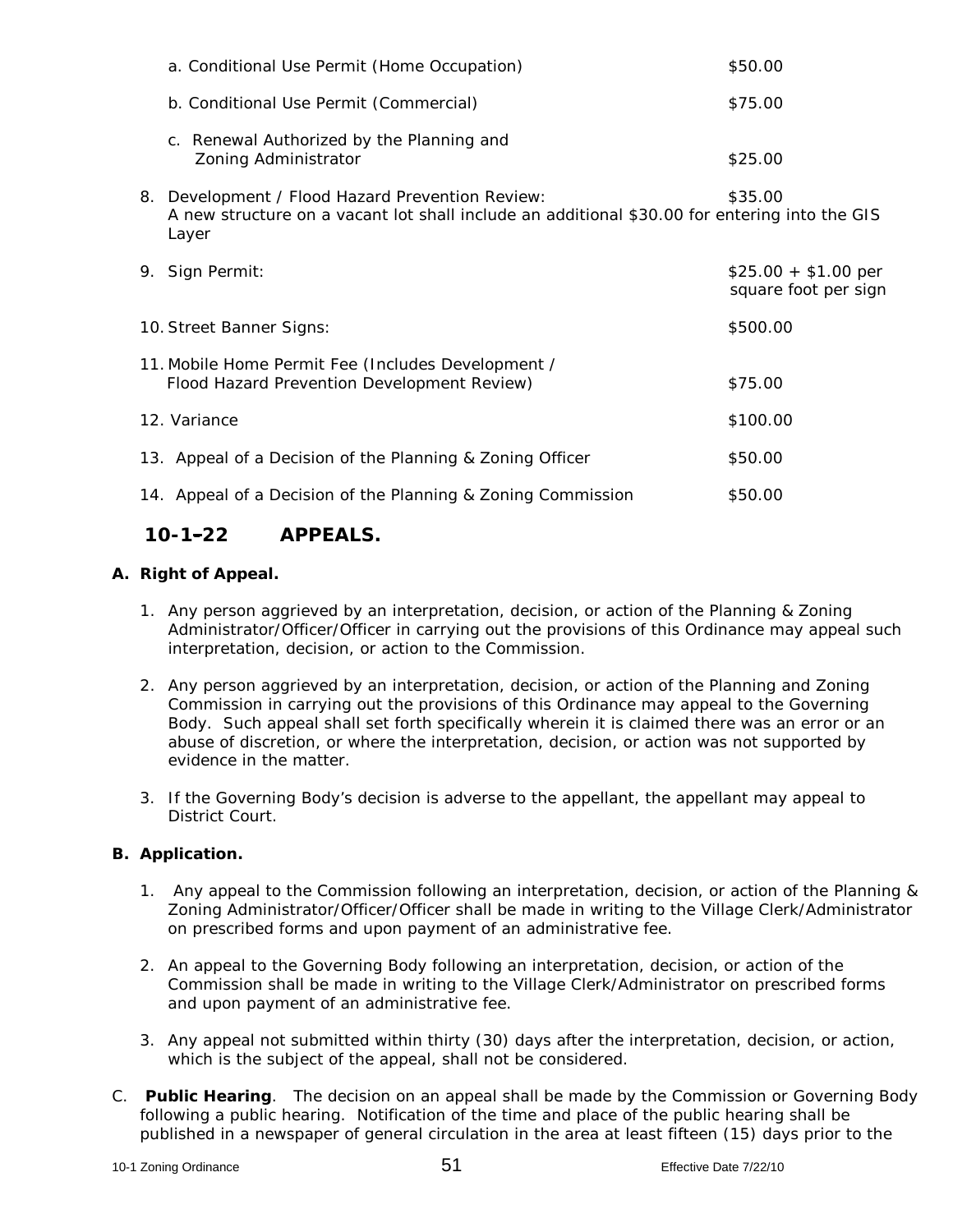| a. Conditional Use Permit (Home Occupation)                                                                                                                | \$50.00                                      |
|------------------------------------------------------------------------------------------------------------------------------------------------------------|----------------------------------------------|
| b. Conditional Use Permit (Commercial)                                                                                                                     | \$75.00                                      |
| c. Renewal Authorized by the Planning and<br>Zoning Administrator                                                                                          | \$25.00                                      |
| 8. Development / Flood Hazard Prevention Review:<br>A new structure on a vacant lot shall include an additional \$30.00 for entering into the GIS<br>Layer | \$35.00                                      |
| 9. Sign Permit:                                                                                                                                            | $$25.00 + $1.00$ per<br>square foot per sign |
| 10. Street Banner Signs:                                                                                                                                   | \$500.00                                     |
| 11. Mobile Home Permit Fee (Includes Development /<br>Flood Hazard Prevention Development Review)                                                          | \$75.00                                      |
| 12. Variance                                                                                                                                               | \$100.00                                     |
| 13. Appeal of a Decision of the Planning & Zoning Officer                                                                                                  | \$50.00                                      |
| 14. Appeal of a Decision of the Planning & Zoning Commission                                                                                               | \$50.00                                      |

## **10-1-22 APPEALS.**

### **A. Right of Appeal.**

- 1. Any person aggrieved by an interpretation, decision, or action of the Planning & Zoning Administrator/Officer/Officer in carrying out the provisions of this Ordinance may appeal such interpretation, decision, or action to the Commission.
- 2. Any person aggrieved by an interpretation, decision, or action of the Planning and Zoning Commission in carrying out the provisions of this Ordinance may appeal to the Governing Body. Such appeal shall set forth specifically wherein it is claimed there was an error or an abuse of discretion, or where the interpretation, decision, or action was not supported by evidence in the matter.
- 3. If the Governing Body's decision is adverse to the appellant, the appellant may appeal to District Court.

#### **B. Application.**

- 1. Any appeal to the Commission following an interpretation, decision, or action of the Planning & Zoning Administrator/Officer/Officer shall be made in writing to the Village Clerk/Administrator on prescribed forms and upon payment of an administrative fee.
- 2. An appeal to the Governing Body following an interpretation, decision, or action of the Commission shall be made in writing to the Village Clerk/Administrator on prescribed forms and upon payment of an administrative fee.
- 3. Any appeal not submitted within thirty (30) days after the interpretation, decision, or action, which is the subject of the appeal, shall not be considered.
- C. **Public Hearing**. The decision on an appeal shall be made by the Commission or Governing Body following a public hearing. Notification of the time and place of the public hearing shall be published in a newspaper of general circulation in the area at least fifteen (15) days prior to the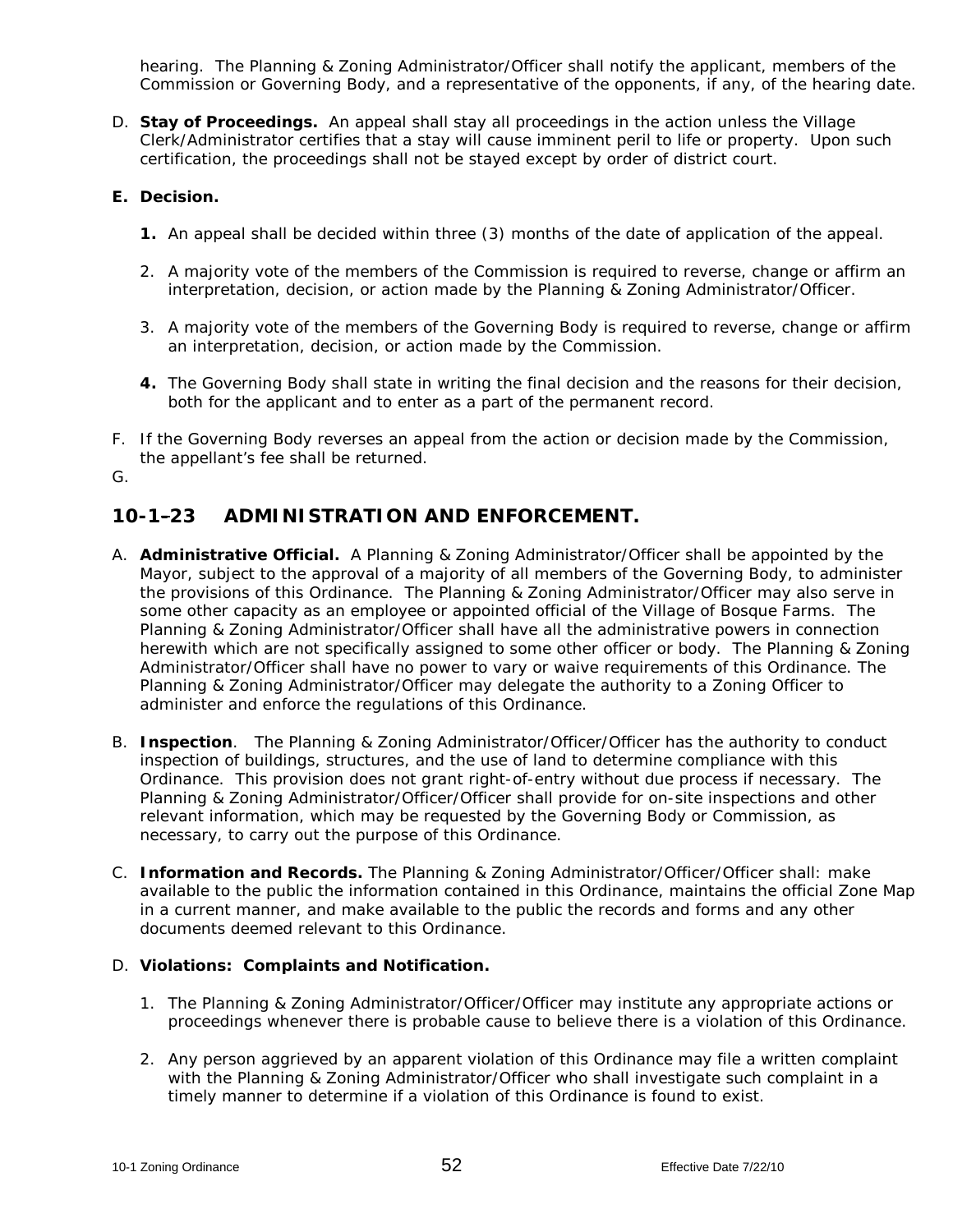hearing. The Planning & Zoning Administrator/Officer shall notify the applicant, members of the Commission or Governing Body, and a representative of the opponents, if any, of the hearing date.

D. **Stay of Proceedings.** An appeal shall stay all proceedings in the action unless the Village Clerk/Administrator certifies that a stay will cause imminent peril to life or property. Upon such certification, the proceedings shall not be stayed except by order of district court.

### **E. Decision.**

- **1.** An appeal shall be decided within three (3) months of the date of application of the appeal.
- 2. A majority vote of the members of the Commission is required to reverse, change or affirm an interpretation, decision, or action made by the Planning & Zoning Administrator/Officer.
- 3. A majority vote of the members of the Governing Body is required to reverse, change or affirm an interpretation, decision, or action made by the Commission.
- **4.** The Governing Body shall state in writing the final decision and the reasons for their decision, both for the applicant and to enter as a part of the permanent record.
- F. If the Governing Body reverses an appeal from the action or decision made by the Commission, the appellant's fee shall be returned.

G.

# **10-1-23 ADMINISTRATION AND ENFORCEMENT.**

- A. **Administrative Official.** A Planning & Zoning Administrator/Officer shall be appointed by the Mayor, subject to the approval of a majority of all members of the Governing Body, to administer the provisions of this Ordinance. The Planning & Zoning Administrator/Officer may also serve in some other capacity as an employee or appointed official of the Village of Bosque Farms. The Planning & Zoning Administrator/Officer shall have all the administrative powers in connection herewith which are not specifically assigned to some other officer or body. The Planning & Zoning Administrator/Officer shall have no power to vary or waive requirements of this Ordinance. The Planning & Zoning Administrator/Officer may delegate the authority to a Zoning Officer to administer and enforce the regulations of this Ordinance.
- B. **Inspection**. The Planning & Zoning Administrator/Officer/Officer has the authority to conduct inspection of buildings, structures, and the use of land to determine compliance with this Ordinance. This provision does not grant right-of-entry without due process if necessary. The Planning & Zoning Administrator/Officer/Officer shall provide for on-site inspections and other relevant information, which may be requested by the Governing Body or Commission, as necessary, to carry out the purpose of this Ordinance.
- C. **Information and Records.** The Planning & Zoning Administrator/Officer/Officer shall: make available to the public the information contained in this Ordinance, maintains the official Zone Map in a current manner, and make available to the public the records and forms and any other documents deemed relevant to this Ordinance.

#### D. **Violations: Complaints and Notification.**

- 1. The Planning & Zoning Administrator/Officer/Officer may institute any appropriate actions or proceedings whenever there is probable cause to believe there is a violation of this Ordinance.
- 2. Any person aggrieved by an apparent violation of this Ordinance may file a written complaint with the Planning & Zoning Administrator/Officer who shall investigate such complaint in a timely manner to determine if a violation of this Ordinance is found to exist.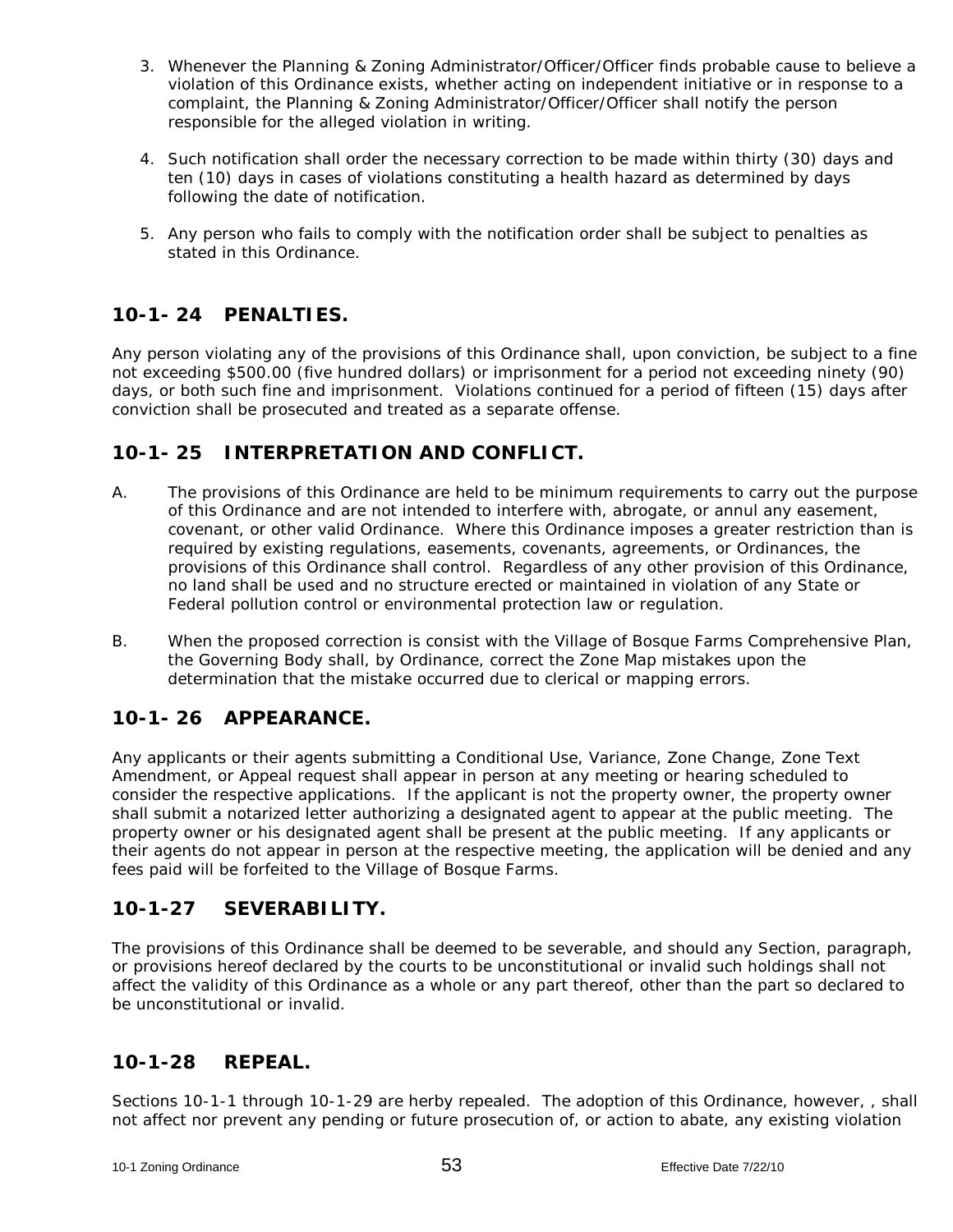- 3. Whenever the Planning & Zoning Administrator/Officer/Officer finds probable cause to believe a violation of this Ordinance exists, whether acting on independent initiative or in response to a complaint, the Planning & Zoning Administrator/Officer/Officer shall notify the person responsible for the alleged violation in writing.
- 4. Such notification shall order the necessary correction to be made within thirty (30) days and ten (10) days in cases of violations constituting a health hazard as determined by days following the date of notification.
- 5. Any person who fails to comply with the notification order shall be subject to penalties as stated in this Ordinance.

# **10-1- 24 PENALTIES.**

Any person violating any of the provisions of this Ordinance shall, upon conviction, be subject to a fine not exceeding \$500.00 (five hundred dollars) or imprisonment for a period not exceeding ninety (90) days, or both such fine and imprisonment. Violations continued for a period of fifteen (15) days after conviction shall be prosecuted and treated as a separate offense.

## **10-1- 25 INTERPRETATION AND CONFLICT.**

- A. The provisions of this Ordinance are held to be minimum requirements to carry out the purpose of this Ordinance and are not intended to interfere with, abrogate, or annul any easement, covenant, or other valid Ordinance. Where this Ordinance imposes a greater restriction than is required by existing regulations, easements, covenants, agreements, or Ordinances, the provisions of this Ordinance shall control. Regardless of any other provision of this Ordinance, no land shall be used and no structure erected or maintained in violation of any State or Federal pollution control or environmental protection law or regulation.
- B. When the proposed correction is consist with the Village of Bosque Farms Comprehensive Plan, the Governing Body shall, by Ordinance, correct the Zone Map mistakes upon the determination that the mistake occurred due to clerical or mapping errors.

# **10-1- 26 APPEARANCE.**

Any applicants or their agents submitting a Conditional Use, Variance, Zone Change, Zone Text Amendment, or Appeal request shall appear in person at any meeting or hearing scheduled to consider the respective applications. If the applicant is not the property owner, the property owner shall submit a notarized letter authorizing a designated agent to appear at the public meeting. The property owner or his designated agent shall be present at the public meeting. If any applicants or their agents do not appear in person at the respective meeting, the application will be denied and any fees paid will be forfeited to the Village of Bosque Farms.

## **10-1-27 SEVERABILITY.**

The provisions of this Ordinance shall be deemed to be severable, and should any Section, paragraph, or provisions hereof declared by the courts to be unconstitutional or invalid such holdings shall not affect the validity of this Ordinance as a whole or any part thereof, other than the part so declared to be unconstitutional or invalid.

## **10-1-28 REPEAL.**

Sections 10-1-1 through 10-1-29 are herby repealed. The adoption of this Ordinance, however, , shall not affect nor prevent any pending or future prosecution of, or action to abate, any existing violation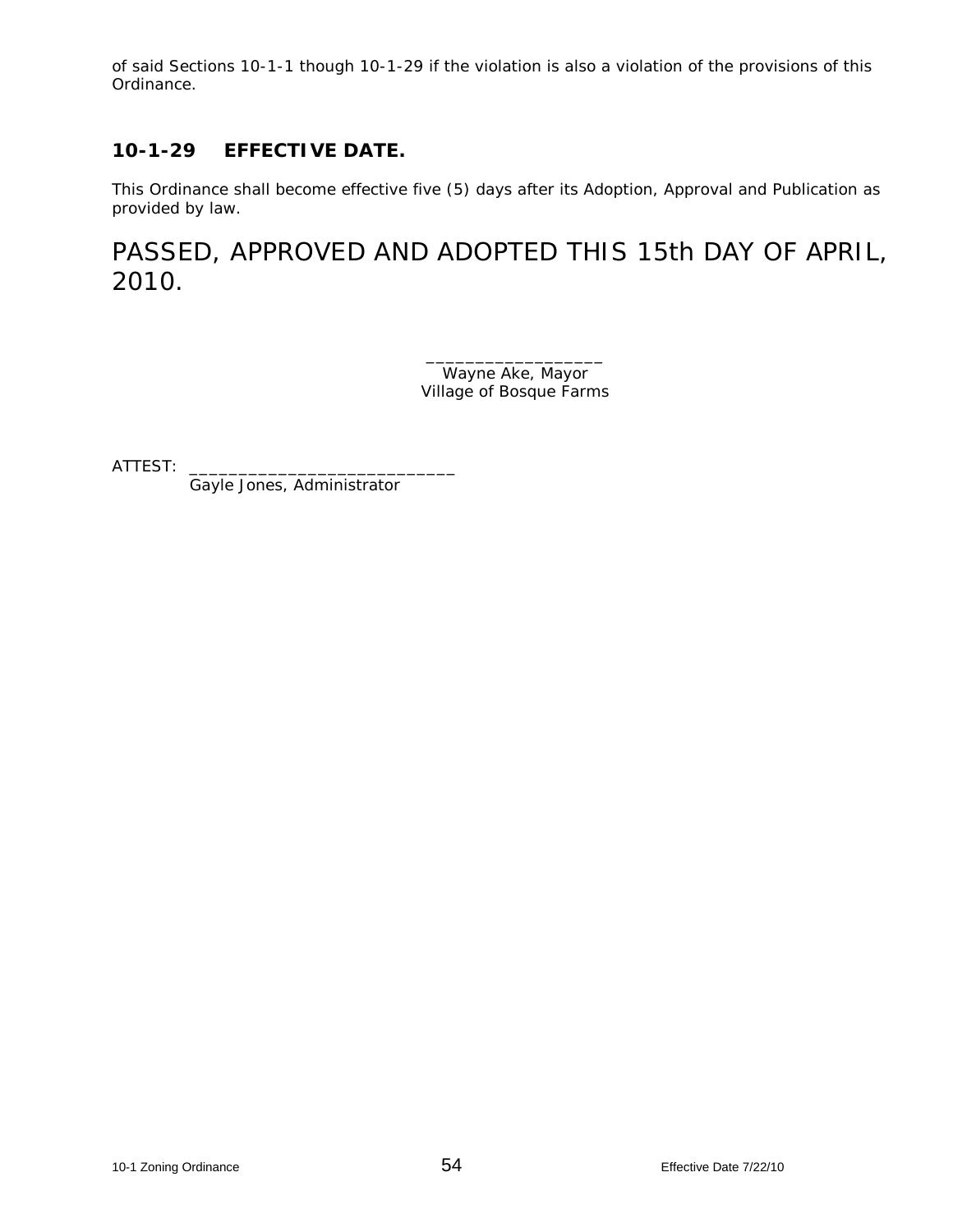of said Sections 10-1-1 though 10-1-29 if the violation is also a violation of the provisions of this Ordinance.

# **10-1-29 EFFECTIVE DATE.**

This Ordinance shall become effective five (5) days after its Adoption, Approval and Publication as provided by law.

PASSED, APPROVED AND ADOPTED THIS 15th DAY OF APRIL, 2010.

> \_\_\_\_\_\_\_\_\_\_\_\_\_\_\_\_\_\_ Wayne Ake, Mayor Village of Bosque Farms

ATTEST:

Gayle Jones, Administrator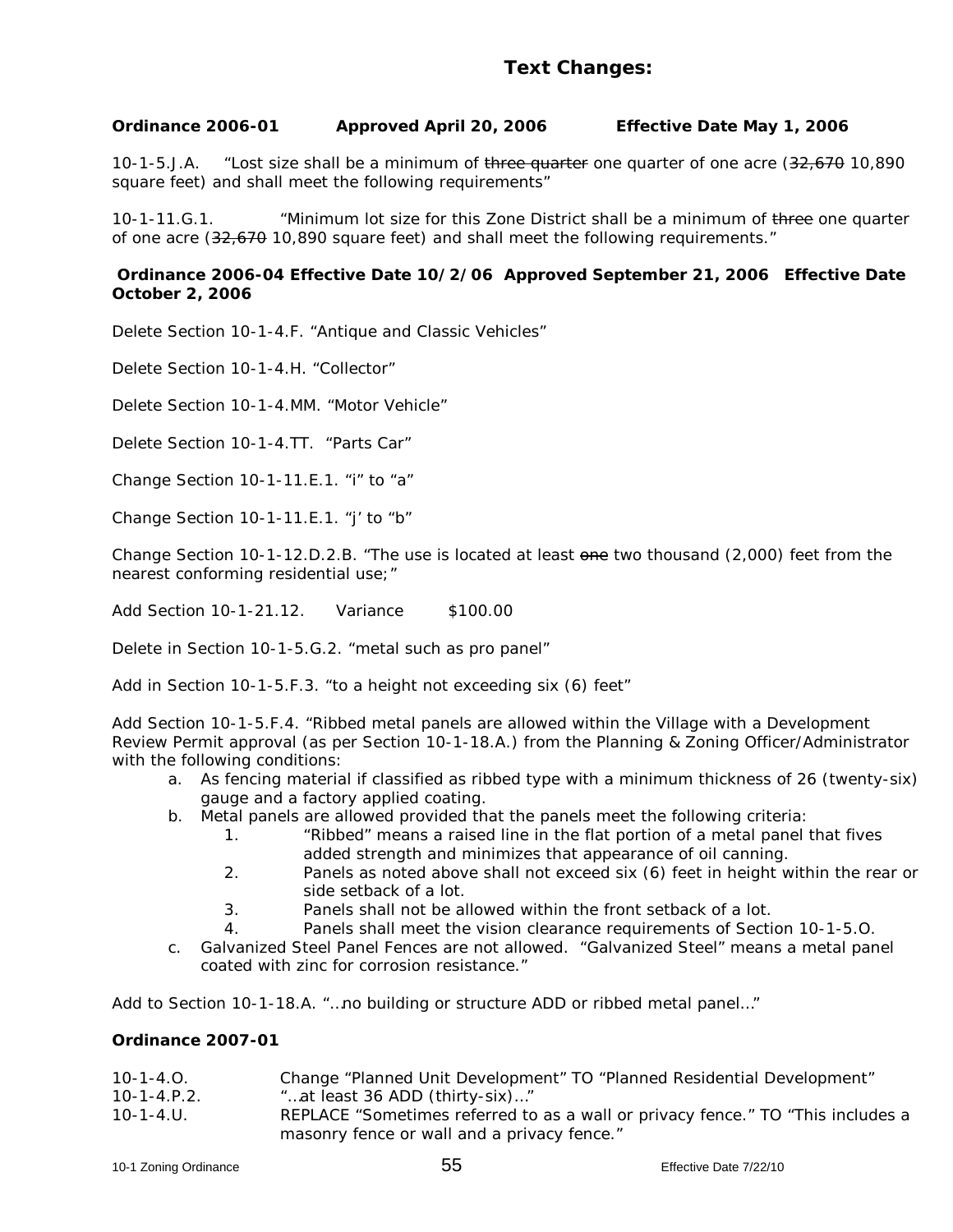### **Ordinance 2006-01 Approved April 20, 2006 Effective Date May 1, 2006**

10-1-5.J.A. "Lost size shall be a minimum of three quarter one quarter of one acre (32,670 10,890 square feet) and shall meet the following requirements"

10-1-11.G.1. "Minimum lot size for this Zone District shall be a minimum of three one quarter of one acre (32,670 10,890 square feet) and shall meet the following requirements."

#### **Ordinance 2006-04 Effective Date 10/2/06 Approved September 21, 2006 Effective Date October 2, 2006**

Delete Section 10-1-4.F. "Antique and Classic Vehicles"

Delete Section 10-1-4.H. "Collector"

Delete Section 10-1-4.MM. "Motor Vehicle"

Delete Section 10-1-4.TT. "Parts Car"

Change Section 10-1-11.E.1. "i" to "a"

Change Section 10-1-11.E.1. "j' to "b"

Change Section 10-1-12.D.2.B. "The use is located at least one two thousand (2,000) feet from the nearest conforming residential use;"

Add Section 10-1-21.12. Variance \$100.00

Delete in Section 10-1-5.G.2. "metal such as pro panel"

Add in Section 10-1-5.F.3. "to a height not exceeding six (6) feet"

Add Section 10-1-5.F.4. "Ribbed metal panels are allowed within the Village with a Development Review Permit approval (as per Section 10-1-18.A.) from the Planning & Zoning Officer/Administrator with the following conditions:

- a. As fencing material if classified as ribbed type with a minimum thickness of 26 (twenty-six) gauge and a factory applied coating.
- b. Metal panels are allowed provided that the panels meet the following criteria:
	- 1. "Ribbed" means a raised line in the flat portion of a metal panel that fives added strength and minimizes that appearance of oil canning.
	- 2. Panels as noted above shall not exceed six (6) feet in height within the rear or side setback of a lot.
	- 3. Panels shall not be allowed within the front setback of a lot.
	- 4. Panels shall meet the vision clearance requirements of Section 10-1-5.O.
- c. Galvanized Steel Panel Fences are not allowed. "Galvanized Steel" means a metal panel coated with zinc for corrosion resistance."

Add to Section 10-1-18.A. "…no building or structure ADD or ribbed metal panel…"

#### **Ordinance 2007-01**

| $10-1-4.0$ .   | Change "Planned Unit Development" TO "Planned Residential Development"                                                         |
|----------------|--------------------------------------------------------------------------------------------------------------------------------|
| $10-1-4.$ P.2. | "at least 36 ADD (thirty-six)"                                                                                                 |
| $10 - 1 - 4$ . | REPLACE "Sometimes referred to as a wall or privacy fence." TO "This includes a<br>masonry fence or wall and a privacy fence." |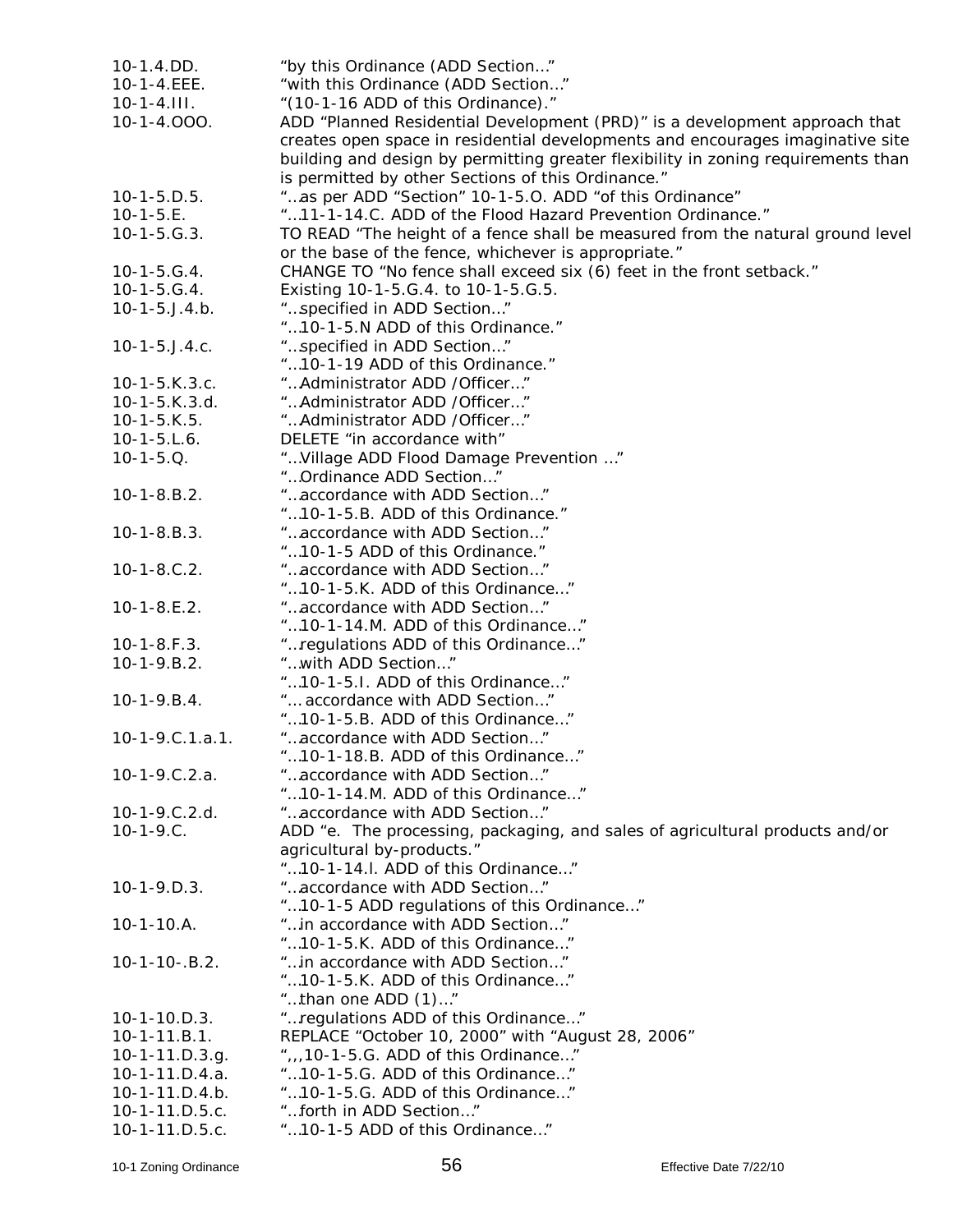| $10-1.4$ . DD.          | "by this Ordinance (ADD Section"                                                  |
|-------------------------|-----------------------------------------------------------------------------------|
| 10-1-4.EEE.             | "with this Ordinance (ADD Section"                                                |
| $10-1-4.111.$           | "(10-1-16 ADD of this Ordinance)."                                                |
| 10-1-4.000.             | ADD "Planned Residential Development (PRD)" is a development approach that        |
|                         | creates open space in residential developments and encourages imaginative site    |
|                         | building and design by permitting greater flexibility in zoning requirements than |
|                         | is permitted by other Sections of this Ordinance."                                |
| $10-1-5.D.5.$           | "as per ADD "Section" 10-1-5.0. ADD "of this Ordinance"                           |
| $10-1-5.E.$             | "11-1-14.C. ADD of the Flood Hazard Prevention Ordinance."                        |
| $10-1-5.G.3.$           | TO READ "The height of a fence shall be measured from the natural ground level    |
|                         | or the base of the fence, whichever is appropriate."                              |
| $10-1-5.G.4.$           | CHANGE TO "No fence shall exceed six (6) feet in the front setback."              |
| $10-1-5.G.4.$           |                                                                                   |
|                         | Existing 10-1-5.G.4. to 10-1-5.G.5.                                               |
| $10-1-5.$ J. $4.b.$     | "specified in ADD Section"                                                        |
|                         | "10-1-5.N ADD of this Ordinance."                                                 |
| $10-1-5.$ J.4.c.        | "specified in ADD Section"                                                        |
|                         | "10-1-19 ADD of this Ordinance."                                                  |
| $10-1-5.K.3.c.$         | " Administrator ADD / Officer"                                                    |
| $10-1-5.K.3.d.$         | " Administrator ADD / Officer"                                                    |
| $10-1-5.K.5.$           | " Administrator ADD / Officer"                                                    |
| $10-1-5.L.6.$           | DELETE "in accordance with"                                                       |
| $10-1-5.Q.$             | " Village ADD Flood Damage Prevention "                                           |
|                         | "Ordinance ADD Section"                                                           |
| $10-1-8.B.2.$           | "accordance with ADD Section"                                                     |
|                         | "10-1-5.B. ADD of this Ordinance."                                                |
| $10-1-8.B.3.$           | "accordance with ADD Section"                                                     |
|                         | "10-1-5 ADD of this Ordinance."                                                   |
| $10-1-8.C.2.$           | "accordance with ADD Section"                                                     |
|                         | "10-1-5.K. ADD of this Ordinance"                                                 |
| $10-1-8.E.2.$           | "accordance with ADD Section"                                                     |
|                         | "10-1-14.M. ADD of this Ordinance"                                                |
| $10-1-8.F.3.$           | " regulations ADD of this Ordinance"                                              |
| $10-1-9.B.2.$           | "with ADD Section"                                                                |
|                         | "10-1-5.I. ADD of this Ordinance"                                                 |
| $10-1-9.B.4.$           | " accordance with ADD Section"                                                    |
|                         | "10-1-5.B. ADD of this Ordinance"                                                 |
| $10-1-9.C.1.a.1.$       | "accordance with ADD Section"                                                     |
|                         | "10-1-18.B. ADD of this Ordinance"                                                |
| $10-1-9.C.2.a.$         | "accordance with ADD Section"                                                     |
|                         | "10-1-14.M. ADD of this Ordinance"                                                |
| $10-1-9.C.2.d.$         | "accordance with ADD Section"                                                     |
| $10-1-9.C.$             | ADD "e. The processing, packaging, and sales of agricultural products and/or      |
|                         | agricultural by-products."                                                        |
|                         | "10-1-14.I. ADD of this Ordinance"                                                |
| $10-1-9.D.3.$           | "accordance with ADD Section"                                                     |
|                         | "10-1-5 ADD regulations of this Ordinance"                                        |
| $10-1-10.A.$            | "in accordance with ADD Section"                                                  |
|                         | "10-1-5.K. ADD of this Ordinance"                                                 |
| $10-1-10-.B.2.$         | "in accordance with ADD Section"                                                  |
|                         | "10-1-5.K. ADD of this Ordinance"                                                 |
|                         | "than one ADD (1)"                                                                |
| $10-1-10.D.3.$          | " regulations ADD of this Ordinance"                                              |
| $10-1-11.B.1.$          | REPLACE "October 10, 2000" with "August 28, 2006"                                 |
|                         | "10-1-5.G. ADD of this Ordinance"                                                 |
| $10 - 1 - 11. D. 3. g.$ |                                                                                   |
| 10-1-11.D.4.a.          | "10-1-5.G. ADD of this Ordinance"                                                 |
| $10-1-11.D.4.b.$        | "10-1-5.G. ADD of this Ordinance"                                                 |
| 10-1-11.D.5.c.          | "forth in ADD Section"                                                            |
| 10-1-11.D.5.c.          | "10-1-5 ADD of this Ordinance"                                                    |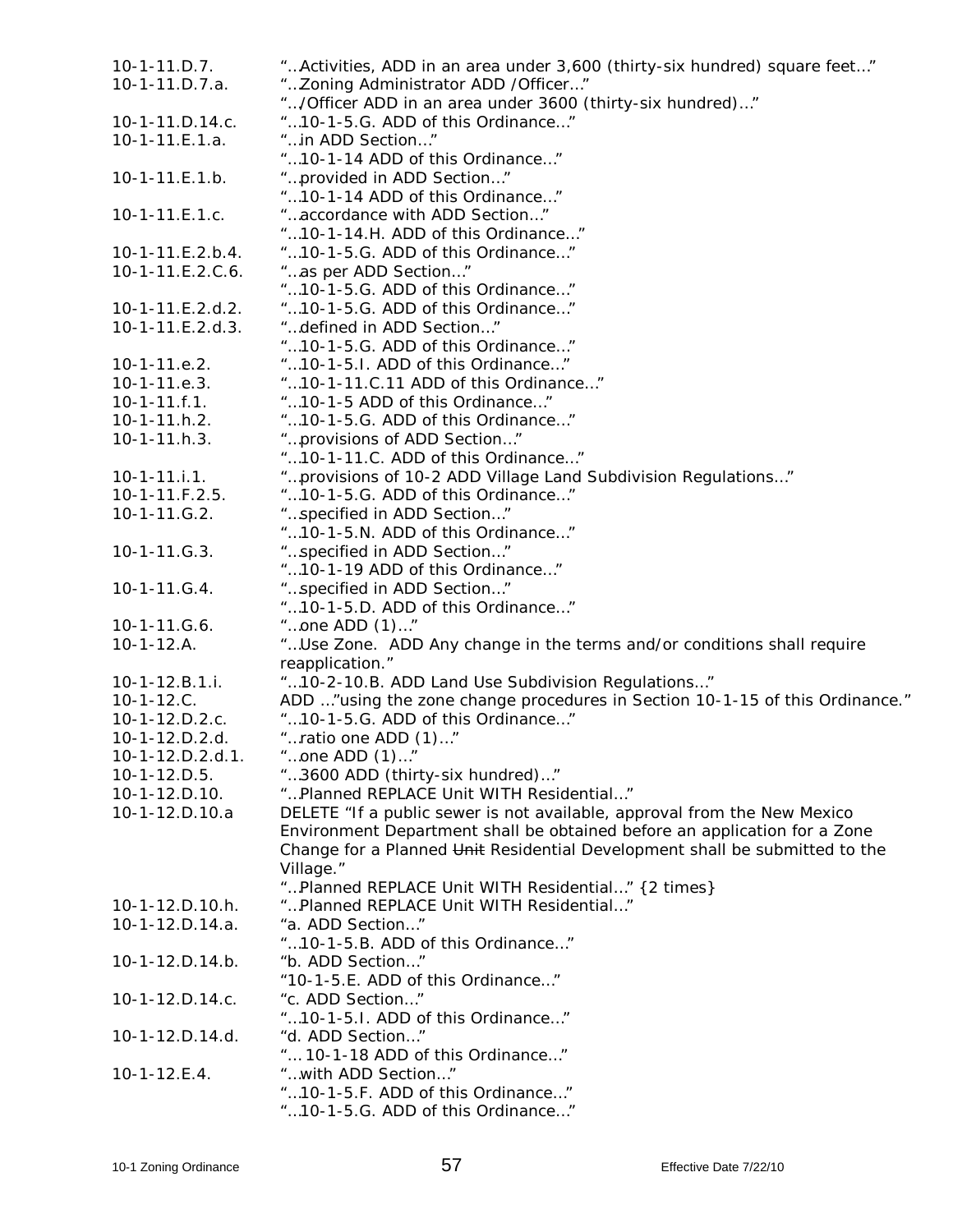| $10-1-11.D.7.$     | " Activities, ADD in an area under 3,600 (thirty-six hundred) square feet"   |
|--------------------|------------------------------------------------------------------------------|
|                    |                                                                              |
| 10-1-11.D.7.a.     | "Zoning Administrator ADD / Officer"                                         |
|                    | "/Officer ADD in an area under 3600 (thirty-six hundred)"                    |
| $10-1-11.D.14.c.$  | "10-1-5.G. ADD of this Ordinance"                                            |
| 10-1-11.E.1.a.     | "in ADD Section"                                                             |
|                    | "10-1-14 ADD of this Ordinance"                                              |
| $10-1-11.E.1.b.$   | "provided in ADD Section"                                                    |
|                    | "10-1-14 ADD of this Ordinance"                                              |
| $10-1-11.E.1.c.$   | "accordance with ADD Section"                                                |
|                    | "10-1-14.H. ADD of this Ordinance"                                           |
| $10-1-11.E.2.b.4.$ | "10-1-5.G. ADD of this Ordinance"                                            |
| 10-1-11.E.2.C.6.   | "as per ADD Section"                                                         |
|                    | "10-1-5.G. ADD of this Ordinance"                                            |
| 10-1-11.E.2.d.2.   | "10-1-5.G. ADD of this Ordinance"                                            |
| $10-1-11.E.2.d.3.$ | "defined in ADD Section"                                                     |
|                    | "10-1-5.G. ADD of this Ordinance"                                            |
| $10-1-11.e.2.$     | "10-1-5.1. ADD of this Ordinance"                                            |
| $10-1-11.e.3.$     | "10-1-11.C.11 ADD of this Ordinance"                                         |
| $10-1-11.f.1.$     | "10-1-5 ADD of this Ordinance"                                               |
| $10-1-11.h.2.$     | "10-1-5.G. ADD of this Ordinance"                                            |
| $10-1-11.h.3.$     | "provisions of ADD Section"                                                  |
|                    | "10-1-11.C. ADD of this Ordinance"                                           |
|                    |                                                                              |
| $10-1-11.i.1.$     | "provisions of 10-2 ADD Village Land Subdivision Regulations"                |
| $10-1-11.F.2.5.$   | "10-1-5.G. ADD of this Ordinance"                                            |
| $10-1-11.G.2.$     | "specified in ADD Section"                                                   |
|                    | "10-1-5.N. ADD of this Ordinance"                                            |
| $10-1-11.G.3.$     | "specified in ADD Section"                                                   |
|                    | "10-1-19 ADD of this Ordinance"                                              |
| 10-1-11.G.4.       | "specified in ADD Section"                                                   |
|                    | "10-1-5.D. ADD of this Ordinance"                                            |
| 10-1-11.G.6.       | "one ADD (1)"                                                                |
| $10-1-12.A.$       | "Use Zone. ADD Any change in the terms and/or conditions shall require       |
|                    | reapplication."                                                              |
| $10-1-12.B.1.i.$   | "10-2-10.B. ADD Land Use Subdivision Regulations"                            |
| $10-1-12.C.$       | ADD "using the zone change procedures in Section 10-1-15 of this Ordinance." |
| 10-1-12.D.2.c.     | "10-1-5.G. ADD of this Ordinance"                                            |
| 10-1-12.D.2.d.     | "ratio one ADD (1)"                                                          |
| 10-1-12.D.2.d.1.   | "one ADD (1)"                                                                |
| $10-1-12.D.5.$     | "3600 ADD (thirty-six hundred)"                                              |
| 10-1-12.D.10.      | "Planned REPLACE Unit WITH Residential"                                      |
| 10-1-12.D.10.a     | DELETE "If a public sewer is not available, approval from the New Mexico     |
|                    | Environment Department shall be obtained before an application for a Zone    |
|                    | Change for a Planned Unit Residential Development shall be submitted to the  |
|                    | Village."                                                                    |
|                    | "Planned REPLACE Unit WITH Residential" {2 times}                            |
|                    | "Planned REPLACE Unit WITH Residential"                                      |
| $10-1-12.D.10.h.$  |                                                                              |
| 10-1-12.D.14.a.    | "a. ADD Section"                                                             |
|                    | "10-1-5.B. ADD of this Ordinance"                                            |
| $10-1-12.D.14.b.$  | "b. ADD Section"                                                             |
|                    | "10-1-5.E. ADD of this Ordinance"                                            |
| 10-1-12.D.14.c.    | "c. ADD Section"                                                             |
|                    | "10-1-5.I. ADD of this Ordinance"                                            |
| 10-1-12.D.14.d.    | "d. ADD Section"                                                             |
|                    | " 10-1-18 ADD of this Ordinance"                                             |
| $10-1-12.E.4.$     | "with ADD Section"                                                           |
|                    | "10-1-5.F. ADD of this Ordinance"                                            |
|                    | "10-1-5.G. ADD of this Ordinance"                                            |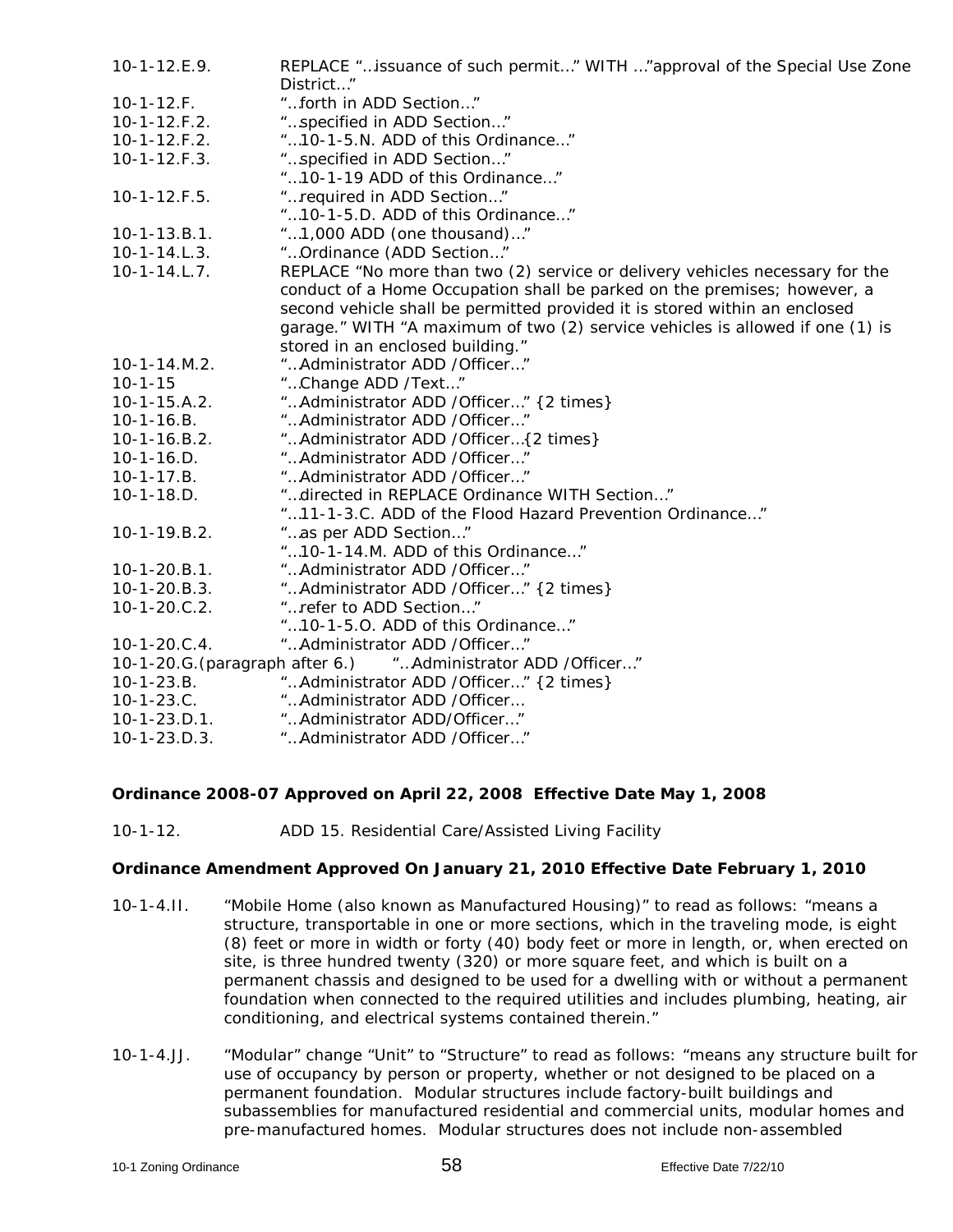| $10-1-12.E.9.$                  | REPLACE "issuance of such permit" WITH "approval of the Special Use Zone<br>District" |
|---------------------------------|---------------------------------------------------------------------------------------|
| $10-1-12.F.$                    | "forth in ADD Section"                                                                |
| $10-1-12.F.2.$                  | "specified in ADD Section"                                                            |
| $10-1-12.F.2.$                  | "10-1-5.N. ADD of this Ordinance"                                                     |
| $10-1-12.F.3.$                  | "specified in ADD Section"                                                            |
|                                 | "10-1-19 ADD of this Ordinance"                                                       |
| $10-1-12.F.5.$                  | "required in ADD Section"                                                             |
|                                 | "10-1-5.D. ADD of this Ordinance"                                                     |
| $10-1-13.B.1.$                  | "1,000 ADD (one thousand)"                                                            |
| $10-1-14.L.3.$                  | " Ordinance (ADD Section"                                                             |
| $10-1-14.L.7.$                  | REPLACE "No more than two (2) service or delivery vehicles necessary for the          |
|                                 | conduct of a Home Occupation shall be parked on the premises; however, a              |
|                                 | second vehicle shall be permitted provided it is stored within an enclosed            |
|                                 | garage." WITH "A maximum of two (2) service vehicles is allowed if one (1) is         |
|                                 | stored in an enclosed building."                                                      |
| 10-1-14.M.2.                    | " Administrator ADD / Officer"                                                        |
| $10 - 1 - 15$                   | "Change ADD /Text"                                                                    |
| $10 - 1 - 15.A.2.$              | "Administrator ADD / Officer" {2 times}                                               |
| $10-1-16.B.$                    | " Administrator ADD / Officer"                                                        |
| 10-1-16.B.2.                    | "Administrator ADD / Officer { 2 times}                                               |
| $10-1-16.D.$                    | " Administrator ADD / Officer"                                                        |
| $10-1-17.B.$                    | " Administrator ADD / Officer"                                                        |
| $10-1-18.D.$                    | "directed in REPLACE Ordinance WITH Section"                                          |
|                                 | "11-1-3.C. ADD of the Flood Hazard Prevention Ordinance"                              |
| 10-1-19.B.2.                    | "as per ADD Section"                                                                  |
|                                 | "10-1-14.M. ADD of this Ordinance"                                                    |
| $10-1-20.B.1.$                  | " Administrator ADD / Officer"                                                        |
| $10-1-20.B.3.$                  | "Administrator ADD / Officer" {2 times}                                               |
| $10-1-20.C.2.$                  | "refer to ADD Section"                                                                |
|                                 | "10-1-5.0. ADD of this Ordinance"                                                     |
| $10-1-20.C.4.$                  | " Administrator ADD / Officer"                                                        |
| 10-1-20.G. (paragraph after 6.) | "Administrator ADD /Officer"                                                          |
| $10-1-23.B.$                    | "Administrator ADD / Officer" {2 times}                                               |
| $10-1-23.C.$                    | "Administrator ADD /Officer                                                           |
|                                 | 10-1-23.D.1. <i>"Administrator ADD/Officer"</i>                                       |
| $10-1-23.D.3.$                  | " Administrator ADD / Officer"                                                        |

### **Ordinance 2008-07 Approved on April 22, 2008 Effective Date May 1, 2008**

10-1-12. ADD 15. Residential Care/Assisted Living Facility

### **Ordinance Amendment Approved On January 21, 2010 Effective Date February 1, 2010**

- 10-1-4.II. "Mobile Home (also known as Manufactured Housing)" to read as follows: "means a structure, transportable in one or more sections, which in the traveling mode, is eight (8) feet or more in width or forty (40) body feet or more in length, or, when erected on site, is three hundred twenty (320) or more square feet, and which is built on a permanent chassis and designed to be used for a dwelling with or without a permanent foundation when connected to the required utilities and includes plumbing, heating, air conditioning, and electrical systems contained therein."
- 10-1-4.JJ. "Modular" change "Unit" to "Structure" to read as follows: "means any structure built for use of occupancy by person or property, whether or not designed to be placed on a permanent foundation. Modular structures include factory-built buildings and subassemblies for manufactured residential and commercial units, modular homes and pre-manufactured homes. Modular structures does not include non-assembled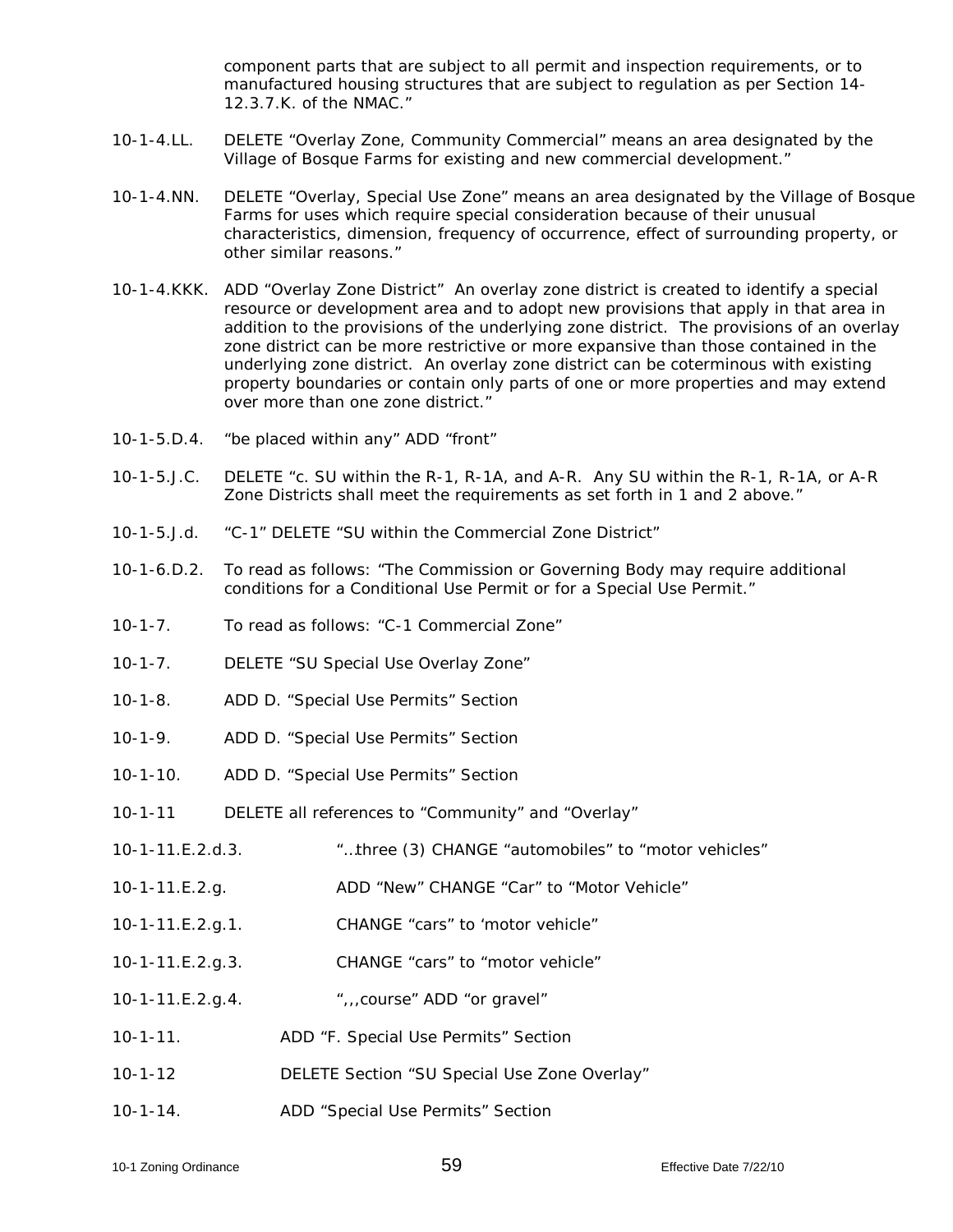component parts that are subject to all permit and inspection requirements, or to manufactured housing structures that are subject to regulation as per Section 14- 12.3.7.K. of the NMAC."

- 10-1-4.LL. DELETE "Overlay Zone, Community Commercial" means an area designated by the Village of Bosque Farms for existing and new commercial development."
- 10-1-4.NN. DELETE "Overlay, Special Use Zone" means an area designated by the Village of Bosque Farms for uses which require special consideration because of their unusual characteristics, dimension, frequency of occurrence, effect of surrounding property, or other similar reasons."
- 10-1-4.KKK. ADD "Overlay Zone District" An overlay zone district is created to identify a special resource or development area and to adopt new provisions that apply in that area in addition to the provisions of the underlying zone district. The provisions of an overlay zone district can be more restrictive or more expansive than those contained in the underlying zone district. An overlay zone district can be coterminous with existing property boundaries or contain only parts of one or more properties and may extend over more than one zone district."
- 10-1-5.D.4. "be placed within any" ADD "front"
- 10-1-5.J.C. DELETE "c. SU within the R-1, R-1A, and A-R. Any SU within the R-1, R-1A, or A-R Zone Districts shall meet the requirements as set forth in 1 and 2 above."
- 10-1-5.J.d. "C-1" DELETE "SU within the Commercial Zone District"
- 10-1-6.D.2. To read as follows: "The Commission or Governing Body may require additional conditions for a Conditional Use Permit or for a Special Use Permit."
- 10-1-7. To read as follows: "C-1 Commercial Zone"
- 10-1-7. DELETE "SU Special Use Overlay Zone"
- 10-1-8. ADD D. "Special Use Permits" Section
- 10-1-9. ADD D. "Special Use Permits" Section
- 10-1-10. ADD D. "Special Use Permits" Section
- 10-1-11 DELETE all references to "Community" and "Overlay"
- 10-1-11.E.2.d.3. "…three (3) CHANGE "automobiles" to "motor vehicles"
- 10-1-11.E.2.g. ADD "New" CHANGE "Car" to "Motor Vehicle"
- 10-1-11.E.2.g.1. CHANGE "cars" to 'motor vehicle"
- 10-1-11.E.2.g.3. CHANGE "cars" to "motor vehicle"
- 10-1-11.E.2.g.4. ",,,course" ADD "or gravel"
- 10-1-11. ADD "F. Special Use Permits" Section
- 10-1-12 DELETE Section "SU Special Use Zone Overlay"
- 10-1-14. ADD "Special Use Permits" Section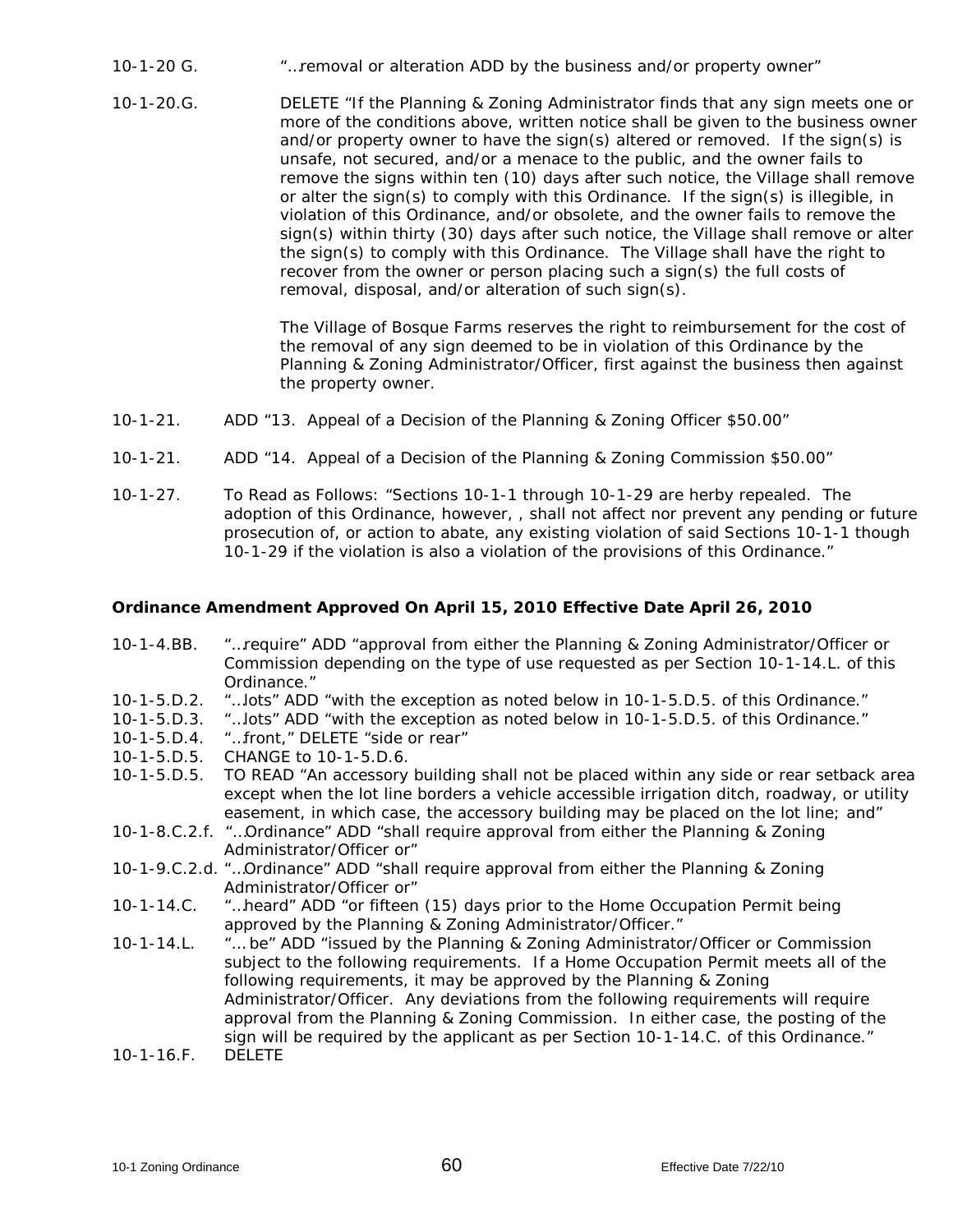- 10-1-20 G. "…removal or alteration ADD by the business and/or property owner"
- 10-1-20.G. DELETE "If the Planning & Zoning Administrator finds that any sign meets one or more of the conditions above, written notice shall be given to the business owner and/or property owner to have the sign(s) altered or removed. If the sign(s) is unsafe, not secured, and/or a menace to the public, and the owner fails to remove the signs within ten (10) days after such notice, the Village shall remove or alter the sign(s) to comply with this Ordinance. If the sign(s) is illegible, in violation of this Ordinance, and/or obsolete, and the owner fails to remove the sign(s) within thirty (30) days after such notice, the Village shall remove or alter the sign(s) to comply with this Ordinance. The Village shall have the right to recover from the owner or person placing such a sign(s) the full costs of removal, disposal, and/or alteration of such sign(s).

The Village of Bosque Farms reserves the right to reimbursement for the cost of the removal of any sign deemed to be in violation of this Ordinance by the Planning & Zoning Administrator/Officer, first against the business then against the property owner.

- 10-1-21. ADD "13. Appeal of a Decision of the Planning & Zoning Officer \$50.00"
- 10-1-21. ADD "14. Appeal of a Decision of the Planning & Zoning Commission \$50.00"
- 10-1-27. To Read as Follows: "Sections 10-1-1 through 10-1-29 are herby repealed. The adoption of this Ordinance, however, , shall not affect nor prevent any pending or future prosecution of, or action to abate, any existing violation of said Sections 10-1-1 though 10-1-29 if the violation is also a violation of the provisions of this Ordinance."

#### **Ordinance Amendment Approved On April 15, 2010 Effective Date April 26, 2010**

- 10-1-4.BB. "…require" ADD "approval from either the Planning & Zoning Administrator/Officer or Commission depending on the type of use requested as per Section 10-1-14.L. of this Ordinance."
- 10-1-5.D.2. "…lots" ADD "with the exception as noted below in 10-1-5.D.5. of this Ordinance."
- 10-1-5.D.3. "…lots" ADD "with the exception as noted below in 10-1-5.D.5. of this Ordinance."<br>10-1-5.D.4. "…front." DELETE "side or rear"
- "...front." DELETE "side or rear"
- 10-1-5.D.5. CHANGE to 10-1-5.D.6.
- 10-1-5.D.5. TO READ "An accessory building shall not be placed within any side or rear setback area except when the lot line borders a vehicle accessible irrigation ditch, roadway, or utility easement, in which case, the accessory building may be placed on the lot line; and"
- 10-1-8.C.2.f. "…Ordinance" ADD "shall require approval from either the Planning & Zoning Administrator/Officer or"
- 10-1-9.C.2.d. "…Ordinance" ADD "shall require approval from either the Planning & Zoning Administrator/Officer or"
- 10-1-14.C. "…heard" ADD "or fifteen (15) days prior to the Home Occupation Permit being approved by the Planning & Zoning Administrator/Officer."
- 10-1-14.L. "… be" ADD "issued by the Planning & Zoning Administrator/Officer or Commission subject to the following requirements. If a Home Occupation Permit meets all of the following requirements, it may be approved by the Planning & Zoning Administrator/Officer. Any deviations from the following requirements will require approval from the Planning & Zoning Commission. In either case, the posting of the sign will be required by the applicant as per Section 10-1-14.C. of this Ordinance."
- $10-1-16.$ F.